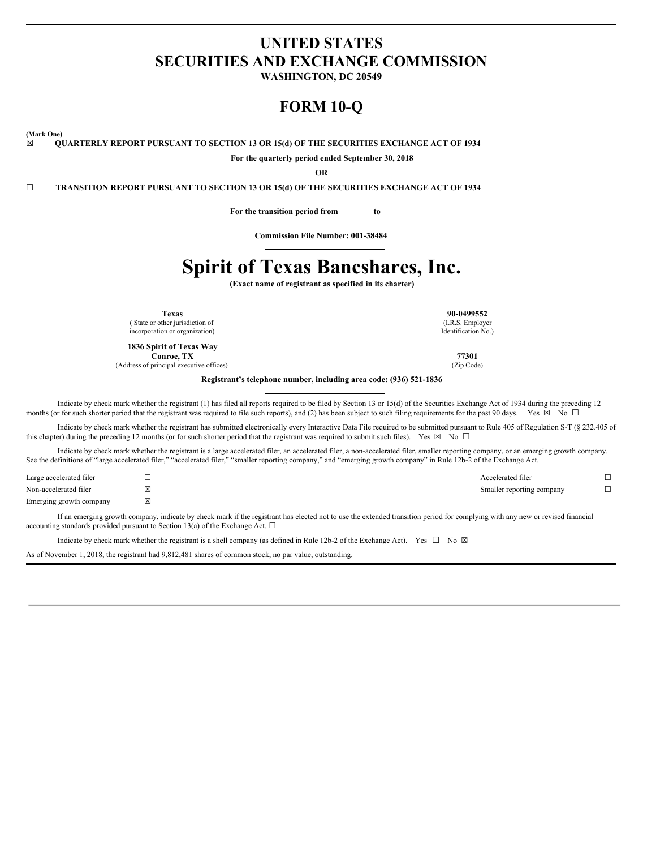# **UNITED STATES SECURITIES AND EXCHANGE COMMISSION**

**WASHINGTON, DC 20549**

# **FORM 10-Q**

**(Mark One)**

**☒ QUARTERLY REPORT PURSUANT TO SECTION 13 OR 15(d) OF THE SECURITIES EXCHANGE ACT OF 1934**

**For the quarterly period ended September 30, 2018**

**OR**

**☐ TRANSITION REPORT PURSUANT TO SECTION 13 OR 15(d) OF THE SECURITIES EXCHANGE ACT OF 1934**

**For the transition period from to**

**Commission File Number: 001-38484**

# **Spirit of Texas Bancshares, Inc.**

**(Exact name of registrant as specified in its charter)**

( State or other jurisdiction of incorporation or organization)

**1836 Spirit of Texas Way Conroe, TX 77301**<br>
principal executive offices) (*Zip Code*)

(Address of principal executive offices)

**Registrant's telephone number, including area code: (936) 521-1836**

Indicate by check mark whether the registrant (1) has filed all reports required to be filed by Section 13 or 15(d) of the Securities Exchange Act of 1934 during the preceding 12 months (or for such shorter period that the registrant was required to file such reports), and (2) has been subject to such filing requirements for the past 90 days. Yes  $\boxtimes$  No  $\Box$ 

Indicate by check mark whether the registrant has submitted electronically every Interactive Data File required to be submitted pursuant to Rule 405 of Regulation S-T (§ 232.405 of this chapter) during the preceding 12 months (or for such shorter period that the registrant was required to submit such files). Yes  $\boxtimes$  No  $\Box$ 

Indicate by check mark whether the registrant is a large accelerated filer, an accelerated filer, a non-accelerated filer, smaller reporting company, or an emerging growth company. See the definitions of "large accelerated filer," "accelerated filer," "smaller reporting company," and "emerging growth company" in Rule 12b-2 of the Exchange Act.

| Large accelerated filer | Accelerated filer         |  |
|-------------------------|---------------------------|--|
| Non-accelerated filer   | Smaller reporting company |  |
| Emerging growth company |                           |  |

If an emerging growth company, indicate by check mark if the registrant has elected not to use the extended transition period for complying with any new or revised financial accounting standards provided pursuant to Section 13(a) of the Exchange Act.  $\Box$ 

Indicate by check mark whether the registrant is a shell company (as defined in Rule 12b-2 of the Exchange Act). Yes  $\Box$  No  $\boxtimes$ 

As of November 1, 2018, the registrant had 9,812,481 shares of common stock, no par value, outstanding.

**Texas 90-0499552** (I.R.S. Employer Identification No.)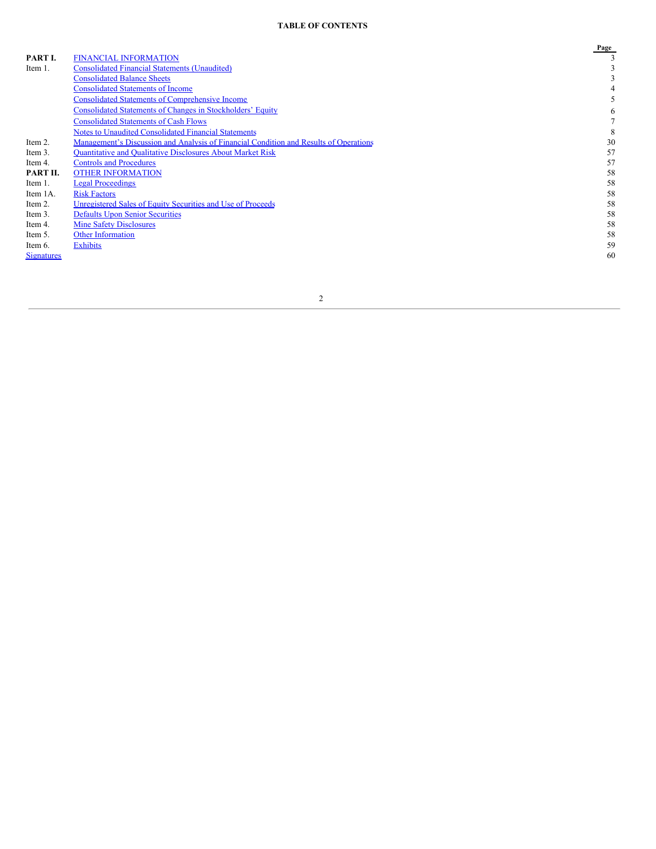# **TABLE OF CONTENTS**

|                   |                                                                                       | Page |
|-------------------|---------------------------------------------------------------------------------------|------|
| PART I.           | <b>FINANCIAL INFORMATION</b>                                                          |      |
| Item 1.           | <b>Consolidated Financial Statements (Unaudited)</b>                                  |      |
|                   | <b>Consolidated Balance Sheets</b>                                                    |      |
|                   | <b>Consolidated Statements of Income</b>                                              |      |
|                   | <b>Consolidated Statements of Comprehensive Income</b>                                |      |
|                   | <b>Consolidated Statements of Changes in Stockholders' Equity</b>                     | 6    |
|                   | <b>Consolidated Statements of Cash Flows</b>                                          |      |
|                   | <b>Notes to Unaudited Consolidated Financial Statements</b>                           | 8    |
| Item 2.           | Management's Discussion and Analysis of Financial Condition and Results of Operations | 30   |
| Item 3.           | <b>Ouantitative and Oualitative Disclosures About Market Risk</b>                     | 57   |
| Item 4.           | <b>Controls and Procedures</b>                                                        | 57   |
| PART II.          | <b>OTHER INFORMATION</b>                                                              | 58   |
| Item 1.           | <b>Legal Proceedings</b>                                                              | 58   |
| Item 1A.          | <b>Risk Factors</b>                                                                   | 58   |
| Item 2.           | Unregistered Sales of Equity Securities and Use of Proceeds                           | 58   |
| Item 3.           | <b>Defaults Upon Senior Securities</b>                                                | 58   |
| Item 4.           | <b>Mine Safety Disclosures</b>                                                        | 58   |
| Item 5.           | <b>Other Information</b>                                                              | 58   |
| Item 6.           | <b>Exhibits</b>                                                                       | 59   |
| <b>Signatures</b> |                                                                                       | 60   |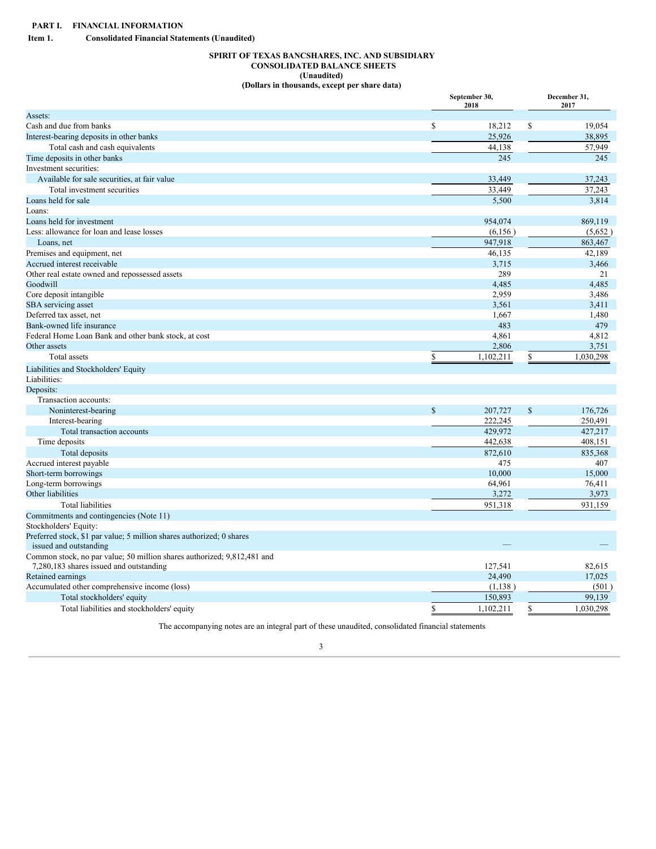<span id="page-2-1"></span><span id="page-2-0"></span>**Item 1. Consolidated Financial Statements (Unaudited)**

# <span id="page-2-2"></span>**SPIRIT OF TEXAS BANCSHARES, INC. AND SUBSIDIARY CONSOLIDATED BALANCE SHEETS (Unaudited) (Dollars in thousands, except per share data)**

|                                                                         |               | September 30,<br>2018 |                           | December 31,<br>2017 |
|-------------------------------------------------------------------------|---------------|-----------------------|---------------------------|----------------------|
| Assets:                                                                 |               |                       |                           |                      |
| Cash and due from banks                                                 | \$            | 18,212                | \$                        | 19,054               |
| Interest-bearing deposits in other banks                                |               | 25,926                |                           | 38,895               |
| Total cash and cash equivalents                                         |               | 44,138                |                           | 57,949               |
| Time deposits in other banks                                            |               | 245                   |                           | 245                  |
| Investment securities:                                                  |               |                       |                           |                      |
| Available for sale securities, at fair value                            |               | 33,449                |                           | 37,243               |
| Total investment securities                                             |               | 33,449                |                           | 37,243               |
| Loans held for sale                                                     |               | 5,500                 |                           | 3,814                |
| Loans:                                                                  |               |                       |                           |                      |
| Loans held for investment                                               |               | 954,074               |                           | 869,119              |
| Less: allowance for loan and lease losses                               |               | (6,156)               |                           | (5,652)              |
| Loans, net                                                              |               | 947,918               |                           | 863,467              |
| Premises and equipment, net                                             |               | 46,135                |                           | 42,189               |
| Accrued interest receivable                                             |               | 3,715                 |                           | 3,466                |
| Other real estate owned and repossessed assets                          |               | 289                   |                           | 21                   |
| Goodwill                                                                |               | 4,485                 |                           | 4,485                |
| Core deposit intangible                                                 |               | 2,959                 |                           | 3,486                |
| SBA servicing asset                                                     |               | 3,561                 |                           | 3,411                |
| Deferred tax asset, net                                                 |               | 1,667                 |                           | 1,480                |
| Bank-owned life insurance                                               |               | 483                   |                           | 479                  |
| Federal Home Loan Bank and other bank stock, at cost                    |               | 4,861                 |                           | 4,812                |
| Other assets                                                            |               | 2,806                 |                           | 3,751                |
| Total assets                                                            | \$            | 1,102,211             | \$                        | 1,030,298            |
| Liabilities and Stockholders' Equity                                    |               |                       |                           |                      |
| Liabilities:                                                            |               |                       |                           |                      |
| Deposits:                                                               |               |                       |                           |                      |
| Transaction accounts:                                                   |               |                       |                           |                      |
| Noninterest-bearing                                                     | $\mathsf{\$}$ | 207,727               | $\boldsymbol{\mathsf{S}}$ | 176,726              |
| Interest-bearing                                                        |               | 222,245               |                           | 250,491              |
| Total transaction accounts                                              |               | 429,972               |                           | 427,217              |
| Time deposits                                                           |               | 442,638               |                           | 408,151              |
| Total deposits                                                          |               | 872,610               |                           | 835,368              |
| Accrued interest payable                                                |               | 475                   |                           | 407                  |
| Short-term borrowings                                                   |               | 10,000                |                           | 15,000               |
| Long-term borrowings                                                    |               | 64,961                |                           | 76,411               |
| Other liabilities                                                       |               | 3,272                 |                           | 3,973                |
| <b>Total liabilities</b>                                                |               | 951,318               |                           | 931,159              |
| Commitments and contingencies (Note 11)                                 |               |                       |                           |                      |
| Stockholders' Equity:                                                   |               |                       |                           |                      |
| Preferred stock, \$1 par value; 5 million shares authorized; 0 shares   |               |                       |                           |                      |
| issued and outstanding                                                  |               |                       |                           |                      |
| Common stock, no par value; 50 million shares authorized; 9,812,481 and |               |                       |                           |                      |
| 7,280,183 shares issued and outstanding                                 |               | 127,541               |                           | 82,615               |
| Retained earnings                                                       |               | 24,490                |                           | 17,025               |
| Accumulated other comprehensive income (loss)                           |               | (1,138)               |                           | (501)                |
| Total stockholders' equity                                              |               | 150,893               |                           | 99,139               |
| Total liabilities and stockholders' equity                              | \$            | 1,102,211             | \$                        | 1,030,298            |

The accompanying notes are an integral part of these unaudited, consolidated financial statements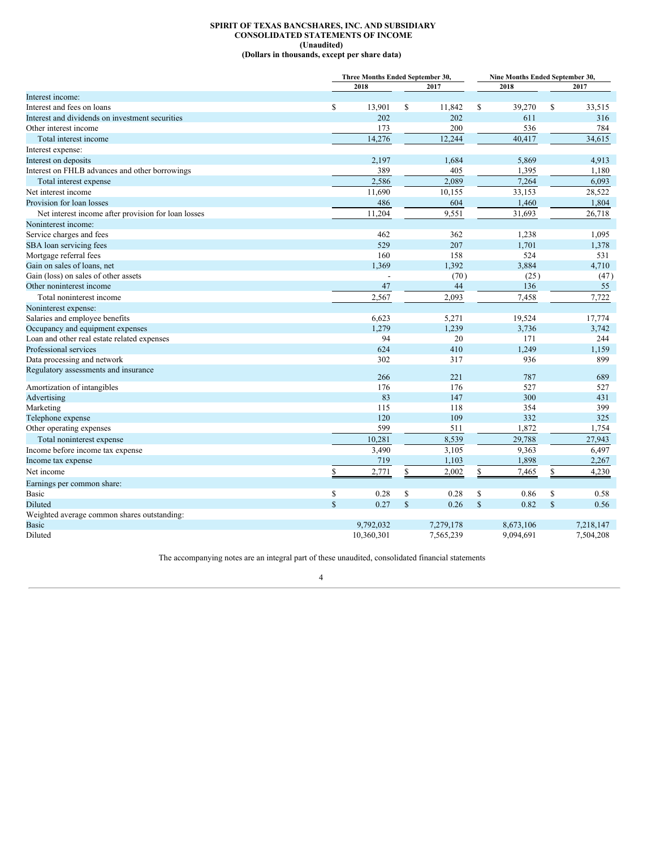# <span id="page-3-0"></span>**SPIRIT OF TEXAS BANCSHARES, INC. AND SUBSIDIARY CONSOLIDATED STATEMENTS OF INCOME (Unaudited) (Dollars in thousands, except per share data)**

|                                                     |             | Three Months Ended September 30, |              |           |              | Nine Months Ended September 30, |               |           |  |  |
|-----------------------------------------------------|-------------|----------------------------------|--------------|-----------|--------------|---------------------------------|---------------|-----------|--|--|
|                                                     |             | 2018                             |              | 2017      |              | 2018                            |               | 2017      |  |  |
| Interest income:                                    |             |                                  |              |           |              |                                 |               |           |  |  |
| Interest and fees on loans                          | \$          | 13,901                           | \$           | 11,842    | \$           | 39,270                          | \$            | 33,515    |  |  |
| Interest and dividends on investment securities     |             | 202                              |              | 202       |              | 611                             |               | 316       |  |  |
| Other interest income                               |             | 173                              |              | 200       |              | 536                             |               | 784       |  |  |
| Total interest income                               |             | 14,276                           |              | 12,244    |              | 40,417                          |               | 34,615    |  |  |
| Interest expense:                                   |             |                                  |              |           |              |                                 |               |           |  |  |
| Interest on deposits                                |             | 2,197                            |              | 1,684     |              | 5,869                           |               | 4,913     |  |  |
| Interest on FHLB advances and other borrowings      |             | 389                              |              | 405       |              | 1,395                           |               | 1,180     |  |  |
| Total interest expense                              |             | 2,586                            |              | 2.089     |              | 7,264                           |               | 6,093     |  |  |
| Net interest income                                 |             | 11,690                           |              | 10,155    |              | 33,153                          |               | 28,522    |  |  |
| Provision for loan losses                           |             | 486                              |              | 604       |              | 1,460                           |               | 1,804     |  |  |
| Net interest income after provision for loan losses |             | 11,204                           |              | 9,551     |              | 31,693                          |               | 26,718    |  |  |
| Noninterest income:                                 |             |                                  |              |           |              |                                 |               |           |  |  |
| Service charges and fees                            |             | 462                              |              | 362       |              | 1,238                           |               | 1,095     |  |  |
| SBA loan servicing fees                             |             | 529                              |              | 207       |              | 1,701                           |               | 1,378     |  |  |
| Mortgage referral fees                              |             | 160                              |              | 158       |              | 524                             |               | 531       |  |  |
| Gain on sales of loans, net                         |             | 1,369                            |              | 1,392     |              | 3,884                           |               | 4,710     |  |  |
| Gain (loss) on sales of other assets                |             |                                  |              | (70)      |              | (25)                            |               | (47)      |  |  |
| Other noninterest income                            |             | 47                               |              | 44        |              | 136                             |               | 55        |  |  |
| Total noninterest income                            |             | 2,567                            |              | 2,093     |              | 7,458                           |               | 7,722     |  |  |
| Noninterest expense:                                |             |                                  |              |           |              |                                 |               |           |  |  |
| Salaries and employee benefits                      |             | 6,623                            |              | 5,271     |              | 19,524                          |               | 17,774    |  |  |
| Occupancy and equipment expenses                    |             | 1,279                            |              | 1,239     |              | 3,736                           |               | 3,742     |  |  |
| Loan and other real estate related expenses         |             | 94                               |              | 20        |              | 171                             |               | 244       |  |  |
| Professional services                               |             | 624                              |              | 410       |              | 1,249                           |               | 1,159     |  |  |
| Data processing and network                         |             | 302                              |              | 317       |              | 936                             |               | 899       |  |  |
| Regulatory assessments and insurance                |             |                                  |              |           |              |                                 |               |           |  |  |
|                                                     |             | 266                              |              | 221       |              | 787                             |               | 689       |  |  |
| Amortization of intangibles                         |             | 176                              |              | 176       |              | 527                             |               | 527       |  |  |
| Advertising                                         |             | 83                               |              | 147       |              | 300                             |               | 431       |  |  |
| Marketing                                           |             | 115                              |              | 118       |              | 354                             |               | 399       |  |  |
| Telephone expense                                   |             | 120                              |              | 109       |              | 332                             |               | 325       |  |  |
| Other operating expenses                            |             | 599                              |              | 511       |              | 1,872                           |               | 1,754     |  |  |
| Total noninterest expense                           |             | 10,281                           |              | 8,539     |              | 29,788                          |               | 27,943    |  |  |
| Income before income tax expense                    |             | 3,490                            |              | 3,105     |              | 9,363                           |               | 6,497     |  |  |
| Income tax expense                                  |             | 719                              |              | 1,103     |              | 1,898                           |               | 2,267     |  |  |
| Net income                                          | \$          | 2,771                            | \$           | 2,002     | $\mathbb{S}$ | 7,465                           | \$            | 4,230     |  |  |
| Earnings per common share:                          |             |                                  |              |           |              |                                 |               |           |  |  |
| <b>Basic</b>                                        | \$          | 0.28                             | \$           | 0.28      | \$           | 0.86                            | \$            | 0.58      |  |  |
| Diluted                                             | $\mathbf S$ | 0.27                             | $\mathbb{S}$ | 0.26      | $\mathbb{S}$ | 0.82                            | $\mathsf{\$}$ | 0.56      |  |  |
| Weighted average common shares outstanding:         |             |                                  |              |           |              |                                 |               |           |  |  |
| <b>Basic</b>                                        |             | 9.792.032                        |              | 7,279,178 |              | 8,673,106                       |               | 7,218,147 |  |  |
| Diluted                                             |             | 10,360,301                       |              | 7,565,239 |              | 9,094,691                       |               | 7,504,208 |  |  |

The accompanying notes are an integral part of these unaudited, consolidated financial statements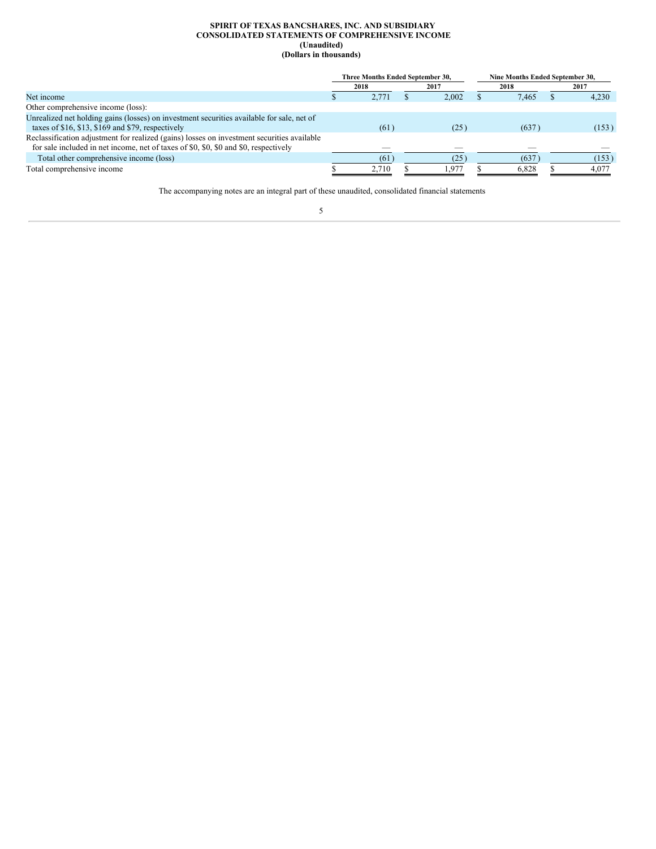#### <span id="page-4-0"></span>**SPIRIT OF TEXAS BANCSHARES, INC. AND SUBSIDIARY CONSOLIDATED STATEMENTS OF COMPREHENSIVE INCOME (Unaudited) (Dollars in thousands)**

|                                                                                                                                                                                    | Three Months Ended September 30, |       |      |       | Nine Months Ended September 30, |       |  |       |  |
|------------------------------------------------------------------------------------------------------------------------------------------------------------------------------------|----------------------------------|-------|------|-------|---------------------------------|-------|--|-------|--|
|                                                                                                                                                                                    | 2018                             |       | 2017 |       | 2018                            |       |  | 2017  |  |
| Net income                                                                                                                                                                         |                                  | 2.771 |      | 2.002 |                                 | 7.465 |  | 4.230 |  |
| Other comprehensive income (loss):                                                                                                                                                 |                                  |       |      |       |                                 |       |  |       |  |
| Unrealized net holding gains (losses) on investment securities available for sale, net of                                                                                          |                                  |       |      |       |                                 |       |  |       |  |
| taxes of $$16, $13, $169$ and $$79$ , respectively                                                                                                                                 |                                  | (61)  |      | (25)  |                                 | (637) |  | (153) |  |
| Reclassification adjustment for realized (gains) losses on investment securities available<br>for sale included in net income, net of taxes of \$0, \$0, \$0 and \$0, respectively |                                  |       |      |       |                                 |       |  |       |  |
|                                                                                                                                                                                    |                                  |       |      |       |                                 |       |  |       |  |
| Total other comprehensive income (loss)                                                                                                                                            |                                  | (61   |      | 25    |                                 | (637) |  | (153) |  |
| Total comprehensive income                                                                                                                                                         |                                  | 2.710 |      | 1.977 |                                 | 6,828 |  | 4.077 |  |

The accompanying notes are an integral part of these unaudited, consolidated financial statements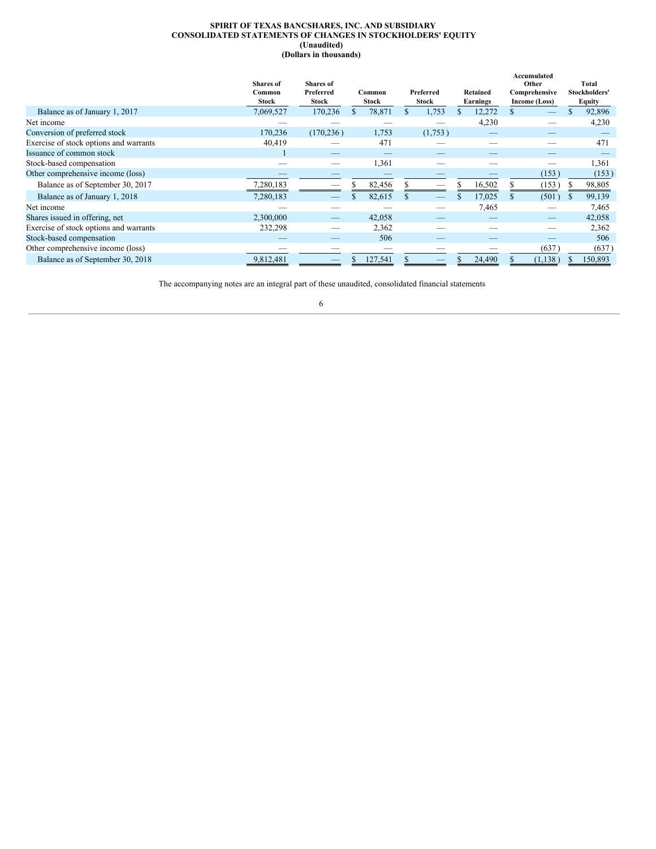#### <span id="page-5-0"></span>**SPIRIT OF TEXAS BANCSHARES, INC. AND SUBSIDIARY CONSOLIDATED STATEMENTS OF CHANGES IN STOCKHOLDERS' EQUITY (Unaudited) (Dollars in thousands)**

|                                        | <b>Shares</b> of<br>Common<br>Stock | <b>Shares</b> of<br>Preferred<br><b>Stock</b> | Common<br>Stock | Preferred<br>Stock | Retained<br>Earnings | Accumulated<br>Other<br>Comprehensive<br>Income (Loss) |         |    | Total<br>Stockholders'<br><b>Equity</b> |
|----------------------------------------|-------------------------------------|-----------------------------------------------|-----------------|--------------------|----------------------|--------------------------------------------------------|---------|----|-----------------------------------------|
| Balance as of January 1, 2017          | 7,069,527                           | 170,236                                       | 78,871          | 1,753              | 12,272               |                                                        |         |    | 92,896                                  |
| Net income                             |                                     |                                               |                 |                    | 4,230                |                                                        |         |    | 4,230                                   |
| Conversion of preferred stock          | 170,236                             | (170, 236)                                    | 1,753           | (1,753)            |                      |                                                        |         |    |                                         |
| Exercise of stock options and warrants | 40,419                              |                                               | 471             |                    |                      |                                                        |         |    | 471                                     |
| Issuance of common stock               |                                     |                                               |                 |                    |                      |                                                        |         |    |                                         |
| Stock-based compensation               |                                     |                                               | 1,361           |                    |                      |                                                        |         |    | 1,361                                   |
| Other comprehensive income (loss)      |                                     |                                               |                 |                    |                      |                                                        | (153)   |    | (153)                                   |
| Balance as of September 30, 2017       | 7,280,183                           |                                               | 82,456          |                    | 16,502               |                                                        | (153)   |    | 98,805                                  |
| Balance as of January 1, 2018          | 7,280,183                           |                                               | 82,615          |                    | 17,025               |                                                        | (501)   | S. | 99,139                                  |
| Net income                             |                                     |                                               |                 |                    | 7,465                |                                                        |         |    | 7,465                                   |
| Shares issued in offering, net         | 2,300,000                           |                                               | 42,058          |                    |                      |                                                        |         |    | 42,058                                  |
| Exercise of stock options and warrants | 232,298                             |                                               | 2,362           |                    |                      |                                                        |         |    | 2,362                                   |
| Stock-based compensation               |                                     |                                               | 506             |                    |                      |                                                        |         |    | 506                                     |
| Other comprehensive income (loss)      |                                     |                                               |                 |                    |                      |                                                        | (637)   |    | (637)                                   |
| Balance as of September 30, 2018       | 9,812,481                           |                                               | 127,541         |                    | 24,490               |                                                        | (1,138) |    | 150,893                                 |

The accompanying notes are an integral part of these unaudited, consolidated financial statements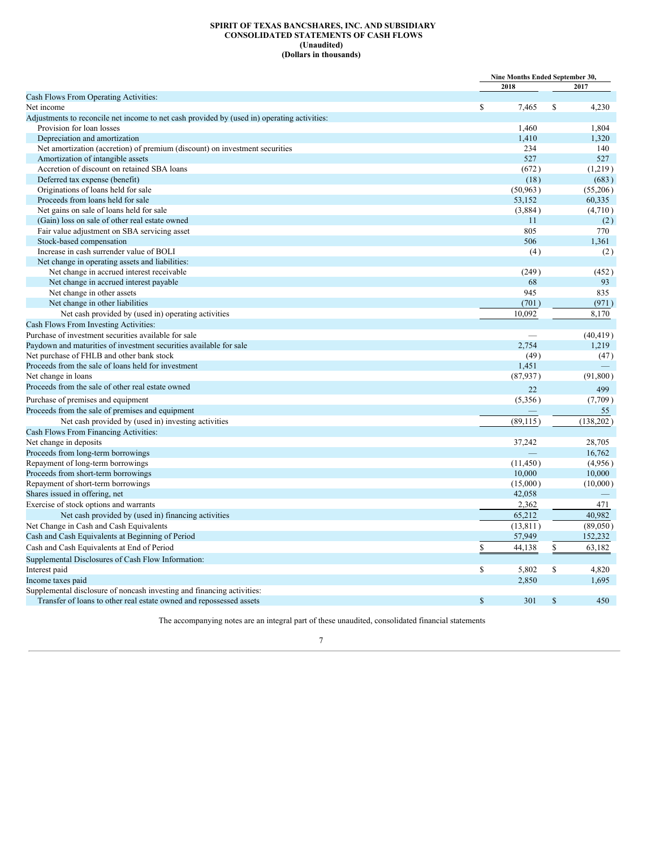#### <span id="page-6-0"></span>**SPIRIT OF TEXAS BANCSHARES, INC. AND SUBSIDIARY CONSOLIDATED STATEMENTS OF CASH FLOWS (Unaudited) (Dollars in thousands)**

|                                                                                             |              | Nine Months Ended September 30, |              |            |
|---------------------------------------------------------------------------------------------|--------------|---------------------------------|--------------|------------|
|                                                                                             |              | 2018                            |              | 2017       |
| Cash Flows From Operating Activities:                                                       |              |                                 |              |            |
| Net income                                                                                  | $\mathbf S$  | 7.465                           | $\mathbb{S}$ | 4,230      |
| Adjustments to reconcile net income to net cash provided by (used in) operating activities: |              |                                 |              |            |
| Provision for loan losses                                                                   |              | 1,460                           |              | 1,804      |
| Depreciation and amortization                                                               |              | 1,410                           |              | 1,320      |
| Net amortization (accretion) of premium (discount) on investment securities                 |              | 234                             |              | 140        |
| Amortization of intangible assets                                                           |              | 527                             |              | 527        |
| Accretion of discount on retained SBA loans                                                 |              | (672)                           |              | (1,219)    |
| Deferred tax expense (benefit)                                                              |              | (18)                            |              | (683)      |
| Originations of loans held for sale                                                         |              | (50, 963)                       |              | (55,206)   |
| Proceeds from loans held for sale                                                           |              | 53,152                          |              | 60,335     |
| Net gains on sale of loans held for sale                                                    |              | (3,884)                         |              | (4,710)    |
| (Gain) loss on sale of other real estate owned                                              |              | 11                              |              | (2)        |
| Fair value adjustment on SBA servicing asset                                                |              | 805                             |              | 770        |
| Stock-based compensation                                                                    |              | 506                             |              | 1.361      |
| Increase in cash surrender value of BOLI                                                    |              | (4)                             |              | (2)        |
| Net change in operating assets and liabilities:                                             |              |                                 |              |            |
| Net change in accrued interest receivable                                                   |              | (249)                           |              | (452)      |
| Net change in accrued interest payable                                                      |              | 68                              |              | 93         |
| Net change in other assets                                                                  |              | 945                             |              | 835        |
| Net change in other liabilities                                                             |              | (701)                           |              | (971)      |
| Net cash provided by (used in) operating activities                                         |              | 10.092                          |              | 8,170      |
| Cash Flows From Investing Activities:                                                       |              |                                 |              |            |
| Purchase of investment securities available for sale                                        |              |                                 |              | (40, 419)  |
| Paydown and maturities of investment securities available for sale                          |              | 2.754                           |              | 1,219      |
| Net purchase of FHLB and other bank stock                                                   |              | (49)                            |              | (47)       |
| Proceeds from the sale of loans held for investment                                         |              | 1,451                           |              |            |
| Net change in loans                                                                         |              | (87, 937)                       |              | (91, 800)  |
| Proceeds from the sale of other real estate owned                                           |              |                                 |              |            |
|                                                                                             |              | 22                              |              | 499        |
| Purchase of premises and equipment                                                          |              | (5,356)                         |              | (7,709)    |
| Proceeds from the sale of premises and equipment                                            |              |                                 |              | 55         |
| Net cash provided by (used in) investing activities                                         |              | (89, 115)                       |              | (138, 202) |
| Cash Flows From Financing Activities:                                                       |              |                                 |              |            |
| Net change in deposits                                                                      |              | 37,242                          |              | 28,705     |
| Proceeds from long-term borrowings                                                          |              |                                 |              | 16,762     |
| Repayment of long-term borrowings                                                           |              | (11, 450)                       |              | (4,956)    |
| Proceeds from short-term borrowings                                                         |              | 10,000                          |              | 10,000     |
| Repayment of short-term borrowings                                                          |              | (15,000)                        |              | (10,000)   |
| Shares issued in offering, net                                                              |              | 42,058                          |              |            |
| Exercise of stock options and warrants                                                      |              | 2,362                           |              | 471        |
| Net cash provided by (used in) financing activities                                         |              | 65,212                          |              | 40.982     |
| Net Change in Cash and Cash Equivalents                                                     |              | (13, 811)                       |              | (89,050)   |
| Cash and Cash Equivalents at Beginning of Period                                            |              | 57,949                          |              | 152,232    |
| Cash and Cash Equivalents at End of Period                                                  | \$           | 44,138                          | \$           | 63,182     |
| Supplemental Disclosures of Cash Flow Information:                                          |              |                                 |              |            |
| Interest paid                                                                               | $\mathbf S$  | 5,802                           | \$           | 4,820      |
| Income taxes paid                                                                           |              | 2,850                           |              | 1,695      |
| Supplemental disclosure of noncash investing and financing activities:                      |              |                                 |              |            |
| Transfer of loans to other real estate owned and repossessed assets                         | $\mathbb{S}$ | 301                             | $\mathbb{S}$ | 450        |
|                                                                                             |              |                                 |              |            |

The accompanying notes are an integral part of these unaudited, consolidated financial statements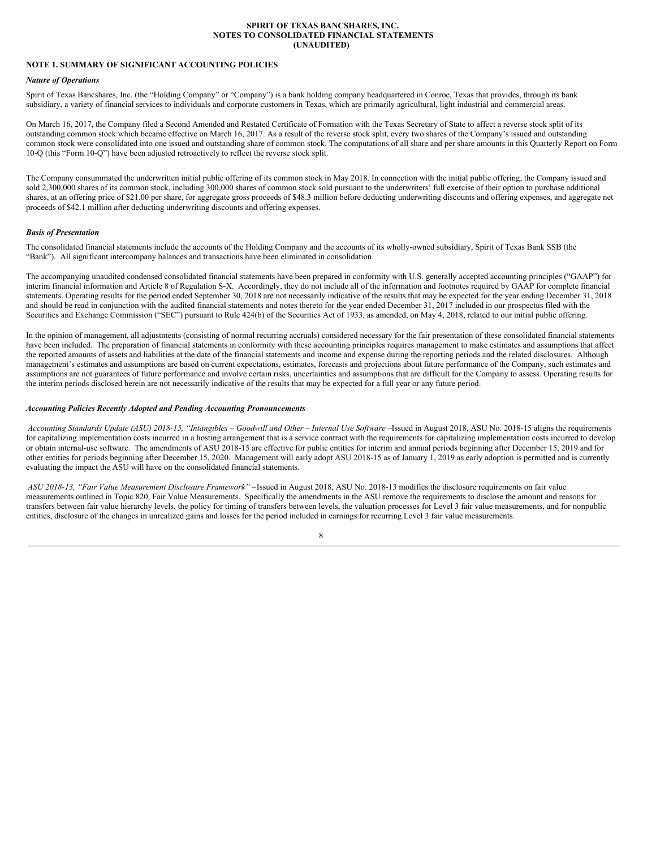#### <span id="page-7-0"></span>**SPIRIT OF TEXAS BANCSHARES, INC. NOTES TO CONSOLIDATED FINANCIAL STATEMENTS (UNAUDITED)**

# **NOTE 1. SUMMARY OF SIGNIFICANT ACCOUNTING POLICIES**

#### *Nature of Operations*

Spirit of Texas Bancshares, Inc. (the "Holding Company" or "Company") is a bank holding company headquartered in Conroe, Texas that provides, through its bank subsidiary, a variety of financial services to individuals and corporate customers in Texas, which are primarily agricultural, light industrial and commercial areas.

On March 16, 2017, the Company filed a Second Amended and Restated Certificate of Formation with the Texas Secretary of State to affect a reverse stock split of its outstanding common stock which became effective on March 16, 2017. As a result of the reverse stock split, every two shares of the Company's issued and outstanding common stock were consolidated into one issued and outstanding share of common stock. The computations of all share and per share amounts in this Quarterly Report on Form 10-Q (this "Form 10-Q") have been adjusted retroactively to reflect the reverse stock split.

The Company consummated the underwritten initial public offering of its common stock in May 2018. In connection with the initial public offering, the Company issued and sold 2,300,000 shares of its common stock, including 300,000 shares of common stock sold pursuant to the underwriters' full exercise of their option to purchase additional shares, at an offering price of \$21.00 per share, for aggregate gross proceeds of \$48.3 million before deducting underwriting discounts and offering expenses, and aggregate net proceeds of \$42.1 million after deducting underwriting discounts and offering expenses.

#### *Basis of Presentation*

The consolidated financial statements include the accounts of the Holding Company and the accounts of its wholly-owned subsidiary, Spirit of Texas Bank SSB (the "Bank"). All significant intercompany balances and transactions have been eliminated in consolidation.

The accompanying unaudited condensed consolidated financial statements have been prepared in conformity with U.S. generally accepted accounting principles ("GAAP") for interim financial information and Article 8 of Regulation S-X. Accordingly, they do not include all of the information and footnotes required by GAAP for complete financial statements. Operating results for the period ended September 30, 2018 are not necessarily indicative of the results that may be expected for the year ending December 31, 2018 and should be read in conjunction with the audited financial statements and notes thereto for the year ended December 31, 2017 included in our prospectus filed with the Securities and Exchange Commission ("SEC") pursuant to Rule 424(b) of the Securities Act of 1933, as amended, on May 4, 2018, related to our initial public offering.

In the opinion of management, all adjustments (consisting of normal recurring accruals) considered necessary for the fair presentation of these consolidated financial statements have been included. The preparation of financial statements in conformity with these accounting principles requires management to make estimates and assumptions that affect the reported amounts of assets and liabilities at the date of the financial statements and income and expense during the reporting periods and the related disclosures. Although management's estimates and assumptions are based on current expectations, estimates, forecasts and projections about future performance of the Company, such estimates and assumptions are not guarantees of future performance and involve certain risks, uncertainties and assumptions that are difficult for the Company to assess. Operating results for the interim periods disclosed herein are not necessarily indicative of the results that may be expected for a full year or any future period.

#### *Accounting Policies Recently Adopted and Pending Accounting Pronouncements*

Accounting Standards Update (ASU) 2018-15, "Intangibles - Goodwill and Other - Internal Use Software -Issued in August 2018, ASU No. 2018-15 aligns the requirements for capitalizing implementation costs incurred in a hosting arrangement that is a service contract with the requirements for capitalizing implementation costs incurred to develop or obtain internal-use software. The amendments of ASU 2018-15 are effective for public entities for interim and annual periods beginning after December 15, 2019 and for other entities for periods beginning after December 15, 2020. Management will early adopt ASU 2018-15 as of January 1, 2019 as early adoption is permitted and is currently evaluating the impact the ASU will have on the consolidated financial statements.

*ASU 2018-13, "Fair Value Measurement Disclosure Framework" –*Issued in August 2018, ASU No. 2018-13 modifies the disclosure requirements on fair value measurements outlined in Topic 820, Fair Value Measurements. Specifically the amendments in the ASU remove the requirements to disclose the amount and reasons for transfers between fair value hierarchy levels, the policy for timing of transfers between levels, the valuation processes for Level 3 fair value measurements, and for nonpublic entities, disclosure of the changes in unrealized gains and losses for the period included in earnings for recurring Level 3 fair value measurements.

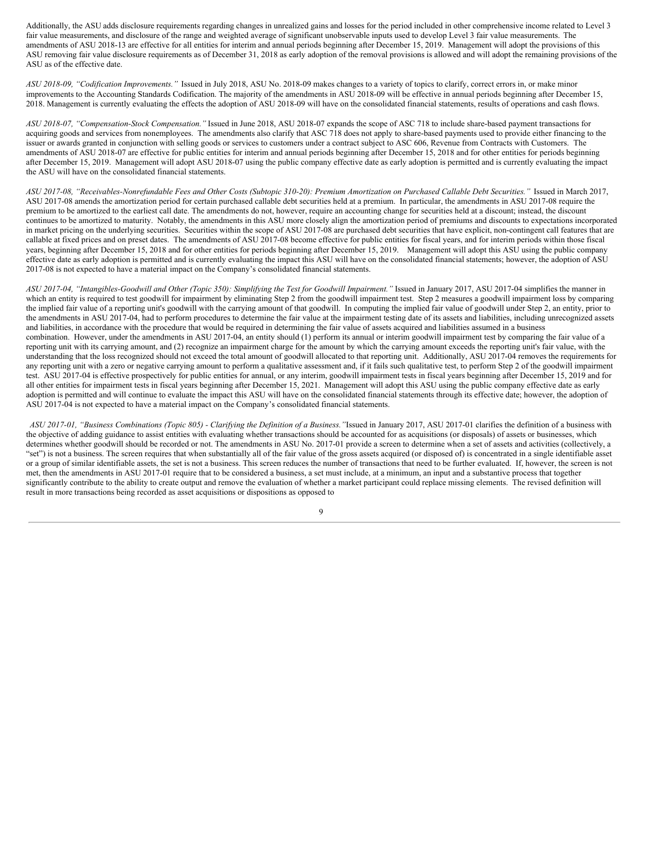Additionally, the ASU adds disclosure requirements regarding changes in unrealized gains and losses for the period included in other comprehensive income related to Level 3 fair value measurements, and disclosure of the range and weighted average of significant unobservable inputs used to develop Level 3 fair value measurements. The amendments of ASU 2018-13 are effective for all entities for interim and annual periods beginning after December 15, 2019. Management will adopt the provisions of this ASU removing fair value disclosure requirements as of December 31, 2018 as early adoption of the removal provisions is allowed and will adopt the remaining provisions of the ASU as of the effective date.

*ASU 2018-09, "Codification Improvements."* Issued in July 2018, ASU No. 2018-09 makes changes to a variety of topics to clarify, correct errors in, or make minor improvements to the Accounting Standards Codification. The majority of the amendments in ASU 2018-09 will be effective in annual periods beginning after December 15, 2018. Management is currently evaluating the effects the adoption of ASU 2018-09 will have on the consolidated financial statements, results of operations and cash flows.

*ASU 2018-07, "Compensation-Stock Compensation."* Issued in June 2018, ASU 2018-07 expands the scope of ASC 718 to include share-based payment transactions for acquiring goods and services from nonemployees. The amendments also clarify that ASC 718 does not apply to share-based payments used to provide either financing to the issuer or awards granted in conjunction with selling goods or services to customers under a contract subject to ASC 606, Revenue from Contracts with Customers. The amendments of ASU 2018-07 are effective for public entities for interim and annual periods beginning after December 15, 2018 and for other entities for periods beginning after December 15, 2019. Management will adopt ASU 2018-07 using the public company effective date as early adoption is permitted and is currently evaluating the impact the ASU will have on the consolidated financial statements.

ASU 2017-08, "Receivables-Nonrefundable Fees and Other Costs (Subtopic 310-20): Premium Amortization on Purchased Callable Debt Securities." Issued in March 2017, ASU 2017-08 amends the amortization period for certain purchased callable debt securities held at a premium. In particular, the amendments in ASU 2017-08 require the premium to be amortized to the earliest call date. The amendments do not, however, require an accounting change for securities held at a discount; instead, the discount continues to be amortized to maturity. Notably, the amendments in this ASU more closely align the amortization period of premiums and discounts to expectations incorporated in market pricing on the underlying securities. Securities within the scope of ASU 2017-08 are purchased debt securities that have explicit, non-contingent call features that are callable at fixed prices and on preset dates. The amendments of ASU 2017-08 become effective for public entities for fiscal years, and for interim periods within those fiscal years, beginning after December 15, 2018 and for other entities for periods beginning after December 15, 2019. Management will adopt this ASU using the public company effective date as early adoption is permitted and is currently evaluating the impact this ASU will have on the consolidated financial statements; however, the adoption of ASU 2017-08 is not expected to have a material impact on the Company's consolidated financial statements.

ASU 2017-04, "Intangibles-Goodwill and Other (Topic 350): Simplifying the Test for Goodwill Impairment." Issued in January 2017, ASU 2017-04 simplifies the manner in which an entity is required to test goodwill for impairment by eliminating Step 2 from the goodwill impairment test. Step 2 measures a goodwill impairment loss by comparing the implied fair value of a reporting unit's goodwill with the carrying amount of that goodwill. In computing the implied fair value of goodwill under Step 2, an entity, prior to the amendments in ASU 2017-04, had to perform procedures to determine the fair value at the impairment testing date of its assets and liabilities, including unrecognized assets and liabilities, in accordance with the procedure that would be required in determining the fair value of assets acquired and liabilities assumed in a business combination. However, under the amendments in ASU 2017-04, an entity should (1) perform its annual or interim goodwill impairment test by comparing the fair value of a reporting unit with its carrying amount, and (2) recognize an impairment charge for the amount by which the carrying amount exceeds the reporting unit's fair value, with the understanding that the loss recognized should not exceed the total amount of goodwill allocated to that reporting unit. Additionally, ASU 2017-04 removes the requirements for any reporting unit with a zero or negative carrying amount to perform a qualitative assessment and, if it fails such qualitative test, to perform Step 2 of the goodwill impairment test. ASU 2017-04 is effective prospectively for public entities for annual, or any interim, goodwill impairment tests in fiscal years beginning after December 15, 2019 and for all other entities for impairment tests in fiscal years beginning after December 15, 2021. Management will adopt this ASU using the public company effective date as early adoption is permitted and will continue to evaluate the impact this ASU will have on the consolidated financial statements through its effective date; however, the adoption of ASU 2017-04 is not expected to have a material impact on the Company's consolidated financial statements.

ASU 2017-01, "Business Combinations (Topic 805) - Clarifying the Definition of a Business. "Issued in January 2017, ASU 2017-01 clarifies the definition of a business with the objective of adding guidance to assist entities with evaluating whether transactions should be accounted for as acquisitions (or disposals) of assets or businesses, which determines whether goodwill should be recorded or not. The amendments in ASU No. 2017-01 provide a screen to determine when a set of assets and activities (collectively, a "set") is not a business. The screen requires that when substantially all of the fair value of the gross assets acquired (or disposed of) is concentrated in a single identifiable asset or a group of similar identifiable assets, the set is not a business. This screen reduces the number of transactions that need to be further evaluated. If, however, the screen is not met, then the amendments in ASU 2017-01 require that to be considered a business, a set must include, at a minimum, an input and a substantive process that together significantly contribute to the ability to create output and remove the evaluation of whether a market participant could replace missing elements. The revised definition will result in more transactions being recorded as asset acquisitions or dispositions as opposed to

 $\overline{Q}$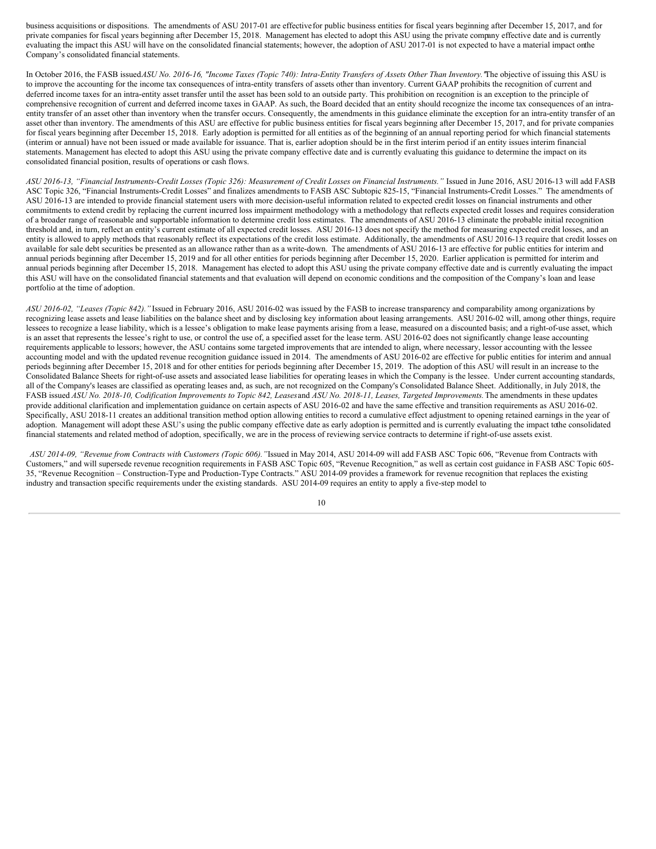business acquisitions or dispositions. The amendments of ASU 2017-01 are effectivefor public business entities for fiscal years beginning after December 15, 2017, and for private companies for fiscal years beginning after December 15, 2018. Management has elected to adopt this ASU using the private company effective date and is currently evaluating the impact this ASU will have on the consolidated financial statements; however, the adoption of ASU 2017-01 is not expected to have a material impact onthe Company's consolidated financial statements.

In October 2016, the FASB issued ASU No. 2016-16, "Income Taxes (Topic 740): Intra-Entity Transfers of Assets Other Than Inventory. The objective of issuing this ASU is to improve the accounting for the income tax consequences of intra-entity transfers of assets other than inventory. Current GAAP prohibits the recognition of current and deferred income taxes for an intra-entity asset transfer until the asset has been sold to an outside party. This prohibition on recognition is an exception to the principle of comprehensive recognition of current and deferred income taxes in GAAP. As such, the Board decided that an entity should recognize the income tax consequences of an intraentity transfer of an asset other than inventory when the transfer occurs. Consequently, the amendments in this guidance eliminate the exception for an intra-entity transfer of an asset other than inventory. The amendments of this ASU are effective for public business entities for fiscal years beginning after December 15, 2017, and for private companies for fiscal years beginning after December 15, 2018. Early adoption is permitted for all entities as of the beginning of an annual reporting period for which financial statements (interim or annual) have not been issued or made available for issuance. That is, earlier adoption should be in the first interim period if an entity issues interim financial statements. Management has elected to adopt this ASU using the private company effective date and is currently evaluating this guidance to determine the impact on its consolidated financial position, results of operations or cash flows.

ASU 2016-13, "Financial Instruments-Credit Losses (Topic 326): Measurement of Credit Losses on Financial Instruments." Issued in June 2016, ASU 2016-13 will add FASB ASC Topic 326, "Financial Instruments-Credit Losses" and finalizes amendments to FASB ASC Subtopic 825-15, "Financial Instruments-Credit Losses." The amendments of ASU 2016-13 are intended to provide financial statement users with more decision-useful information related to expected credit losses on financial instruments and other commitments to extend credit by replacing the current incurred loss impairment methodology with a methodology that reflects expected credit losses and requires consideration of a broader range of reasonable and supportable information to determine credit loss estimates. The amendments of ASU 2016-13 eliminate the probable initial recognition threshold and, in turn, reflect an entity's current estimate of all expected credit losses. ASU 2016-13 does not specify the method for measuring expected credit losses, and an entity is allowed to apply methods that reasonably reflect its expectations of the credit loss estimate. Additionally, the amendments of ASU 2016-13 require that credit losses on available for sale debt securities be presented as an allowance rather than as a write-down. The amendments of ASU 2016-13 are effective for public entities for interim and annual periods beginning after December 15, 2019 and for all other entities for periods beginning after December 15, 2020. Earlier application is permitted for interim and annual periods beginning after December 15, 2018. Management has elected to adopt this ASU using the private company effective date and is currently evaluating the impact this ASU will have on the consolidated financial statements and that evaluation will depend on economic conditions and the composition of the Company's loan and lease portfolio at the time of adoption.

*ASU 2016-02, "Leases (Topic 842)."* Issued in February 2016, ASU 2016-02 was issued by the FASB to increase transparency and comparability among organizations by recognizing lease assets and lease liabilities on the balance sheet and by disclosing key information about leasing arrangements. ASU 2016-02 will, among other things, require lessees to recognize a lease liability, which is a lessee's obligation to make lease payments arising from a lease, measured on a discounted basis; and a right-of-use asset, which is an asset that represents the lessee's right to use, or control the use of, a specified asset for the lease term. ASU 2016-02 does not significantly change lease accounting requirements applicable to lessors; however, the ASU contains some targeted improvements that are intended to align, where necessary, lessor accounting with the lessee accounting model and with the updated revenue recognition guidance issued in 2014. The amendments of ASU 2016-02 are effective for public entities for interim and annual periods beginning after December 15, 2018 and for other entities for periods beginning after December 15, 2019. The adoption of this ASU will result in an increase to the Consolidated Balance Sheets for right-of-use assets and associated lease liabilities for operating leases in which the Company is the lessee. Under current accounting standards, all of the Company's leases are classified as operating leases and, as such, are not recognized on the Company's Consolidated Balance Sheet. Additionally, in July 2018, the FASB issued ASU No. 2018-10, Codification Improvements to Topic 842, Leases and ASU No. 2018-11, Leases, Targeted Improvements. The amendments in these updates provide additional clarification and implementation guidance on certain aspects of ASU 2016-02 and have the same effective and transition requirements as ASU 2016-02. Specifically, ASU 2018-11 creates an additional transition method option allowing entities to record a cumulative effect adjustment to opening retained earnings in the year of adoption. Management will adopt these ASU's using the public company effective date as early adoption is permitted and is currently evaluating the impact tothe consolidated financial statements and related method of adoption, specifically, we are in the process of reviewing service contracts to determine if right-of-use assets exist.

*ASU 2014-09, "Revenue from Contracts with Customers (Topic 606)."*Issued in May 2014, ASU 2014-09 will add FASB ASC Topic 606, "Revenue from Contracts with Customers," and will supersede revenue recognition requirements in FASB ASC Topic 605, "Revenue Recognition," as well as certain cost guidance in FASB ASC Topic 605- 35, "Revenue Recognition – Construction-Type and Production-Type Contracts." ASU 2014-09 provides a framework for revenue recognition that replaces the existing industry and transaction specific requirements under the existing standards. ASU 2014-09 requires an entity to apply a five-step model to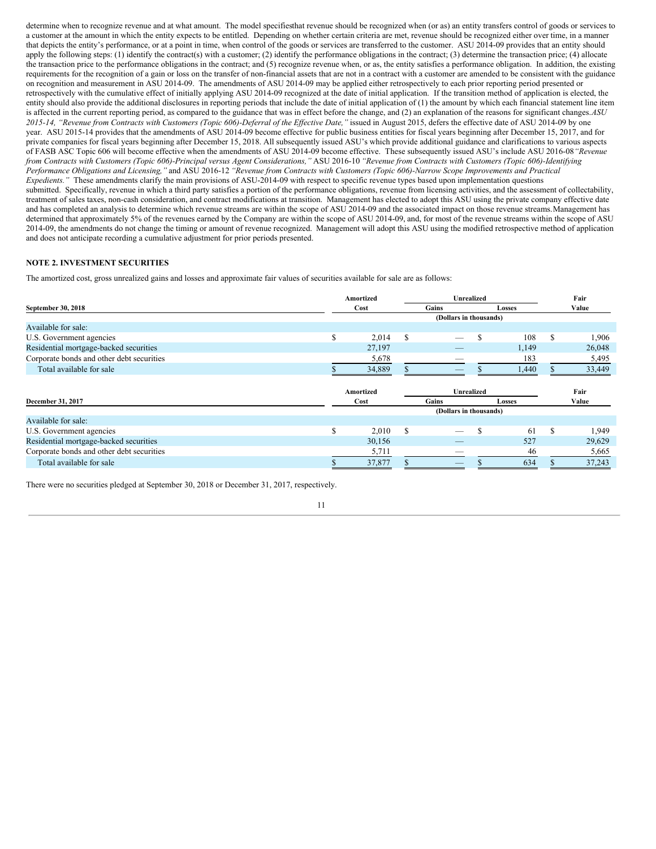determine when to recognize revenue and at what amount. The model specifiesthat revenue should be recognized when (or as) an entity transfers control of goods or services to a customer at the amount in which the entity expects to be entitled. Depending on whether certain criteria are met, revenue should be recognized either over time, in a manner that depicts the entity's performance, or at a point in time, when control of the goods or services are transferred to the customer. ASU 2014-09 provides that an entity should apply the following steps: (1) identify the contract(s) with a customer; (2) identify the performance obligations in the contract; (3) determine the transaction price; (4) allocate the transaction price to the performance obligations in the contract; and (5) recognize revenue when, or as, the entity satisfies a performance obligation. In addition, the existing requirements for the recognition of a gain or loss on the transfer of non-financial assets that are not in a contract with a customer are amended to be consistent with the guidance on recognition and measurement in ASU 2014-09. The amendments of ASU 2014-09 may be applied either retrospectively to each prior reporting period presented or retrospectively with the cumulative effect of initially applying ASU 2014-09 recognized at the date of initial application. If the transition method of application is elected, the entity should also provide the additional disclosures in reporting periods that include the date of initial application of (1) the amount by which each financial statement line item is affected in the current reporting period, as compared to the guidance that was in effect before the change, and (2) an explanation of the reasons for significant changes.*ASU* 2015-14, "Revenue from Contracts with Customers (Topic 606)-Deferral of the Effective Date," issued in August 2015, defers the effective date of ASU 2014-09 by one year. ASU 2015-14 provides that the amendments of ASU 2014-09 become effective for public business entities for fiscal years beginning after December 15, 2017, and for private companies for fiscal years beginning after December 15, 2018. All subsequently issued ASU's which provide additional guidance and clarifications to various aspects of FASB ASC Topic 606 will become effective when the amendments of ASU 2014-09 become effective. These subsequently issued ASU's include ASU 2016-08*"Revenue* from Contracts with Customers (Topic 606)-Principal versus Agent Considerations," ASU 2016-10 "Revenue from Contracts with Customers (Topic 606)-Identifying Performance Obligations and Licensing," and ASU 2016-12 "Revenue from Contracts with Customers (Topic 606)-Narrow Scope Improvements and Practical *Expedients."* These amendments clarify the main provisions of ASU-2014-09 with respect to specific revenue types based upon implementation questions submitted. Specifically, revenue in which a third party satisfies a portion of the performance obligations, revenue from licensing activities, and the assessment of collectability, treatment of sales taxes, non-cash consideration, and contract modifications at transition. Management has elected to adopt this ASU using the private company effective date and has completed an analysis to determine which revenue streams are within the scope of ASU 2014-09 and the associated impact on those revenue streams. Management has determined that approximately 5% of the revenues earned by the Company are within the scope of ASU 2014-09, and, for most of the revenue streams within the scope of ASU 2014-09, the amendments do not change the timing or amount of revenue recognized. Management will adopt this ASU using the modified retrospective method of application and does not anticipate recording a cumulative adjustment for prior periods presented.

# **NOTE 2. INVESTMENT SECURITIES**

The amortized cost, gross unrealized gains and losses and approximate fair values of securities available for sale are as follows:

|                                           | Amortized |           |                 |                          | <b>Unrealized</b> |       |     |        |  |
|-------------------------------------------|-----------|-----------|-----------------|--------------------------|-------------------|-------|-----|--------|--|
| September 30, 2018                        | Cost      |           |                 | Gains                    | Losses            |       |     | Value  |  |
|                                           |           |           |                 | (Dollars in thousands)   |                   |       |     |        |  |
| Available for sale:                       |           |           |                 |                          |                   |       |     |        |  |
| U.S. Government agencies                  | S         | 2,014     | S               | $\overline{\phantom{a}}$ | \$.               | 108   | S   | 1,906  |  |
| Residential mortgage-backed securities    |           | 27,197    |                 |                          |                   | 1,149 |     | 26,048 |  |
| Corporate bonds and other debt securities |           | 5,678     |                 | -                        |                   | 183   |     | 5,495  |  |
| Total available for sale                  |           | 34,889    |                 | $\overline{\phantom{a}}$ |                   | 1,440 |     | 33,449 |  |
|                                           |           |           |                 |                          |                   |       |     |        |  |
|                                           |           | Amortized |                 | Unrealized               |                   |       |     | Fair   |  |
| December 31, 2017                         |           | Cost      | Gains<br>Losses |                          |                   |       |     | Value  |  |
|                                           |           |           |                 | (Dollars in thousands)   |                   |       |     |        |  |
| Available for sale:                       |           |           |                 |                          |                   |       |     |        |  |
| U.S. Government agencies                  | ъ.        | 2,010     | S               |                          | \$                | 61    | \$. | 1,949  |  |
| Residential mortgage-backed securities    |           | 30,156    |                 |                          |                   | 527   |     | 29,629 |  |
| Corporate bonds and other debt securities |           | 5,711     |                 | $\overline{\phantom{a}}$ |                   | 46    |     | 5,665  |  |
| Total available for sale                  |           | 37,877    |                 |                          |                   | 634   |     | 37,243 |  |

There were no securities pledged at September 30, 2018 or December 31, 2017, respectively.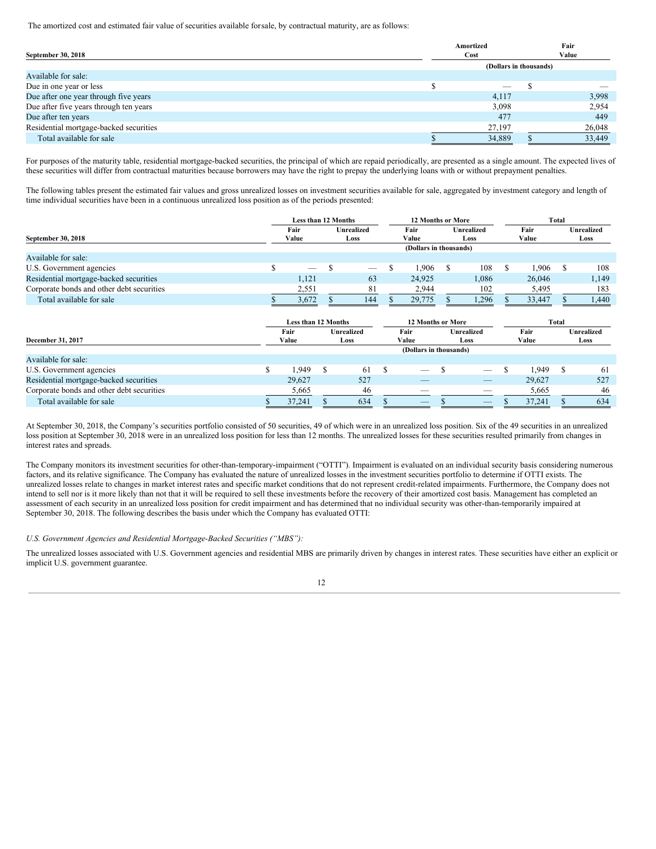The amortized cost and estimated fair value of securities available forsale, by contractual maturity, are as follows:

|                                        | Amortized                | Fair |        |  |
|----------------------------------------|--------------------------|------|--------|--|
| September 30, 2018                     | Cost                     |      | Value  |  |
|                                        | (Dollars in thousands)   |      |        |  |
| Available for sale:                    |                          |      |        |  |
| Due in one year or less                | $\overline{\phantom{a}}$ |      |        |  |
| Due after one year through five years  | 4,117                    |      | 3,998  |  |
| Due after five years through ten years | 3,098                    |      | 2,954  |  |
| Due after ten years                    | 477                      |      | 449    |  |
| Residential mortgage-backed securities | 27,197                   |      | 26,048 |  |
| Total available for sale               | 34,889                   |      | 33,449 |  |

For purposes of the maturity table, residential mortgage-backed securities, the principal of which are repaid periodically, are presented as a single amount. The expected lives of these securities will differ from contractual maturities because borrowers may have the right to prepay the underlying loans with or without prepayment penalties.

The following tables present the estimated fair values and gross unrealized losses on investment securities available for sale, aggregated by investment category and length of time individual securities have been in a continuous unrealized loss position as of the periods presented:

|                                           | <b>Less than 12 Months</b> |                        |    |                           |    | <b>12 Months or More</b> |                    |                          | Total         |        |               |                           |
|-------------------------------------------|----------------------------|------------------------|----|---------------------------|----|--------------------------|--------------------|--------------------------|---------------|--------|---------------|---------------------------|
| September 30, 2018                        |                            | Fair<br>Value          |    | <b>Unrealized</b><br>Loss |    | Fair<br>Value            | Unrealized<br>Loss |                          | Fair<br>Value |        |               | <b>Unrealized</b><br>Loss |
|                                           |                            | (Dollars in thousands) |    |                           |    |                          |                    |                          |               |        |               |                           |
| Available for sale:                       |                            |                        |    |                           |    |                          |                    |                          |               |        |               |                           |
| U.S. Government agencies                  | S                          |                        | S  |                           | \$ | 1,906                    | S                  | 108                      | S             | 1,906  | <sup>\$</sup> | 108                       |
| Residential mortgage-backed securities    |                            | 1,121                  |    | 63                        |    | 24,925                   |                    | 1,086                    |               | 26,046 |               | 1,149                     |
| Corporate bonds and other debt securities |                            | 2,551                  |    | 81                        |    | 2,944                    |                    | 102                      |               | 5,495  |               | 183                       |
| Total available for sale                  |                            | 3,672                  |    | 144                       |    | 29,775                   |                    | 1,296                    |               | 33,447 |               | 1,440                     |
|                                           |                            | Less than 12 Months    |    |                           |    | <b>12 Months or More</b> |                    |                          |               |        | Total         |                           |
|                                           |                            | Fair                   |    | <b>Unrealized</b>         |    | Fair                     |                    | Unrealized               | Fair          |        |               | <b>Unrealized</b>         |
| December 31, 2017                         |                            | Value                  |    | Loss                      |    | Value                    |                    | Loss                     |               | Value  |               | Loss                      |
|                                           |                            |                        |    |                           |    | (Dollars in thousands)   |                    |                          |               |        |               |                           |
| Available for sale:                       |                            |                        |    |                           |    |                          |                    |                          |               |        |               |                           |
| U.S. Government agencies                  | \$                         | 1.949                  | S  | 61                        | S  | -                        |                    | $\overline{\phantom{0}}$ | S             | 1.949  | \$            | 61                        |
| Residential mortgage-backed securities    |                            | 29.627                 |    | 527                       |    |                          |                    |                          |               | 29,627 |               | 527                       |
| Corporate bonds and other debt securities |                            | 5,665                  |    | 46                        |    | _                        |                    | _                        |               | 5,665  |               | 46                        |
| Total available for sale                  | D.                         | 37,241                 | Ъ. | 634                       |    | --                       |                    | _                        | S             | 37,241 |               | 634                       |

At September 30, 2018, the Company's securities portfolio consisted of 50 securities, 49 of which were in an unrealized loss position. Six of the 49 securities in an unrealized loss position at September 30, 2018 were in an unrealized loss position for less than 12 months. The unrealized losses for these securities resulted primarily from changes in interest rates and spreads.

The Company monitors its investment securities for other-than-temporary-impairment ("OTTI"). Impairment is evaluated on an individual security basis considering numerous factors, and its relative significance. The Company has evaluated the nature of unrealized losses in the investment securities portfolio to determine if OTTI exists. The unrealized losses relate to changes in market interest rates and specific market conditions that do not represent credit-related impairments. Furthermore, the Company does not intend to sell nor is it more likely than not that it will be required to sell these investments before the recovery of their amortized cost basis. Management has completed an assessment of each security in an unrealized loss position for credit impairment and has determined that no individual security was other-than-temporarily impaired at September 30, 2018. The following describes the basis under which the Company has evaluated OTTI:

# *U.S. Government Agencies and Residential Mortgage-Backed Securities ("MBS"):*

The unrealized losses associated with U.S. Government agencies and residential MBS are primarily driven by changes in interest rates. These securities have either an explicit or implicit U.S. government guarantee.

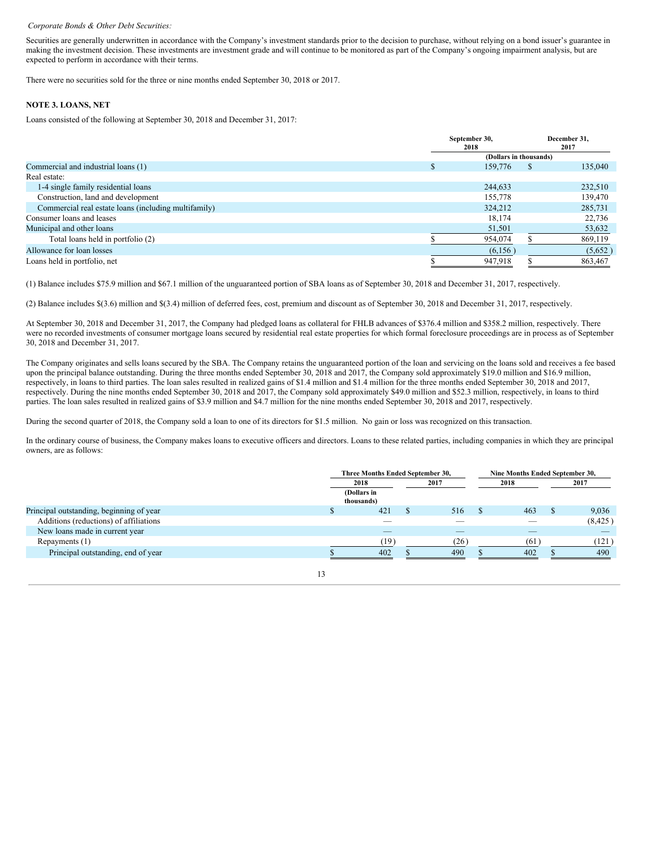#### *Corporate Bonds & Other Debt Securities:*

Securities are generally underwritten in accordance with the Company's investment standards prior to the decision to purchase, without relying on a bond issuer's guarantee in making the investment decision. These investments are investment grade and will continue to be monitored as part of the Company's ongoing impairment analysis, but are expected to perform in accordance with their terms.

There were no securities sold for the three or nine months ended September 30, 2018 or 2017.

# **NOTE 3. LOANS, NET**

Loans consisted of the following at September 30, 2018 and December 31, 2017:

|                                                      | September 30,<br>2018 |                        |              | December 31,<br>2017 |
|------------------------------------------------------|-----------------------|------------------------|--------------|----------------------|
|                                                      |                       | (Dollars in thousands) |              |                      |
| Commercial and industrial loans (1)                  |                       | 159,776                | <sup>S</sup> | 135,040              |
| Real estate:                                         |                       |                        |              |                      |
| 1-4 single family residential loans                  |                       | 244,633                |              | 232,510              |
| Construction, land and development                   |                       | 155,778                |              | 139,470              |
| Commercial real estate loans (including multifamily) |                       | 324,212                |              | 285,731              |
| Consumer loans and leases                            |                       | 18,174                 |              | 22,736               |
| Municipal and other loans                            |                       | 51,501                 |              | 53,632               |
| Total loans held in portfolio (2)                    |                       | 954,074                |              | 869,119              |
| Allowance for loan losses                            |                       | (6,156)                |              | (5,652)              |
| Loans held in portfolio, net                         |                       | 947,918                |              | 863,467              |

(1) Balance includes \$75.9 million and \$67.1 million of the unguaranteed portion of SBA loans as of September 30, 2018 and December 31, 2017, respectively.

(2) Balance includes \$(3.6) million and \$(3.4) million of deferred fees, cost, premium and discount as of September 30, 2018 and December 31, 2017, respectively.

At September 30, 2018 and December 31, 2017, the Company had pledged loans as collateral for FHLB advances of \$376.4 million and \$358.2 million, respectively. There were no recorded investments of consumer mortgage loans secured by residential real estate properties for which formal foreclosure proceedings are in process as of September 30, 2018 and December 31, 2017.

The Company originates and sells loans secured by the SBA. The Company retains the unguaranteed portion of the loan and servicing on the loans sold and receives a fee based upon the principal balance outstanding. During the three months ended September 30, 2018 and 2017, the Company sold approximately \$19.0 million and \$16.9 million, respectively, in loans to third parties. The loan sales resulted in realized gains of \$1.4 million and \$1.4 million for the three months ended September 30, 2018 and 2017, respectively. During the nine months ended September 30, 2018 and 2017, the Company sold approximately \$49.0 million and \$52.3 million, respectively, in loans to third parties. The loan sales resulted in realized gains of \$3.9 million and \$4.7 million for the nine months ended September 30, 2018 and 2017, respectively.

During the second quarter of 2018, the Company sold a loan to one of its directors for \$1.5 million. No gain or loss was recognized on this transaction.

In the ordinary course of business, the Company makes loans to executive officers and directors. Loans to these related parties, including companies in which they are principal owners, are as follows:

|                                          | Three Months Ended September 30, |  |      |  | Nine Months Ended September 30, |  |          |
|------------------------------------------|----------------------------------|--|------|--|---------------------------------|--|----------|
|                                          | 2018                             |  | 2017 |  | 2018                            |  | 2017     |
|                                          | (Dollars in<br>thousands)        |  |      |  |                                 |  |          |
| Principal outstanding, beginning of year | 421                              |  | 516  |  | 463                             |  | 9,036    |
| Additions (reductions) of affiliations   |                                  |  |      |  |                                 |  | (8, 425) |
| New loans made in current year           | $-$                              |  | __   |  | _                               |  | $-$      |
| Repayments (1)                           | (19)                             |  | (26) |  | (61                             |  | (121)    |
| Principal outstanding, end of year       | 402                              |  | 490  |  | 402                             |  | 490      |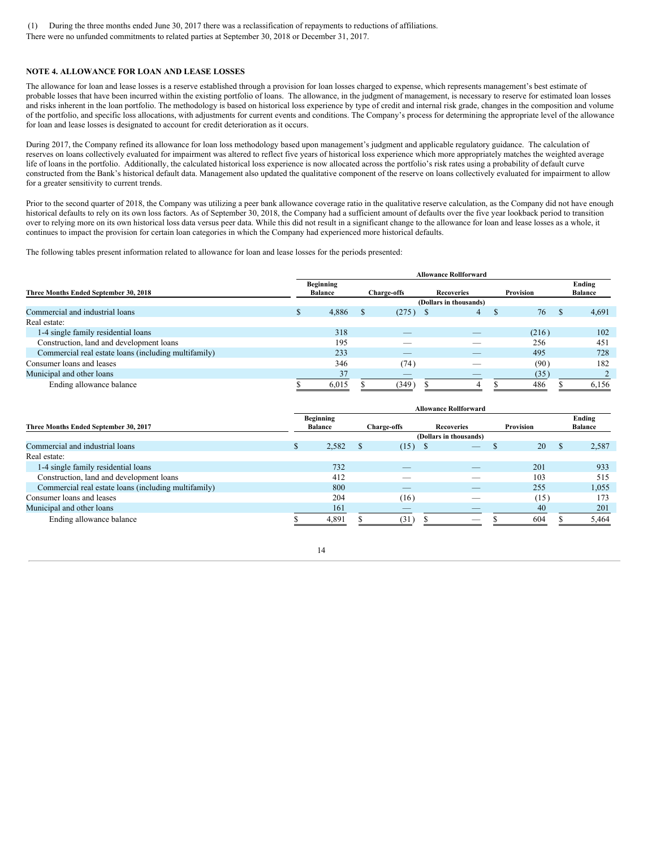(1) During the three months ended June 30, 2017 there was a reclassification of repayments to reductions of affiliations. There were no unfunded commitments to related parties at September 30, 2018 or December 31, 2017.

# **NOTE 4. ALLOWANCE FOR LOAN AND LEASE LOSSES**

The allowance for loan and lease losses is a reserve established through a provision for loan losses charged to expense, which represents management's best estimate of probable losses that have been incurred within the existing portfolio of loans. The allowance, in the judgment of management, is necessary to reserve for estimated loan losses and risks inherent in the loan portfolio. The methodology is based on historical loss experience by type of credit and internal risk grade, changes in the composition and volume of the portfolio, and specific loss allocations, with adjustments for current events and conditions. The Company's process for determining the appropriate level of the allowance for loan and lease losses is designated to account for credit deterioration as it occurs.

During 2017, the Company refined its allowance for loan loss methodology based upon management's judgment and applicable regulatory guidance. The calculation of reserves on loans collectively evaluated for impairment was altered to reflect five years of historical loss experience which more appropriately matches the weighted average life of loans in the portfolio. Additionally, the calculated historical loss experience is now allocated across the portfolio's risk rates using a probability of default curve constructed from the Bank's historical default data. Management also updated the qualitative component of the reserve on loans collectively evaluated for impairment to allow for a greater sensitivity to current trends.

Prior to the second quarter of 2018, the Company was utilizing a peer bank allowance coverage ratio in the qualitative reserve calculation, as the Company did not have enough historical defaults to rely on its own loss factors. As of September 30, 2018, the Company had a sufficient amount of defaults over the five year lookback period to transition over to relying more on its own historical loss data versus peer data. While this did not result in a significant change to the allowance for loan and lease losses as a whole, it continues to impact the provision for certain loan categories in which the Company had experienced more historical defaults.

The following tables present information related to allowance for loan and lease losses for the periods presented:

|                                                      | <b>Allowance Rollforward</b> |                                    |  |                          |                   |                        |  |           |    |                          |  |  |  |
|------------------------------------------------------|------------------------------|------------------------------------|--|--------------------------|-------------------|------------------------|--|-----------|----|--------------------------|--|--|--|
| Three Months Ended September 30, 2018                |                              | <b>Beginning</b><br><b>Balance</b> |  | <b>Charge-offs</b>       | <b>Recoveries</b> |                        |  | Provision |    | Ending<br><b>Balance</b> |  |  |  |
|                                                      |                              |                                    |  |                          |                   | (Dollars in thousands) |  |           |    |                          |  |  |  |
| Commercial and industrial loans                      |                              | 4,886                              |  | (275)                    |                   | 4                      |  | 76        | -S | 4,691                    |  |  |  |
| Real estate:                                         |                              |                                    |  |                          |                   |                        |  |           |    |                          |  |  |  |
| 1-4 single family residential loans                  |                              | 318                                |  | _                        |                   |                        |  | (216)     |    | 102                      |  |  |  |
| Construction, land and development loans             |                              | 195                                |  |                          |                   |                        |  | 256       |    | 451                      |  |  |  |
| Commercial real estate loans (including multifamily) |                              | 233                                |  |                          |                   | _                      |  | 495       |    | 728                      |  |  |  |
| Consumer loans and leases                            |                              | 346                                |  | (74)                     |                   |                        |  | (90)      |    | 182                      |  |  |  |
| Municipal and other loans                            |                              | 37                                 |  | $\overline{\phantom{a}}$ |                   |                        |  | (35)      |    |                          |  |  |  |
| Ending allowance balance                             |                              | 6,015                              |  | (349)                    |                   | 4                      |  | 486       |    | 6,156                    |  |  |  |

|                                                      | <b>Allowance Rollforward</b> |                |  |                          |                          |  |           |  |                |  |  |  |
|------------------------------------------------------|------------------------------|----------------|--|--------------------------|--------------------------|--|-----------|--|----------------|--|--|--|
|                                                      |                              | Beginning      |  |                          |                          |  |           |  | Ending         |  |  |  |
| Three Months Ended September 30, 2017                |                              | <b>Balance</b> |  | <b>Charge-offs</b>       | <b>Recoveries</b>        |  | Provision |  | <b>Balance</b> |  |  |  |
|                                                      |                              |                |  |                          | (Dollars in thousands)   |  |           |  |                |  |  |  |
| Commercial and industrial loans                      | S                            | 2,582          |  | (15)                     |                          |  | 20        |  | 2,587          |  |  |  |
| Real estate:                                         |                              |                |  |                          |                          |  |           |  |                |  |  |  |
| 1-4 single family residential loans                  |                              | 732            |  | _                        | _                        |  | 201       |  | 933            |  |  |  |
| Construction, land and development loans             |                              | 412            |  |                          |                          |  | 103       |  | 515            |  |  |  |
| Commercial real estate loans (including multifamily) |                              | 800            |  | _                        | __                       |  | 255       |  | 1,055          |  |  |  |
| Consumer loans and leases                            |                              | 204            |  | (16)                     |                          |  | (15)      |  | 173            |  |  |  |
| Municipal and other loans                            |                              | 161            |  | $\overline{\phantom{a}}$ |                          |  | 40        |  | 201            |  |  |  |
| Ending allowance balance                             |                              | 4.891          |  | (31)                     | $\overline{\phantom{a}}$ |  | 604       |  | 5,464          |  |  |  |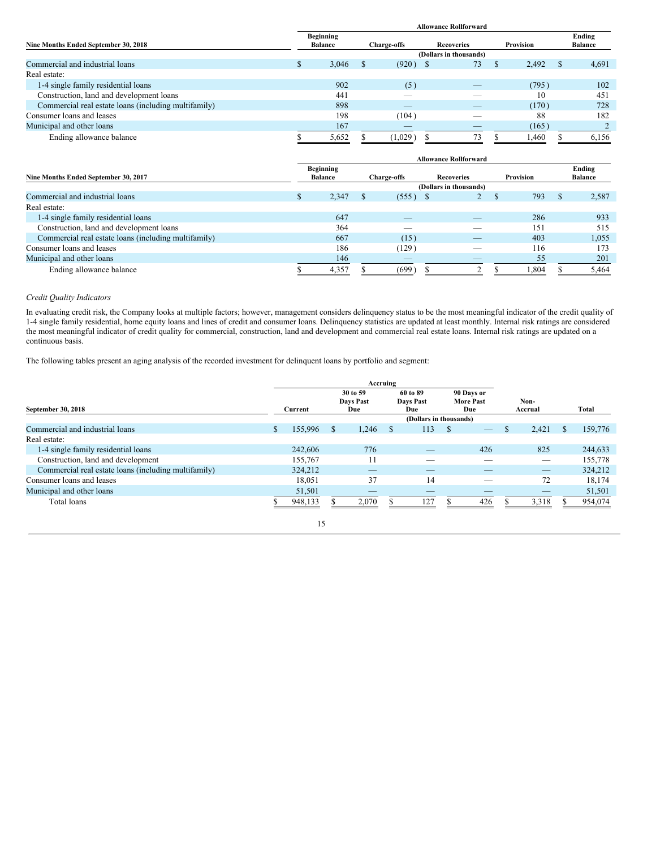|                                                      | <b>Allowance Rollforward</b> |                                    |  |                    |  |                        |  |           |  |                          |  |  |
|------------------------------------------------------|------------------------------|------------------------------------|--|--------------------|--|------------------------|--|-----------|--|--------------------------|--|--|
| Nine Months Ended September 30, 2018                 |                              | <b>Beginning</b><br><b>Balance</b> |  | <b>Charge-offs</b> |  | <b>Recoveries</b>      |  | Provision |  | Ending<br><b>Balance</b> |  |  |
|                                                      |                              |                                    |  |                    |  | (Dollars in thousands) |  |           |  |                          |  |  |
| Commercial and industrial loans                      |                              | 3,046                              |  | (920)              |  | 73                     |  | 2,492     |  | 4,691                    |  |  |
| Real estate:                                         |                              |                                    |  |                    |  |                        |  |           |  |                          |  |  |
| 1-4 single family residential loans                  |                              | 902                                |  | (5)                |  |                        |  | (795)     |  | 102                      |  |  |
| Construction, land and development loans             |                              | 441                                |  |                    |  |                        |  | 10        |  | 451                      |  |  |
| Commercial real estate loans (including multifamily) |                              | 898                                |  | _                  |  | _                      |  | (170)     |  | 728                      |  |  |
| Consumer loans and leases                            |                              | 198                                |  | (104)              |  |                        |  | 88        |  | 182                      |  |  |
| Municipal and other loans                            |                              | 167                                |  | _                  |  | _                      |  | (165)     |  |                          |  |  |
| Ending allowance balance                             |                              | 5,652                              |  | (1,029)            |  | 73                     |  | 1.460     |  | 6,156                    |  |  |

| <b>Allowance Rollforward</b>                         |  |                                    |  |                          |                   |                        |  |           |  |                          |
|------------------------------------------------------|--|------------------------------------|--|--------------------------|-------------------|------------------------|--|-----------|--|--------------------------|
| Nine Months Ended September 30, 2017                 |  | <b>Beginning</b><br><b>Balance</b> |  | <b>Charge-offs</b>       | <b>Recoveries</b> |                        |  | Provision |  | Ending<br><b>Balance</b> |
|                                                      |  |                                    |  |                          |                   | (Dollars in thousands) |  |           |  |                          |
| Commercial and industrial loans                      |  | 2,347                              |  | $(555)$ \$               |                   |                        |  | 793       |  | 2,587                    |
| Real estate:                                         |  |                                    |  |                          |                   |                        |  |           |  |                          |
| 1-4 single family residential loans                  |  | 647                                |  | $\overline{\phantom{a}}$ |                   | _                      |  | 286       |  | 933                      |
| Construction, land and development loans             |  | 364                                |  | _                        |                   |                        |  | 151       |  | 515                      |
| Commercial real estate loans (including multifamily) |  | 667                                |  | (15)                     |                   | _                      |  | 403       |  | 1,055                    |
| Consumer loans and leases                            |  | 186                                |  | (129)                    |                   | __                     |  | 116       |  | 173                      |
| Municipal and other loans                            |  | 146                                |  | $\overline{\phantom{a}}$ |                   |                        |  | 55        |  | 201                      |
| Ending allowance balance                             |  | 4,357                              |  | (699)                    |                   |                        |  | 1,804     |  | 5.464                    |

# *Credit Quality Indicators*

In evaluating credit risk, the Company looks at multiple factors; however, management considers delinquency status to be the most meaningful indicator of the credit quality of 1-4 single family residential, home equity loans and lines of credit and consumer loans. Delinquency statistics are updated at least monthly. Internal risk ratings are considered the most meaningful indicator of credit quality for commercial, construction, land and development and commercial real estate loans. Internal risk ratings are updated on a continuous basis.

The following tables present an aging analysis of the recorded investment for delinquent loans by portfolio and segment:

| September 30, 2018                                   | Current |         |               | 30 to 59<br>60 to 89<br>Days Past<br>Days Past<br>Due<br>Due |          |                          | 90 Days or<br><b>More Past</b><br>Due |                          | Non-<br>Accrual |       |   | Total   |
|------------------------------------------------------|---------|---------|---------------|--------------------------------------------------------------|----------|--------------------------|---------------------------------------|--------------------------|-----------------|-------|---|---------|
|                                                      |         |         |               |                                                              |          | (Dollars in thousands)   |                                       |                          |                 |       |   |         |
| Commercial and industrial loans                      | \$.     | 155,996 | <sup>\$</sup> | 1.246                                                        | <b>S</b> | 113                      | <sup>S</sup>                          |                          | \$              | 2,421 | ж | 159,776 |
| Real estate:                                         |         |         |               |                                                              |          |                          |                                       |                          |                 |       |   |         |
| 1-4 single family residential loans                  |         | 242,606 |               | 776                                                          |          | $\overline{\phantom{a}}$ |                                       | 426                      |                 | 825   |   | 244,633 |
| Construction, land and development                   |         | 155,767 |               |                                                              |          |                          |                                       |                          |                 | –     |   | 155,778 |
| Commercial real estate loans (including multifamily) |         | 324,212 |               | _                                                            |          | _                        |                                       | $\overline{\phantom{a}}$ |                 | _     |   | 324,212 |
| Consumer loans and leases                            |         | 18.051  |               | 37                                                           |          | 14                       |                                       | _                        |                 | 72    |   | 18,174  |
| Municipal and other loans                            |         | 51,501  |               | _                                                            |          | _                        |                                       | $\qquad \qquad - \qquad$ |                 |       |   | 51,501  |
| Total loans                                          |         | 948,133 |               | 2.070                                                        |          | 127                      |                                       | 426                      |                 | 3,318 |   | 954,074 |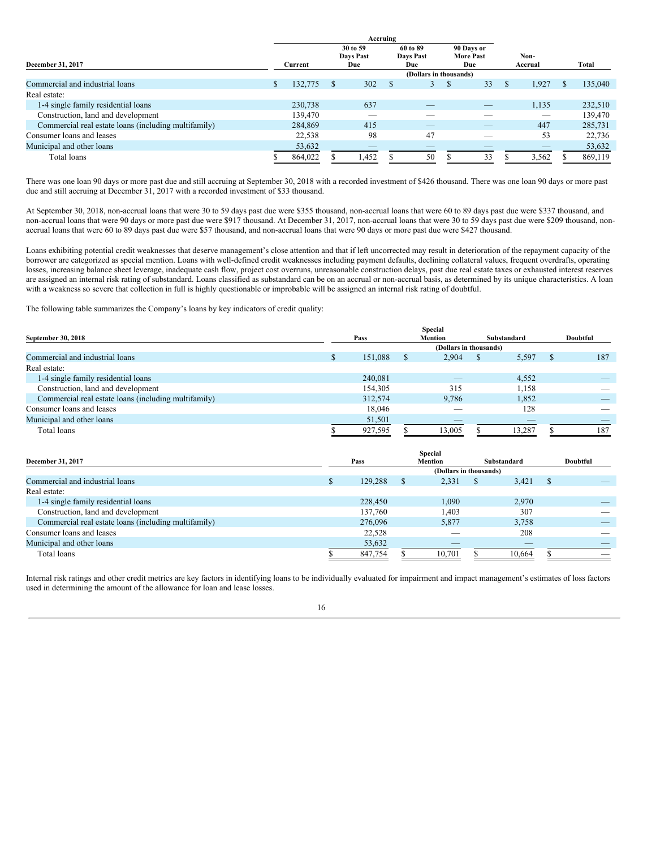|                                                      |         |         |                                     | Accruing |                                     |                        |                                |    |             |         |         |
|------------------------------------------------------|---------|---------|-------------------------------------|----------|-------------------------------------|------------------------|--------------------------------|----|-------------|---------|---------|
| December 31, 2017                                    | Current |         | 30 to 59<br><b>Days Past</b><br>Due |          | 60 to 89<br><b>Davs Past</b><br>Due |                        | 90 Days or<br><b>More Past</b> |    | Non-<br>Due |         | Total   |
|                                                      |         |         |                                     |          |                                     | (Dollars in thousands) |                                |    |             | Accrual |         |
| Commercial and industrial loans                      | \$      | 132,775 |                                     | 302      |                                     |                        |                                | 33 |             | 1,927   | 135,040 |
| Real estate:                                         |         |         |                                     |          |                                     |                        |                                |    |             |         |         |
| 1-4 single family residential loans                  |         | 230,738 |                                     | 637      |                                     |                        |                                | _  |             | 1,135   | 232,510 |
| Construction, land and development                   |         | 139,470 |                                     |          |                                     |                        |                                |    |             | _       | 139,470 |
| Commercial real estate loans (including multifamily) |         | 284,869 |                                     | 415      |                                     | _                      |                                | _  |             | 447     | 285,731 |
| Consumer loans and leases                            |         | 22,538  |                                     | 98       |                                     | 47                     |                                | _  |             | 53      | 22,736  |
| Municipal and other loans                            |         | 53,632  |                                     |          |                                     |                        |                                |    |             |         | 53,632  |
| Total loans                                          |         | 864,022 |                                     | .452     |                                     | 50                     |                                | 33 |             | 3,562   | 869,119 |

There was one loan 90 days or more past due and still accruing at September 30, 2018 with a recorded investment of \$426 thousand. There was one loan 90 days or more past due and still accruing at December 31, 2017 with a recorded investment of \$33 thousand.

At September 30, 2018, non-accrual loans that were 30 to 59 days past due were \$355 thousand, non-accrual loans that were 60 to 89 days past due were \$337 thousand, and non-accrual loans that were 90 days or more past due were \$917 thousand. At December 31, 2017, non-accrual loans that were 30 to 59 days past due were \$209 thousand, nonaccrual loans that were 60 to 89 days past due were \$57 thousand, and non-accrual loans that were 90 days or more past due were \$427 thousand.

Loans exhibiting potential credit weaknesses that deserve management's close attention and that if left uncorrected may result in deterioration of the repayment capacity of the borrower are categorized as special mention. Loans with well-defined credit weaknesses including payment defaults, declining collateral values, frequent overdrafts, operating losses, increasing balance sheet leverage, inadequate cash flow, project cost overruns, unreasonable construction delays, past due real estate taxes or exhausted interest reserves are assigned an internal risk rating of substandard. Loans classified as substandard can be on an accrual or non-accrual basis, as determined by its unique characteristics. A loan with a weakness so severe that collection in full is highly questionable or improbable will be assigned an internal risk rating of doubtful.

The following table summarizes the Company's loans by key indicators of credit quality:

| September 30, 2018                                   |  | Pass    | Mention                | Substandard |                          |  | Doubtful |
|------------------------------------------------------|--|---------|------------------------|-------------|--------------------------|--|----------|
|                                                      |  |         | (Dollars in thousands) |             |                          |  |          |
| Commercial and industrial loans                      |  | 151.088 | \$<br>2.904            |             | 5,597                    |  | 187      |
| Real estate:                                         |  |         |                        |             |                          |  |          |
| 1-4 single family residential loans                  |  | 240,081 | _                      |             | 4,552                    |  |          |
| Construction, land and development                   |  | 154.305 | 315                    |             | 1,158                    |  |          |
| Commercial real estate loans (including multifamily) |  | 312,574 | 9.786                  |             | 1,852                    |  |          |
| Consumer loans and leases                            |  | 18.046  | __                     |             | 128                      |  |          |
| Municipal and other loans                            |  | 51,501  | _                      |             | $\overline{\phantom{a}}$ |  |          |
| Total loans                                          |  | 927,595 | 13,005                 |             | 13.287                   |  | 187      |

| December 31, 2017                                    |   | Pass    | Substandard | Doubtful                                 |  |        |  |                          |  |
|------------------------------------------------------|---|---------|-------------|------------------------------------------|--|--------|--|--------------------------|--|
|                                                      |   |         |             | <b>Mention</b><br>(Dollars in thousands) |  |        |  |                          |  |
| Commercial and industrial loans                      | S | 129,288 | - \$        | 2,331                                    |  | 3,421  |  |                          |  |
| Real estate:                                         |   |         |             |                                          |  |        |  |                          |  |
| 1-4 single family residential loans                  |   | 228,450 |             | 1.090                                    |  | 2.970  |  |                          |  |
| Construction, land and development                   |   | 137,760 |             | 1.403                                    |  | 307    |  | $\overline{\phantom{a}}$ |  |
| Commercial real estate loans (including multifamily) |   | 276,096 |             | 5,877                                    |  | 3,758  |  |                          |  |
| Consumer loans and leases                            |   | 22,528  |             | $\overline{\phantom{a}}$                 |  | 208    |  |                          |  |
| Municipal and other loans                            |   | 53,632  |             | $\overline{\phantom{a}}$                 |  | $-$    |  |                          |  |
| Total loans                                          |   | 847,754 |             | 10,701                                   |  | 10,664 |  |                          |  |

Internal risk ratings and other credit metrics are key factors in identifying loans to be individually evaluated for impairment and impact management's estimates of loss factors used in determining the amount of the allowance for loan and lease losses.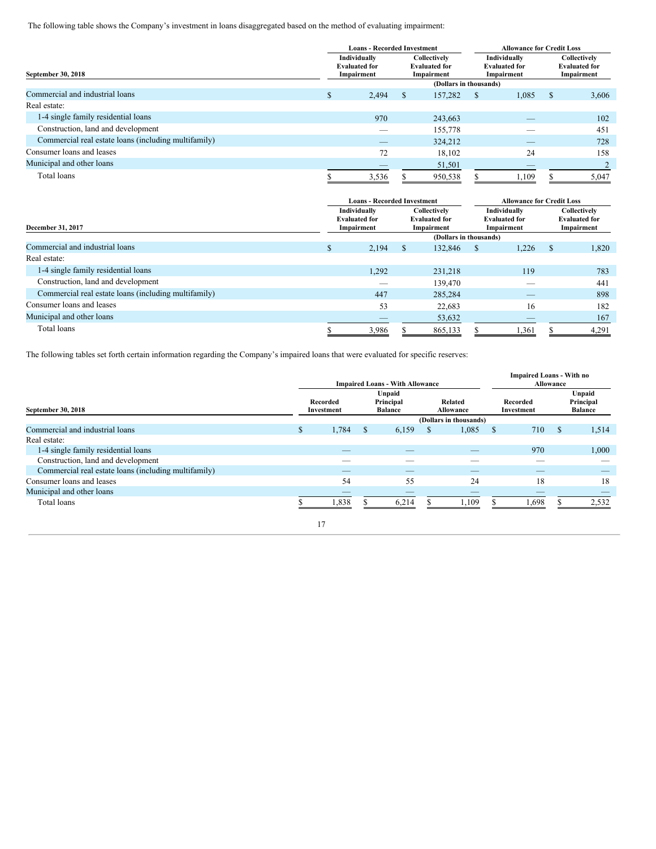The following table shows the Company's investment in loans disaggregated based on the method of evaluating impairment:

|                                                      |    | <b>Loans - Recorded Investment</b>                 |              |                                                    | <b>Allowance for Credit Loss</b> |                                                    |   |                                                    |  |
|------------------------------------------------------|----|----------------------------------------------------|--------------|----------------------------------------------------|----------------------------------|----------------------------------------------------|---|----------------------------------------------------|--|
| September 30, 2018                                   |    | Individually<br><b>Evaluated for</b><br>Impairment |              | Collectively<br><b>Evaluated for</b><br>Impairment |                                  | Individually<br><b>Evaluated for</b><br>Impairment |   | Collectively<br><b>Evaluated for</b><br>Impairment |  |
|                                                      |    |                                                    |              | (Dollars in thousands)                             |                                  |                                                    |   |                                                    |  |
| Commercial and industrial loans                      | \$ | 2,494                                              | <sup>S</sup> | 157,282                                            | S                                | 1,085                                              | S | 3,606                                              |  |
| Real estate:                                         |    |                                                    |              |                                                    |                                  |                                                    |   |                                                    |  |
| 1-4 single family residential loans                  |    | 970                                                |              | 243,663                                            |                                  | $-$                                                |   | 102                                                |  |
| Construction, land and development                   |    |                                                    |              | 155,778                                            |                                  |                                                    |   | 451                                                |  |
| Commercial real estate loans (including multifamily) |    | _                                                  |              | 324,212                                            |                                  |                                                    |   | 728                                                |  |
| Consumer loans and leases                            |    | 72                                                 |              | 18,102                                             | 24                               |                                                    |   | 158                                                |  |
| Municipal and other loans                            |    |                                                    |              | 51,501                                             | $-$                              |                                                    |   |                                                    |  |
| Total loans                                          |    | 3,536                                              | 950,538      |                                                    |                                  | 1,109                                              |   | 5,047                                              |  |

|                                                      |                  | <b>Loans - Recorded Investment</b>                 |         |                                                    | <b>Allowance for Credit Loss</b>                   |                          |       |                                                    |  |  |
|------------------------------------------------------|------------------|----------------------------------------------------|---------|----------------------------------------------------|----------------------------------------------------|--------------------------|-------|----------------------------------------------------|--|--|
| December 31, 2017                                    |                  | Individually<br><b>Evaluated for</b><br>Impairment |         | Collectively<br><b>Evaluated for</b><br>Impairment | Individually<br><b>Evaluated for</b><br>Impairment |                          |       | Collectively<br><b>Evaluated for</b><br>Impairment |  |  |
|                                                      |                  |                                                    |         | (Dollars in thousands)                             |                                                    |                          |       |                                                    |  |  |
| Commercial and industrial loans                      | <b>S</b>         | 2,194                                              | \$      | <sup>\$</sup>                                      | 1.226                                              | S.                       | 1,820 |                                                    |  |  |
| Real estate:                                         |                  |                                                    |         |                                                    |                                                    |                          |       |                                                    |  |  |
| 1-4 single family residential loans                  | 1,292<br>231.218 |                                                    |         |                                                    |                                                    | 119                      |       | 783                                                |  |  |
| Construction, land and development                   |                  | $\sim$                                             |         | 139,470                                            |                                                    | $\overline{\phantom{a}}$ |       | 441                                                |  |  |
| Commercial real estate loans (including multifamily) |                  | 447                                                |         | 285,284                                            |                                                    |                          |       | 898                                                |  |  |
| Consumer loans and leases                            |                  | 53                                                 |         | 22,683                                             |                                                    | 16                       |       | 182                                                |  |  |
| Municipal and other loans                            |                  | _                                                  |         | 53,632                                             | $\overline{\phantom{a}}$                           |                          |       | 167                                                |  |  |
| Total loans                                          |                  | 3,986                                              | 865,133 |                                                    |                                                    | 1,361                    | 4,291 |                                                    |  |  |

The following tables set forth certain information regarding the Company's impaired loans that were evaluated for specific reserves:

|                                                      |              |                          |                                       | <b>Impaired Loans - With Allowance</b> |          | <b>Impaired Loans - With no</b>                | Allowance     |       |          |                                       |
|------------------------------------------------------|--------------|--------------------------|---------------------------------------|----------------------------------------|----------|------------------------------------------------|---------------|-------|----------|---------------------------------------|
| September 30, 2018                                   |              | Recorded<br>Investment   | Unpaid<br>Principal<br><b>Balance</b> |                                        |          | Related<br>Recorded<br>Allowance<br>Investment |               |       |          | Unpaid<br>Principal<br><b>Balance</b> |
|                                                      |              |                          |                                       |                                        |          | (Dollars in thousands)                         |               |       |          |                                       |
| Commercial and industrial loans                      | $\mathbb{S}$ | 1,784                    | <sup>\$</sup>                         | 6,159                                  | <b>S</b> | 1,085                                          | <sup>\$</sup> | 710   | <b>S</b> | 1,514                                 |
| Real estate:                                         |              |                          |                                       |                                        |          |                                                |               |       |          |                                       |
| 1-4 single family residential loans                  |              | $\overline{\phantom{a}}$ |                                       |                                        |          |                                                |               | 970   |          | 1,000                                 |
| Construction, land and development                   |              |                          |                                       |                                        |          |                                                |               |       |          |                                       |
| Commercial real estate loans (including multifamily) |              | $\overline{\phantom{a}}$ |                                       |                                        |          |                                                |               |       |          |                                       |
| Consumer loans and leases                            |              | 54                       |                                       | 55                                     |          | 24                                             |               | 18    |          | 18                                    |
| Municipal and other loans                            |              | _                        |                                       |                                        |          | $\overline{\phantom{a}}$                       |               |       |          |                                       |
| Total loans                                          |              | 1,838                    |                                       | 6,214                                  |          | 1,109                                          |               | 1,698 |          | 2,532                                 |
|                                                      |              | 17                       |                                       |                                        |          |                                                |               |       |          |                                       |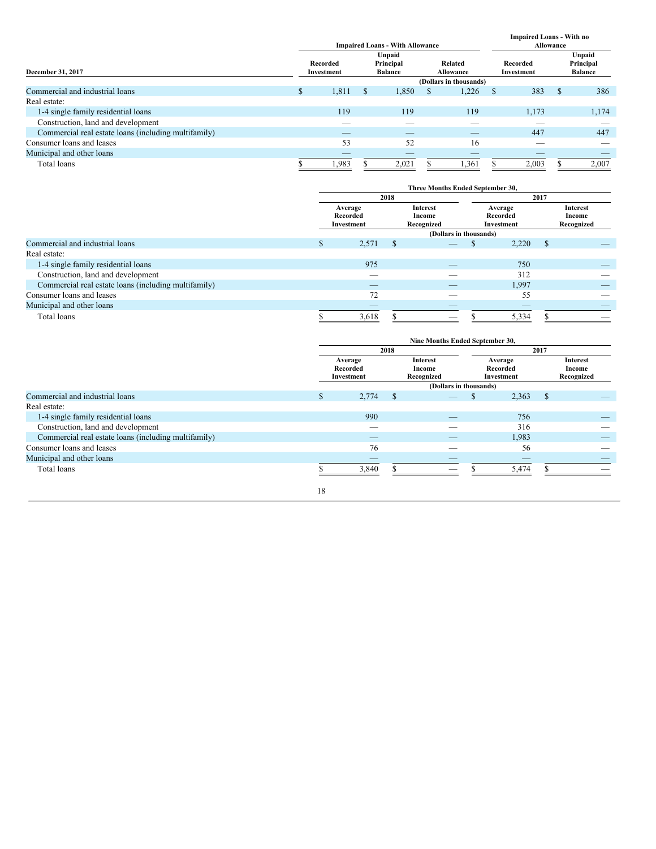|                                                      | <b>Impaired Loans - With Allowance</b> |                                                                                         |   |       |   |       |               |                          | <b>Impaired Loans - With no</b><br>Allowance |       |  |  |  |  |
|------------------------------------------------------|----------------------------------------|-----------------------------------------------------------------------------------------|---|-------|---|-------|---------------|--------------------------|----------------------------------------------|-------|--|--|--|--|
| December 31, 2017                                    |                                        | Unpaid<br>Principal<br>Related<br>Recorded<br><b>Balance</b><br>Allowance<br>Investment |   |       |   |       |               | Recorded<br>Investment   | Unpaid<br>Principal<br><b>Balance</b>        |       |  |  |  |  |
|                                                      | (Dollars in thousands)                 |                                                                                         |   |       |   |       |               |                          |                                              |       |  |  |  |  |
| Commercial and industrial loans                      | S.                                     | 1,811                                                                                   | S | 1,850 | Ж | 1,226 | <sup>\$</sup> | 383                      | S                                            | 386   |  |  |  |  |
| Real estate:                                         |                                        |                                                                                         |   |       |   |       |               |                          |                                              |       |  |  |  |  |
| 1-4 single family residential loans                  |                                        | 119                                                                                     |   | 119   |   | 119   |               | 1,173                    |                                              | 1,174 |  |  |  |  |
| Construction, land and development                   |                                        | $\overline{\phantom{a}}$                                                                |   |       |   |       |               | $\overline{\phantom{a}}$ |                                              |       |  |  |  |  |
| Commercial real estate loans (including multifamily) |                                        | $-$                                                                                     |   | $-$   |   | $-$   |               | 447                      |                                              | 447   |  |  |  |  |
| Consumer loans and leases                            |                                        | 53                                                                                      |   | 52    |   | 16    |               | --                       |                                              |       |  |  |  |  |
| Municipal and other loans                            |                                        |                                                                                         |   |       |   |       |               |                          |                                              |       |  |  |  |  |
| Total loans                                          |                                        | .983                                                                                    |   | 2,021 |   | 1,361 |               | 2,003                    |                                              | 2,007 |  |  |  |  |

|                                                      | Three Months Ended September 30,  |       |      |                                  |  |                                   |   |                                         |  |  |
|------------------------------------------------------|-----------------------------------|-------|------|----------------------------------|--|-----------------------------------|---|-----------------------------------------|--|--|
|                                                      |                                   |       | 2018 |                                  |  |                                   |   |                                         |  |  |
|                                                      | Average<br>Recorded<br>Investment |       |      | Interest<br>Income<br>Recognized |  | Average<br>Recorded<br>Investment |   | <b>Interest</b><br>Income<br>Recognized |  |  |
|                                                      |                                   |       |      | (Dollars in thousands)           |  |                                   |   |                                         |  |  |
| Commercial and industrial loans                      | ъ                                 | 2,571 | -S   | _                                |  | 2,220                             | S |                                         |  |  |
| Real estate:                                         |                                   |       |      |                                  |  |                                   |   |                                         |  |  |
| 1-4 single family residential loans                  |                                   | 975   |      | $\overline{\phantom{a}}$         |  | 750                               |   |                                         |  |  |
| Construction, land and development                   |                                   | _     |      | __                               |  | 312                               |   |                                         |  |  |
| Commercial real estate loans (including multifamily) |                                   | _     |      | _                                |  | 1,997                             |   |                                         |  |  |
| Consumer loans and leases                            |                                   | 72    |      |                                  |  | 55                                |   |                                         |  |  |
| Municipal and other loans                            |                                   | _     |      | _                                |  | $\overline{\phantom{a}}$          |   | $\overline{\phantom{a}}$                |  |  |
| Total loans                                          |                                   | 3,618 |      | $\overline{\phantom{a}}$         |  | 5,334                             |   |                                         |  |  |

|                                                      |                                   |        |      | Nine Months Ended September 30,         |                                   |       |               |                                  |  |  |
|------------------------------------------------------|-----------------------------------|--------|------|-----------------------------------------|-----------------------------------|-------|---------------|----------------------------------|--|--|
|                                                      | 2018                              |        |      |                                         |                                   | 2017  |               |                                  |  |  |
|                                                      | Average<br>Recorded<br>Investment |        |      | <b>Interest</b><br>Income<br>Recognized | Average<br>Recorded<br>Investment |       |               | Interest<br>Income<br>Recognized |  |  |
|                                                      |                                   |        |      | (Dollars in thousands)                  |                                   |       |               |                                  |  |  |
| Commercial and industrial loans                      | \$                                | 2,774  | - \$ |                                         |                                   | 2,363 | <sup>\$</sup> |                                  |  |  |
| Real estate:                                         |                                   |        |      |                                         |                                   |       |               |                                  |  |  |
| 1-4 single family residential loans                  |                                   | 990    |      | $\overline{\phantom{a}}$                |                                   | 756   |               |                                  |  |  |
| Construction, land and development                   |                                   | $\sim$ |      |                                         |                                   | 316   |               |                                  |  |  |
| Commercial real estate loans (including multifamily) |                                   |        |      | _                                       |                                   | 1,983 |               |                                  |  |  |
| Consumer loans and leases                            |                                   | 76     |      | --                                      |                                   | 56    |               |                                  |  |  |
| Municipal and other loans                            |                                   |        |      |                                         |                                   |       |               |                                  |  |  |
| Total loans                                          |                                   | 3,840  |      |                                         |                                   | 5,474 |               |                                  |  |  |
|                                                      | 18                                |        |      |                                         |                                   |       |               |                                  |  |  |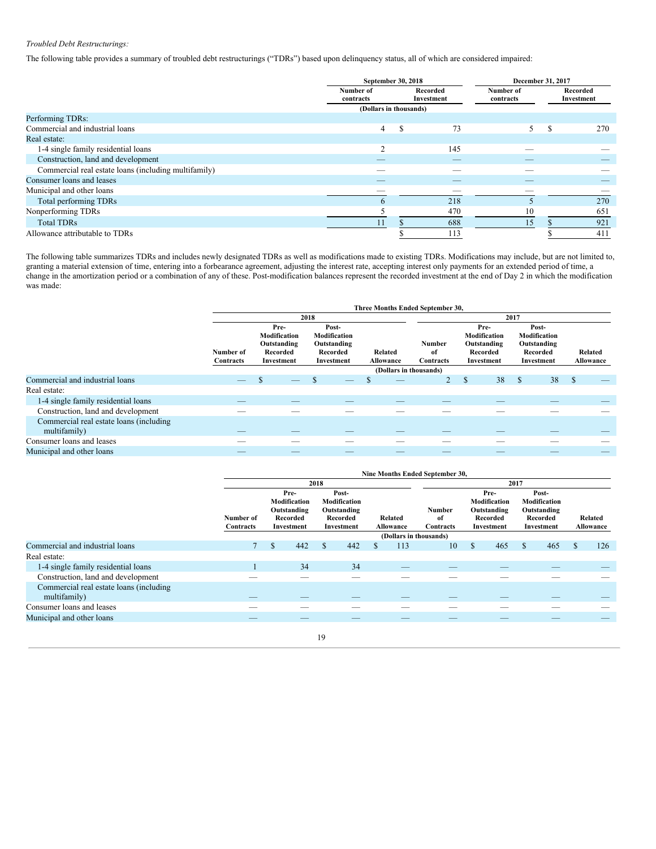# *Troubled Debt Restructurings:*

The following table provides a summary of troubled debt restructurings ("TDRs") based upon delinquency status, all of which are considered impaired:

|                                                      |                        | September 30, 2018     |                          | December 31, 2017      |   |                        |
|------------------------------------------------------|------------------------|------------------------|--------------------------|------------------------|---|------------------------|
|                                                      | Number of<br>contracts | Recorded<br>Investment |                          | Number of<br>contracts |   | Recorded<br>Investment |
|                                                      |                        | (Dollars in thousands) |                          |                        |   |                        |
| Performing TDRs:                                     |                        |                        |                          |                        |   |                        |
| Commercial and industrial loans                      | 4                      | S                      | 73                       | 5                      | S | 270                    |
| Real estate:                                         |                        |                        |                          |                        |   |                        |
| 1-4 single family residential loans                  | 2                      |                        | 145                      |                        |   |                        |
| Construction, land and development                   |                        |                        | $\overline{\phantom{a}}$ |                        |   |                        |
| Commercial real estate loans (including multifamily) |                        |                        |                          |                        |   |                        |
| Consumer loans and leases                            |                        |                        | _                        |                        |   |                        |
| Municipal and other loans                            |                        |                        |                          |                        |   |                        |
| Total performing TDRs                                | $\sigma$               |                        | 218                      |                        |   | 270                    |
| Nonperforming TDRs                                   |                        |                        | 470                      | 10                     |   | 651                    |
| <b>Total TDRs</b>                                    | 11                     |                        | 688                      | 15                     |   | 921                    |
| Allowance attributable to TDRs                       |                        |                        | 113                      |                        |   | 411                    |

The following table summarizes TDRs and includes newly designated TDRs as well as modifications made to existing TDRs. Modifications may include, but are not limited to, granting a material extension of time, entering into a forbearance agreement, adjusting the interest rate, accepting interest only payments for an extended period of time, a change in the amortization period or a combination of any of these. Post-modification balances represent the recorded investment at the end of Day 2 in which the modification was made:

|                                                          |                               |                                                               |                                                                | Three Months Ended September 30, |                                  |                                                               |                                                                |                      |  |  |
|----------------------------------------------------------|-------------------------------|---------------------------------------------------------------|----------------------------------------------------------------|----------------------------------|----------------------------------|---------------------------------------------------------------|----------------------------------------------------------------|----------------------|--|--|
|                                                          |                               |                                                               | 2018                                                           |                                  |                                  |                                                               |                                                                |                      |  |  |
|                                                          | Number of<br><b>Contracts</b> | Pre-<br>Modification<br>Outstanding<br>Recorded<br>Investment | Post-<br>Modification<br>Outstanding<br>Recorded<br>Investment | Related<br>Allowance             | <b>Number</b><br>of<br>Contracts | Pre-<br>Modification<br>Outstanding<br>Recorded<br>Investment | Post-<br>Modification<br>Outstanding<br>Recorded<br>Investment | Related<br>Allowance |  |  |
|                                                          |                               | (Dollars in thousands)                                        |                                                                |                                  |                                  |                                                               |                                                                |                      |  |  |
| Commercial and industrial loans                          |                               | S<br>_                                                        |                                                                |                                  |                                  | 38<br><sup>\$</sup>                                           | 38<br>S                                                        | S                    |  |  |
| Real estate:                                             |                               |                                                               |                                                                |                                  |                                  |                                                               |                                                                |                      |  |  |
| 1-4 single family residential loans                      | __                            | __                                                            |                                                                | __                               |                                  |                                                               |                                                                |                      |  |  |
| Construction, land and development                       |                               |                                                               |                                                                |                                  |                                  |                                                               |                                                                |                      |  |  |
| Commercial real estate loans (including)<br>multifamily) |                               |                                                               |                                                                |                                  |                                  |                                                               |                                                                |                      |  |  |
| Consumer loans and leases                                |                               |                                                               |                                                                |                                  |                                  |                                                               |                                                                |                      |  |  |
| Municipal and other loans                                |                               | _                                                             |                                                                |                                  |                                  |                                                               |                                                                |                      |  |  |

|                                                          | Nine Months Ended September 30, |    |                                                               |      |                                                                |   |                      |                           |      |                                                               |   |                                                                |   |                      |
|----------------------------------------------------------|---------------------------------|----|---------------------------------------------------------------|------|----------------------------------------------------------------|---|----------------------|---------------------------|------|---------------------------------------------------------------|---|----------------------------------------------------------------|---|----------------------|
|                                                          |                                 |    |                                                               | 2018 |                                                                |   |                      |                           | 2017 |                                                               |   |                                                                |   |                      |
|                                                          | Number of<br>Contracts          |    | Pre-<br>Modification<br>Outstanding<br>Recorded<br>Investment |      | Post-<br>Modification<br>Outstanding<br>Recorded<br>Investment |   | Related<br>Allowance | Number<br>of<br>Contracts |      | Pre-<br>Modification<br>Outstanding<br>Recorded<br>Investment |   | Post-<br>Modification<br>Outstanding<br>Recorded<br>Investment |   | Related<br>Allowance |
|                                                          |                                 |    |                                                               |      |                                                                |   |                      | (Dollars in thousands)    |      |                                                               |   |                                                                |   |                      |
| Commercial and industrial loans                          |                                 | \$ | 442                                                           | \$   | 442                                                            | ж | 113                  | 10                        | S    | 465                                                           | S | 465                                                            | S | 126                  |
| Real estate:                                             |                                 |    |                                                               |      |                                                                |   |                      |                           |      |                                                               |   |                                                                |   |                      |
| 1-4 single family residential loans                      |                                 |    | 34                                                            |      | 34                                                             |   |                      |                           |      |                                                               |   |                                                                |   |                      |
| Construction, land and development                       |                                 |    |                                                               |      |                                                                |   |                      |                           |      |                                                               |   |                                                                |   |                      |
| Commercial real estate loans (including)<br>multifamily) |                                 |    |                                                               |      |                                                                |   |                      |                           |      |                                                               |   |                                                                |   |                      |
| Consumer loans and leases                                |                                 |    |                                                               |      |                                                                |   |                      |                           |      |                                                               |   |                                                                |   |                      |
| Municipal and other loans                                |                                 |    |                                                               |      |                                                                |   |                      |                           |      | _                                                             |   |                                                                |   |                      |
|                                                          |                                 |    |                                                               |      |                                                                |   |                      |                           |      |                                                               |   |                                                                |   |                      |

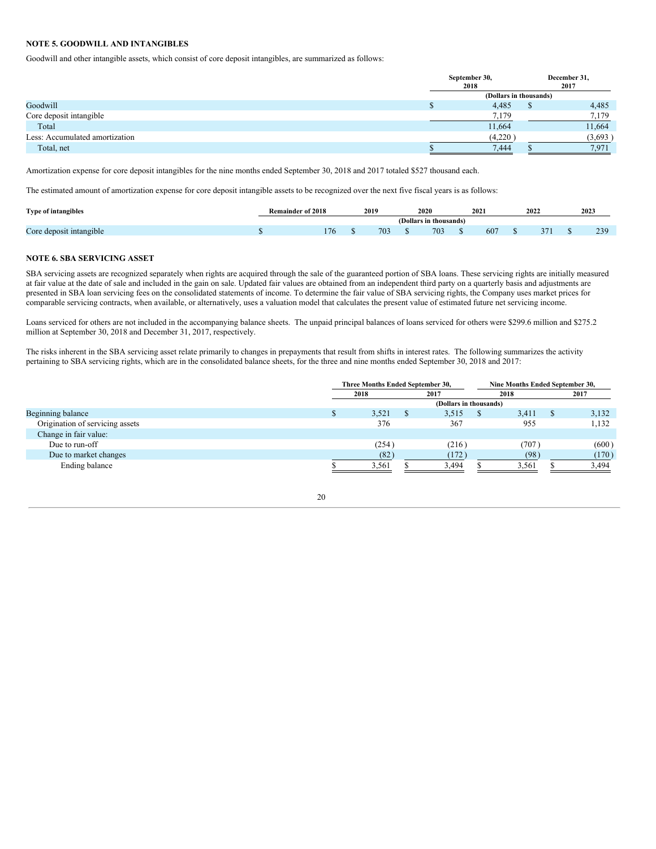# **NOTE 5. GOODWILL AND INTANGIBLES**

Goodwill and other intangible assets, which consist of core deposit intangibles, are summarized as follows:

|                                | September 30,<br>2018 |                        | December 31,<br>2017 |
|--------------------------------|-----------------------|------------------------|----------------------|
|                                |                       | (Dollars in thousands) |                      |
| Goodwill                       | 4,485                 |                        | 4,485                |
| Core deposit intangible        | 7,179                 |                        | 7,179                |
| Total                          | 11,664                |                        | 11,664               |
| Less: Accumulated amortization | (4,220)               |                        | (3,693)              |
| Total, net                     | 7,444                 |                        | 7,971                |

Amortization expense for core deposit intangibles for the nine months ended September 30, 2018 and 2017 totaled \$527 thousand each.

The estimated amount of amortization expense for core deposit intangible assets to be recognized over the next five fiscal years is as follows:

| <b>Type of intangibles</b>   | <b>Remainder of 2018</b> | 2019 |     | 2020                   | 2021 | 2022 | 2023            |
|------------------------------|--------------------------|------|-----|------------------------|------|------|-----------------|
|                              |                          |      |     | (Dollars in thousands) |      |      |                 |
| ⌒<br>Core deposit intangible | 176                      |      | 703 | $70^{\circ}$<br>703    | 607  |      | 230<br><u>_</u> |

# **NOTE 6. SBA SERVICING ASSET**

SBA servicing assets are recognized separately when rights are acquired through the sale of the guaranteed portion of SBA loans. These servicing rights are initially measured at fair value at the date of sale and included in the gain on sale. Updated fair values are obtained from an independent third party on a quarterly basis and adjustments are presented in SBA loan servicing fees on the consolidated statements of income. To determine the fair value of SBA servicing rights, the Company uses market prices for comparable servicing contracts, when available, or alternatively, uses a valuation model that calculates the present value of estimated future net servicing income.

Loans serviced for others are not included in the accompanying balance sheets. The unpaid principal balances of loans serviced for others were \$299.6 million and \$275.2 million at September 30, 2018 and December 31, 2017, respectively.

The risks inherent in the SBA servicing asset relate primarily to changes in prepayments that result from shifts in interest rates. The following summarizes the activity pertaining to SBA servicing rights, which are in the consolidated balance sheets, for the three and nine months ended September 30, 2018 and 2017:

|                                 | Three Months Ended September 30, |       |  |                        |          | Nine Months Ended September 30, |       |  |
|---------------------------------|----------------------------------|-------|--|------------------------|----------|---------------------------------|-------|--|
|                                 | 2018                             |       |  | 2017                   |          | 2018                            | 2017  |  |
|                                 |                                  |       |  | (Dollars in thousands) |          |                                 |       |  |
| Beginning balance               |                                  | 3,521 |  | 3,515                  | <b>S</b> | 3.411                           | 3,132 |  |
| Origination of servicing assets |                                  | 376   |  | 367                    |          | 955                             | 1,132 |  |
| Change in fair value:           |                                  |       |  |                        |          |                                 |       |  |
| Due to run-off                  |                                  | (254) |  | (216)                  |          | (707)                           | (600) |  |
| Due to market changes           |                                  | (82)  |  | (172)                  |          | (98)                            | (170) |  |
| Ending balance                  |                                  | 3,561 |  | 3,494                  |          | 3,561                           | 3.494 |  |

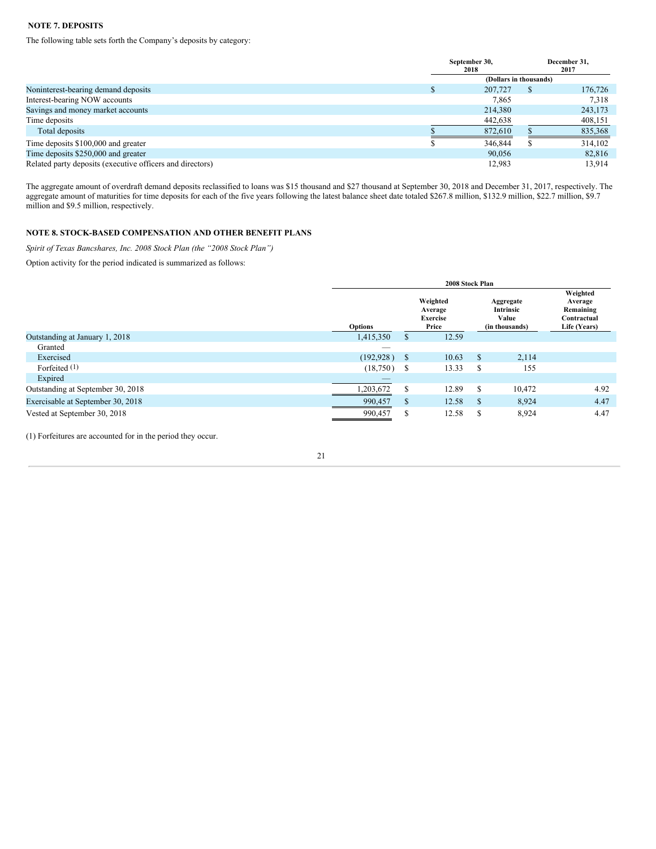# **NOTE 7. DEPOSITS**

The following table sets forth the Company's deposits by category:

|                                                           | September 30,<br>2018  | December 31,<br>2017 |
|-----------------------------------------------------------|------------------------|----------------------|
|                                                           | (Dollars in thousands) |                      |
| Noninterest-bearing demand deposits                       | 207,727                | 176,726              |
| Interest-bearing NOW accounts                             | 7,865                  | 7,318                |
| Savings and money market accounts                         | 214,380                | 243,173              |
| Time deposits                                             | 442,638                | 408,151              |
| Total deposits                                            | 872,610                | 835,368              |
| Time deposits \$100,000 and greater                       | 346,844                | 314,102              |
| Time deposits \$250,000 and greater                       | 90,056                 | 82,816               |
| Related party deposits (executive officers and directors) | 12.983                 | 13.914               |

The aggregate amount of overdraft demand deposits reclassified to loans was \$15 thousand and \$27 thousand at September 30, 2018 and December 31, 2017, respectively. The aggregate amount of maturities for time deposits for each of the five years following the latest balance sheet date totaled \$267.8 million, \$132.9 million, \$22.7 million, \$9.7 million and \$9.5 million, respectively.

# **NOTE 8. STOCK-BASED COMPENSATION AND OTHER BENEFIT PLANS**

*Spirit of Texas Bancshares, Inc. 2008 Stock Plan (the "2008 Stock Plan")*

Option activity for the period indicated is summarized as follows:

|                                   | 2008 Stock Plan |    |                                                 |                                                   |        |                                                                 |  |  |  |
|-----------------------------------|-----------------|----|-------------------------------------------------|---------------------------------------------------|--------|-----------------------------------------------------------------|--|--|--|
|                                   | <b>Options</b>  |    | Weighted<br>Average<br><b>Exercise</b><br>Price | Aggregate<br>Intrinsic<br>Value<br>(in thousands) |        | Weighted<br>Average<br>Remaining<br>Contractual<br>Life (Years) |  |  |  |
| Outstanding at January 1, 2018    | 1,415,350       | S  | 12.59                                           |                                                   |        |                                                                 |  |  |  |
| Granted                           |                 |    |                                                 |                                                   |        |                                                                 |  |  |  |
| Exercised                         | (192, 928)      | S  | 10.63                                           | \$                                                | 2,114  |                                                                 |  |  |  |
| Forfeited (1)                     | (18,750)        | S  | 13.33                                           | S                                                 | 155    |                                                                 |  |  |  |
| Expired                           |                 |    |                                                 |                                                   |        |                                                                 |  |  |  |
| Outstanding at September 30, 2018 | .203,672        | S  | 12.89                                           | S                                                 | 10,472 | 4.92                                                            |  |  |  |
| Exercisable at September 30, 2018 | 990,457         | \$ | 12.58                                           | S                                                 | 8,924  | 4.47                                                            |  |  |  |
| Vested at September 30, 2018      | 990,457         | S  | 12.58                                           | S                                                 | 8,924  | 4.47                                                            |  |  |  |

(1) Forfeitures are accounted for in the period they occur.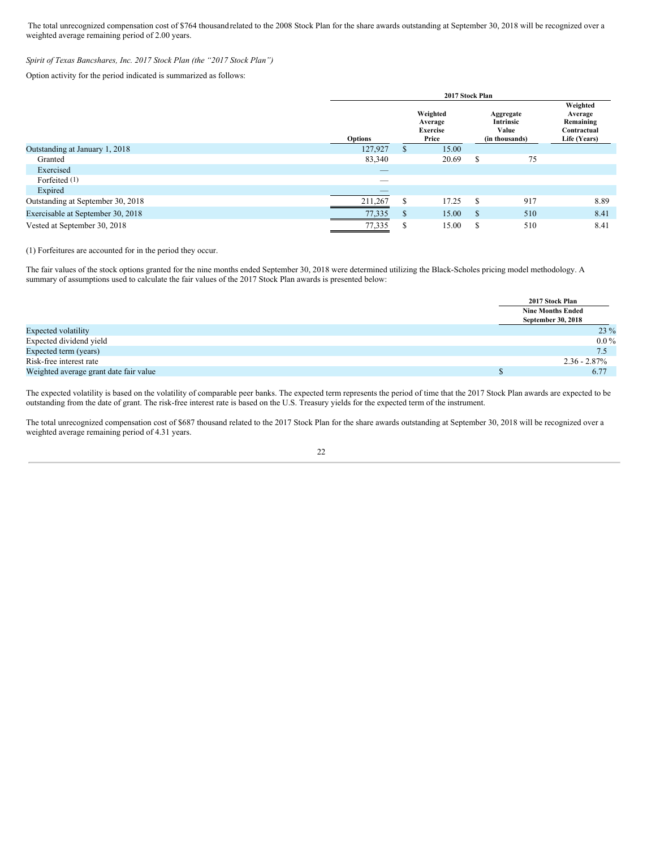The total unrecognized compensation cost of \$764 thousandrelated to the 2008 Stock Plan for the share awards outstanding at September 30, 2018 will be recognized over a weighted average remaining period of 2.00 years.

# *Spirit of Texas Bancshares, Inc. 2017 Stock Plan (the "2017 Stock Plan")*

Option activity for the period indicated is summarized as follows:

|                                   | 2017 Stock Plan |               |                                                 |   |                                                   |                                                                 |  |  |  |
|-----------------------------------|-----------------|---------------|-------------------------------------------------|---|---------------------------------------------------|-----------------------------------------------------------------|--|--|--|
|                                   | Options         |               | Weighted<br>Average<br><b>Exercise</b><br>Price |   | Aggregate<br>Intrinsic<br>Value<br>(in thousands) | Weighted<br>Average<br>Remaining<br>Contractual<br>Life (Years) |  |  |  |
| Outstanding at January 1, 2018    | 127,927         | \$            | 15.00                                           |   |                                                   |                                                                 |  |  |  |
| Granted                           | 83,340          |               | 20.69                                           | S | 75                                                |                                                                 |  |  |  |
| Exercised                         | _               |               |                                                 |   |                                                   |                                                                 |  |  |  |
| Forfeited (1)                     | _               |               |                                                 |   |                                                   |                                                                 |  |  |  |
| Expired                           |                 |               |                                                 |   |                                                   |                                                                 |  |  |  |
| Outstanding at September 30, 2018 | 211,267         | S             | 17.25                                           | S | 917                                               | 8.89                                                            |  |  |  |
| Exercisable at September 30, 2018 | 77,335          | \$            | 15.00                                           | S | 510                                               | 8.41                                                            |  |  |  |
| Vested at September 30, 2018      | 77,335          | <sup>\$</sup> | 15.00                                           | S | 510                                               | 8.41                                                            |  |  |  |

(1) Forfeitures are accounted for in the period they occur.

The fair values of the stock options granted for the nine months ended September 30, 2018 were determined utilizing the Black-Scholes pricing model methodology. A summary of assumptions used to calculate the fair values of the 2017 Stock Plan awards is presented below:

|                                        | 2017 Stock Plan          |  |
|----------------------------------------|--------------------------|--|
|                                        | <b>Nine Months Ended</b> |  |
|                                        | September 30, 2018       |  |
| <b>Expected volatility</b>             | 23 %                     |  |
| Expected dividend yield                | $0.0\%$                  |  |
| Expected term (years)                  | 7.5                      |  |
| Risk-free interest rate                | $2.36 - 2.87\%$          |  |
| Weighted average grant date fair value | 6.77                     |  |

The expected volatility is based on the volatility of comparable peer banks. The expected term represents the period of time that the 2017 Stock Plan awards are expected to be outstanding from the date of grant. The risk-free interest rate is based on the U.S. Treasury yields for the expected term of the instrument.

The total unrecognized compensation cost of \$687 thousand related to the 2017 Stock Plan for the share awards outstanding at September 30, 2018 will be recognized over a weighted average remaining period of 4.31 years.

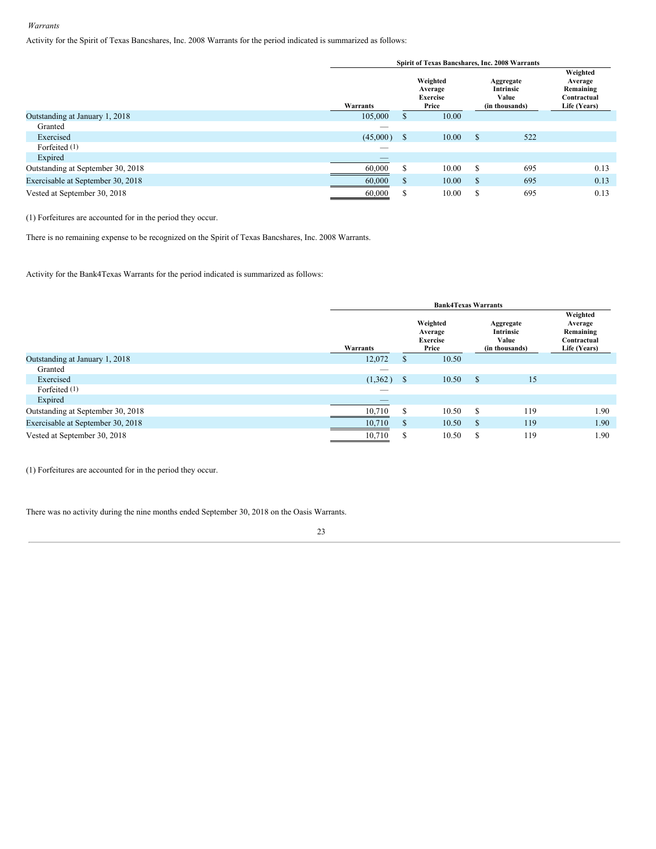# *Warrants*

Activity for the Spirit of Texas Bancshares, Inc. 2008 Warrants for the period indicated is summarized as follows:

|                                   | Spirit of Texas Bancshares, Inc. 2008 Warrants |              |                                                 |              |                                                   |                                                                 |  |  |  |  |  |
|-----------------------------------|------------------------------------------------|--------------|-------------------------------------------------|--------------|---------------------------------------------------|-----------------------------------------------------------------|--|--|--|--|--|
|                                   | Warrants                                       |              | Weighted<br>Average<br><b>Exercise</b><br>Price |              | Aggregate<br>Intrinsic<br>Value<br>(in thousands) | Weighted<br>Average<br>Remaining<br>Contractual<br>Life (Years) |  |  |  |  |  |
| Outstanding at January 1, 2018    | 105,000                                        | S.           | 10.00                                           |              |                                                   |                                                                 |  |  |  |  |  |
| Granted                           | _                                              |              |                                                 |              |                                                   |                                                                 |  |  |  |  |  |
| Exercised                         | (45,000)                                       | $\sqrt{s}$   | 10.00                                           | S            | 522                                               |                                                                 |  |  |  |  |  |
| Forfeited $(1)$                   | _                                              |              |                                                 |              |                                                   |                                                                 |  |  |  |  |  |
| Expired                           |                                                |              |                                                 |              |                                                   |                                                                 |  |  |  |  |  |
| Outstanding at September 30, 2018 | 60,000                                         | \$.          | 10.00                                           | S            | 695                                               | 0.13                                                            |  |  |  |  |  |
| Exercisable at September 30, 2018 | 60,000                                         | <sup>S</sup> | 10.00                                           | <sup>S</sup> | 695                                               | 0.13                                                            |  |  |  |  |  |
| Vested at September 30, 2018      | 60,000                                         | S            | 10.00                                           | S            | 695                                               | 0.13                                                            |  |  |  |  |  |

(1) Forfeitures are accounted for in the period they occur.

There is no remaining expense to be recognized on the Spirit of Texas Bancshares, Inc. 2008 Warrants.

Activity for the Bank4Texas Warrants for the period indicated is summarized as follows:

|                                   | <b>Bank4Texas Warrants</b> |               |                                                 |               |                                                   |                                                                 |  |  |  |  |  |
|-----------------------------------|----------------------------|---------------|-------------------------------------------------|---------------|---------------------------------------------------|-----------------------------------------------------------------|--|--|--|--|--|
|                                   | Warrants                   |               | Weighted<br>Average<br><b>Exercise</b><br>Price |               | Aggregate<br>Intrinsic<br>Value<br>(in thousands) | Weighted<br>Average<br>Remaining<br>Contractual<br>Life (Years) |  |  |  |  |  |
| Outstanding at January 1, 2018    | 12,072                     | <sup>\$</sup> | 10.50                                           |               |                                                   |                                                                 |  |  |  |  |  |
| Granted                           |                            |               |                                                 |               |                                                   |                                                                 |  |  |  |  |  |
| Exercised                         | (1,362)                    | $\mathbf{s}$  | 10.50                                           | <sup>\$</sup> | 15                                                |                                                                 |  |  |  |  |  |
| Forfeited (1)                     | $-$                        |               |                                                 |               |                                                   |                                                                 |  |  |  |  |  |
| Expired                           |                            |               |                                                 |               |                                                   |                                                                 |  |  |  |  |  |
| Outstanding at September 30, 2018 | 10,710                     | \$            | 10.50                                           | S             | 119                                               | 1.90                                                            |  |  |  |  |  |
| Exercisable at September 30, 2018 | 10,710                     | \$            | 10.50                                           | S             | 119                                               | 1.90                                                            |  |  |  |  |  |
| Vested at September 30, 2018      | 10,710                     | S             | 10.50                                           | S             | 119                                               | 1.90                                                            |  |  |  |  |  |

(1) Forfeitures are accounted for in the period they occur.

There was no activity during the nine months ended September 30, 2018 on the Oasis Warrants.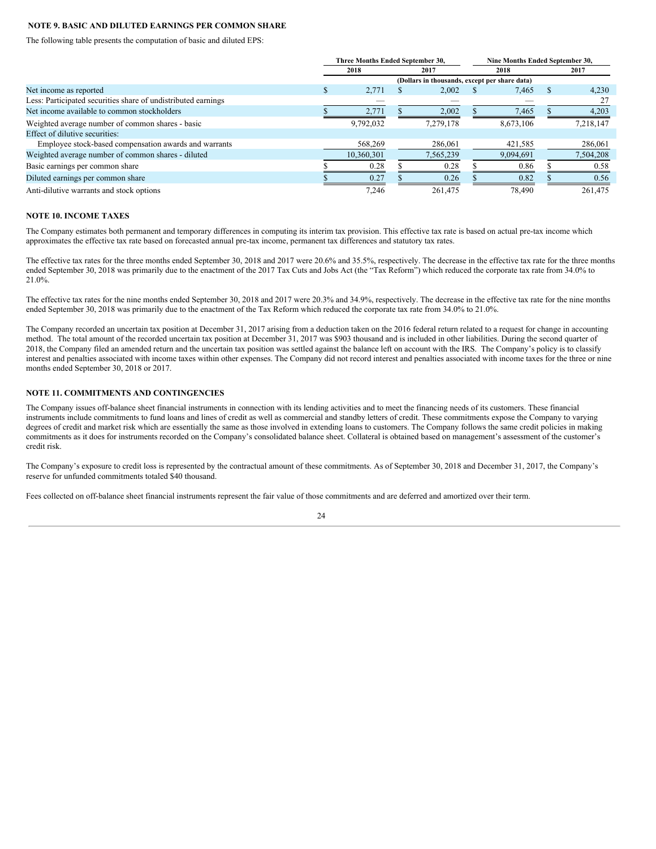# **NOTE 9. BASIC AND DILUTED EARNINGS PER COMMON SHARE**

The following table presents the computation of basic and diluted EPS:

|                                                               |    | Three Months Ended September 30, |  | Nine Months Ended September 30, |  |           |  |           |
|---------------------------------------------------------------|----|----------------------------------|--|---------------------------------|--|-----------|--|-----------|
|                                                               |    | 2018                             |  | 2017                            |  | 2018      |  | 2017      |
|                                                               |    |                                  |  |                                 |  |           |  |           |
| Net income as reported                                        | J. | 2,771                            |  | 2,002                           |  | 7,465     |  | 4,230     |
| Less: Participated securities share of undistributed earnings |    |                                  |  |                                 |  |           |  |           |
| Net income available to common stockholders                   |    | 2,771                            |  | 2,002                           |  | 7,465     |  | 4,203     |
| Weighted average number of common shares - basic              |    | 9,792,032                        |  | 7,279,178                       |  | 8,673,106 |  | 7,218,147 |
| Effect of dilutive securities:                                |    |                                  |  |                                 |  |           |  |           |
| Employee stock-based compensation awards and warrants         |    | 568,269                          |  | 286,061                         |  | 421,585   |  | 286,061   |
| Weighted average number of common shares - diluted            |    | 10.360.301                       |  | 7.565.239                       |  | 9.094.691 |  | 7,504,208 |
| Basic earnings per common share                               |    | 0.28                             |  | 0.28                            |  | 0.86      |  | 0.58      |
| Diluted earnings per common share                             |    | 0.27                             |  | 0.26                            |  | 0.82      |  | 0.56      |
| Anti-dilutive warrants and stock options                      |    | 7.246                            |  | 261.475                         |  | 78,490    |  | 261.475   |

#### **NOTE 10. INCOME TAXES**

The Company estimates both permanent and temporary differences in computing its interim tax provision. This effective tax rate is based on actual pre-tax income which approximates the effective tax rate based on forecasted annual pre-tax income, permanent tax differences and statutory tax rates.

The effective tax rates for the three months ended September 30, 2018 and 2017 were 20.6% and 35.5%, respectively. The decrease in the effective tax rate for the three months ended September 30, 2018 was primarily due to the enactment of the 2017 Tax Cuts and Jobs Act (the "Tax Reform") which reduced the corporate tax rate from 34.0% to 21.0%.

The effective tax rates for the nine months ended September 30, 2018 and 2017 were 20.3% and 34.9%, respectively. The decrease in the effective tax rate for the nine months ended September 30, 2018 was primarily due to the enactment of the Tax Reform which reduced the corporate tax rate from 34.0% to 21.0%.

The Company recorded an uncertain tax position at December 31, 2017 arising from a deduction taken on the 2016 federal return related to a request for change in accounting method. The total amount of the recorded uncertain tax position at December 31, 2017 was \$903 thousand and is included in other liabilities. During the second quarter of 2018, the Company filed an amended return and the uncertain tax position was settled against the balance left on account with the IRS. The Company's policy is to classify interest and penalties associated with income taxes within other expenses. The Company did not record interest and penalties associated with income taxes for the three or nine months ended September 30, 2018 or 2017.

# **NOTE 11. COMMITMENTS AND CONTINGENCIES**

The Company issues off-balance sheet financial instruments in connection with its lending activities and to meet the financing needs of its customers. These financial instruments include commitments to fund loans and lines of credit as well as commercial and standby letters of credit. These commitments expose the Company to varying degrees of credit and market risk which are essentially the same as those involved in extending loans to customers. The Company follows the same credit policies in making commitments as it does for instruments recorded on the Company's consolidated balance sheet. Collateral is obtained based on management's assessment of the customer's credit risk.

The Company's exposure to credit loss is represented by the contractual amount of these commitments. As of September 30, 2018 and December 31, 2017, the Company's reserve for unfunded commitments totaled \$40 thousand.

Fees collected on off-balance sheet financial instruments represent the fair value of those commitments and are deferred and amortized over their term.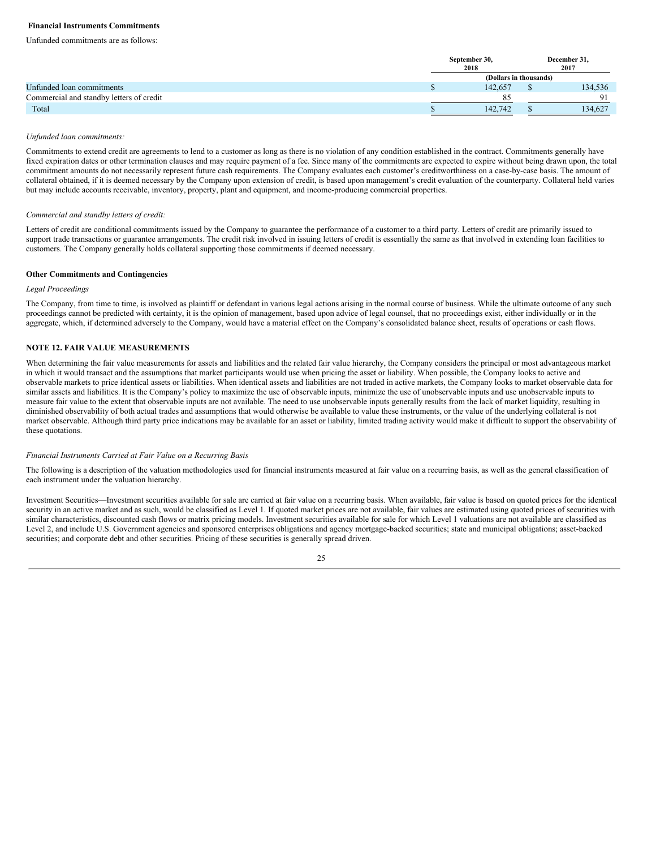# **Financial Instruments Commitments**

Unfunded commitments are as follows:

|                                          | September 30,<br>2018  | December 31.<br>2017 |
|------------------------------------------|------------------------|----------------------|
|                                          | (Dollars in thousands) |                      |
| Unfunded loan commitments                | 142.657                | 134,536              |
| Commercial and standby letters of credit |                        | Ω1                   |
| Total                                    | 142.742                | 134.627              |

#### *Unfunded loan commitments:*

Commitments to extend credit are agreements to lend to a customer as long as there is no violation of any condition established in the contract. Commitments generally have fixed expiration dates or other termination clauses and may require payment of a fee. Since many of the commitments are expected to expire without being drawn upon, the total commitment amounts do not necessarily represent future cash requirements. The Company evaluates each customer's creditworthiness on a case-by-case basis. The amount of collateral obtained, if it is deemed necessary by the Company upon extension of credit, is based upon management's credit evaluation of the counterparty. Collateral held varies but may include accounts receivable, inventory, property, plant and equipment, and income-producing commercial properties.

#### *Commercial and standby letters of credit:*

Letters of credit are conditional commitments issued by the Company to guarantee the performance of a customer to a third party. Letters of credit are primarily issued to support trade transactions or guarantee arrangements. The credit risk involved in issuing letters of credit is essentially the same as that involved in extending loan facilities to customers. The Company generally holds collateral supporting those commitments if deemed necessary.

#### **Other Commitments and Contingencies**

# *Legal Proceedings*

The Company, from time to time, is involved as plaintiff or defendant in various legal actions arising in the normal course of business. While the ultimate outcome of any such proceedings cannot be predicted with certainty, it is the opinion of management, based upon advice of legal counsel, that no proceedings exist, either individually or in the aggregate, which, if determined adversely to the Company, would have a material effect on the Company's consolidated balance sheet, results of operations or cash flows.

# **NOTE 12. FAIR VALUE MEASUREMENTS**

When determining the fair value measurements for assets and liabilities and the related fair value hierarchy, the Company considers the principal or most advantageous market in which it would transact and the assumptions that market participants would use when pricing the asset or liability. When possible, the Company looks to active and observable markets to price identical assets or liabilities. When identical assets and liabilities are not traded in active markets, the Company looks to market observable data for similar assets and liabilities. It is the Company's policy to maximize the use of observable inputs, minimize the use of unobservable inputs and use unobservable inputs to measure fair value to the extent that observable inputs are not available. The need to use unobservable inputs generally results from the lack of market liquidity, resulting in diminished observability of both actual trades and assumptions that would otherwise be available to value these instruments, or the value of the underlying collateral is not market observable. Although third party price indications may be available for an asset or liability, limited trading activity would make it difficult to support the observability of these quotations.

#### *Financial Instruments Carried at Fair Value on a Recurring Basis*

The following is a description of the valuation methodologies used for financial instruments measured at fair value on a recurring basis, as well as the general classification of each instrument under the valuation hierarchy.

Investment Securities—Investment securities available for sale are carried at fair value on a recurring basis. When available, fair value is based on quoted prices for the identical security in an active market and as such, would be classified as Level 1. If quoted market prices are not available, fair values are estimated using quoted prices of securities with similar characteristics, discounted cash flows or matrix pricing models. Investment securities available for sale for which Level 1 valuations are not available are classified as Level 2, and include U.S. Government agencies and sponsored enterprises obligations and agency mortgage-backed securities; state and municipal obligations; asset-backed securities; and corporate debt and other securities. Pricing of these securities is generally spread driven.

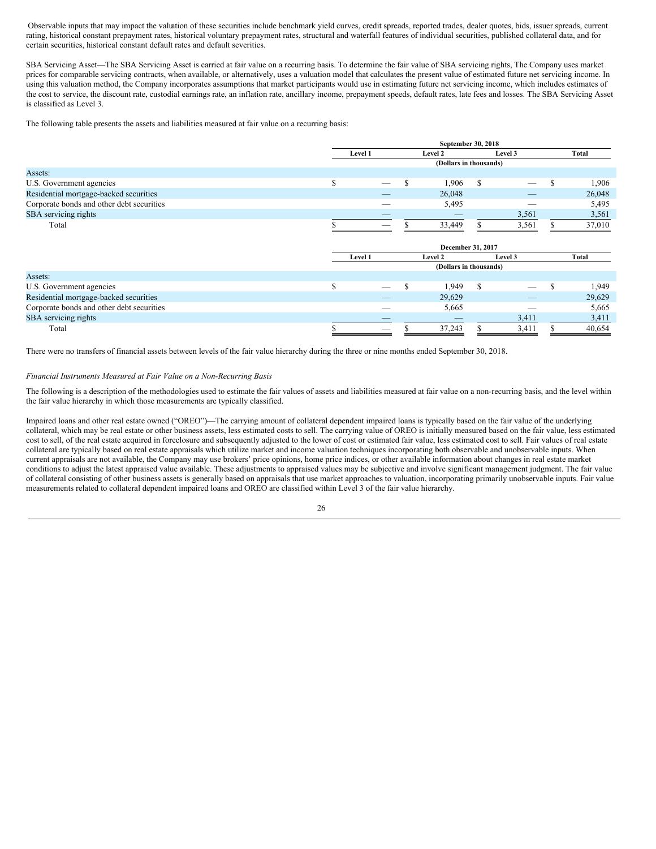Observable inputs that may impact the valuation of these securities include benchmark yield curves, credit spreads, reported trades, dealer quotes, bids, issuer spreads, current rating, historical constant prepayment rates, historical voluntary prepayment rates, structural and waterfall features of individual securities, published collateral data, and for certain securities, historical constant default rates and default severities.

SBA Servicing Asset—The SBA Servicing Asset is carried at fair value on a recurring basis. To determine the fair value of SBA servicing rights, The Company uses market prices for comparable servicing contracts, when available, or alternatively, uses a valuation model that calculates the present value of estimated future net servicing income. In using this valuation method, the Company incorporates assumptions that market participants would use in estimating future net servicing income, which includes estimates of the cost to service, the discount rate, custodial earnings rate, an inflation rate, ancillary income, prepayment speeds, default rates, late fees and losses. The SBA Servicing Asset is classified as Level 3.

The following table presents the assets and liabilities measured at fair value on a recurring basis:

|                                           |    |                   |   | September 30, 2018     |   |         |   |              |  |  |
|-------------------------------------------|----|-------------------|---|------------------------|---|---------|---|--------------|--|--|
|                                           |    | Level 1           |   | Level 2                |   | Level 3 |   | <b>Total</b> |  |  |
|                                           |    |                   |   | (Dollars in thousands) |   |         |   |              |  |  |
| Assets:                                   |    |                   |   |                        |   |         |   |              |  |  |
| U.S. Government agencies                  | \$ |                   | S | 1,906                  | S |         | S | 1,906        |  |  |
| Residential mortgage-backed securities    |    |                   |   | 26,048                 |   |         |   | 26,048       |  |  |
| Corporate bonds and other debt securities |    |                   |   | 5,495                  |   |         |   | 5,495        |  |  |
| SBA servicing rights                      |    |                   |   |                        |   | 3,561   |   | 3,561        |  |  |
| Total                                     |    |                   |   | 33,449                 |   | 3,561   |   | 37,010       |  |  |
|                                           |    | December 31, 2017 |   |                        |   |         |   |              |  |  |
|                                           |    | Level 1           |   | Level 2                |   | Level 3 |   | <b>Total</b> |  |  |
|                                           |    |                   |   | (Dollars in thousands) |   |         |   |              |  |  |
| Assets:                                   |    |                   |   |                        |   |         |   |              |  |  |
| U.S. Government agencies                  | \$ |                   | S | 1,949                  | S |         | S | 1,949        |  |  |
| Residential mortgage-backed securities    |    |                   |   | 29,629                 |   |         |   | 29,629       |  |  |
| Corporate bonds and other debt securities |    |                   |   | 5,665                  |   |         |   | 5,665        |  |  |
| SBA servicing rights                      |    |                   |   |                        |   | 3,411   |   | 3,411        |  |  |
| Total                                     | D. |                   | Э | 37,243                 | ъ | 3,411   | S | 40,654       |  |  |

There were no transfers of financial assets between levels of the fair value hierarchy during the three or nine months ended September 30, 2018.

#### *Financial Instruments Measured at Fair Value on a Non-Recurring Basis*

The following is a description of the methodologies used to estimate the fair values of assets and liabilities measured at fair value on a non-recurring basis, and the level within the fair value hierarchy in which those measurements are typically classified.

Impaired loans and other real estate owned ("OREO")—The carrying amount of collateral dependent impaired loans is typically based on the fair value of the underlying collateral, which may be real estate or other business assets, less estimated costs to sell. The carrying value of OREO is initially measured based on the fair value, less estimated cost to sell, of the real estate acquired in foreclosure and subsequently adjusted to the lower of cost or estimated fair value, less estimated cost to sell. Fair values of real estate collateral are typically based on real estate appraisals which utilize market and income valuation techniques incorporating both observable and unobservable inputs. When current appraisals are not available, the Company may use brokers' price opinions, home price indices, or other available information about changes in real estate market conditions to adjust the latest appraised value available. These adjustments to appraised values may be subjective and involve significant management judgment. The fair value of collateral consisting of other business assets is generally based on appraisals that use market approaches to valuation, incorporating primarily unobservable inputs. Fair value measurements related to collateral dependent impaired loans and OREO are classified within Level 3 of the fair value hierarchy.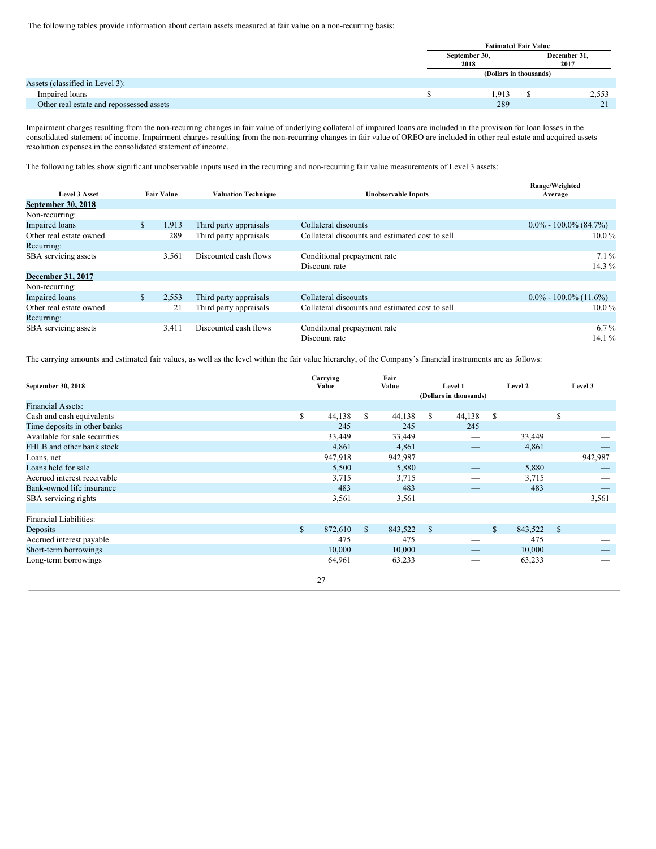The following tables provide information about certain assets measured at fair value on a non-recurring basis:

|                                          | <b>Estimated Fair Value</b> |  |                      |  |  |  |  |
|------------------------------------------|-----------------------------|--|----------------------|--|--|--|--|
|                                          | September 30,<br>2018       |  | December 31,<br>2017 |  |  |  |  |
|                                          | (Dollars in thousands)      |  |                      |  |  |  |  |
| Assets (classified in Level 3):          |                             |  |                      |  |  |  |  |
| Impaired loans                           | 1,913                       |  | 2,553                |  |  |  |  |
| Other real estate and repossessed assets | 289                         |  | $\sim$               |  |  |  |  |

Impairment charges resulting from the non-recurring changes in fair value of underlying collateral of impaired loans are included in the provision for loan losses in the consolidated statement of income. Impairment charges resulting from the non-recurring changes in fair value of OREO are included in other real estate and acquired assets resolution expenses in the consolidated statement of income.

The following tables show significant unobservable inputs used in the recurring and non-recurring fair value measurements of Level 3 assets:

|                                           |              |                            |                        |                                                 | Range/Weighted            |
|-------------------------------------------|--------------|----------------------------|------------------------|-------------------------------------------------|---------------------------|
| <b>Level 3 Asset</b><br><b>Fair Value</b> |              | <b>Valuation Technique</b> | Unobservable Inputs    | Average                                         |                           |
| September 30, 2018                        |              |                            |                        |                                                 |                           |
| Non-recurring:                            |              |                            |                        |                                                 |                           |
| <b>Impaired</b> loans                     | $\mathbb{S}$ | 1,913                      | Third party appraisals | Collateral discounts                            | $0.0\% - 100.0\%$ (84.7%) |
| Other real estate owned                   |              | 289                        | Third party appraisals | Collateral discounts and estimated cost to sell | $10.0\%$                  |
| Recurring:                                |              |                            |                        |                                                 |                           |
| SBA servicing assets                      |              | 3,561                      | Discounted cash flows  | Conditional prepayment rate                     | $7.1\%$                   |
|                                           |              |                            |                        | Discount rate                                   | 14.3 $%$                  |
| <b>December 31, 2017</b>                  |              |                            |                        |                                                 |                           |
| Non-recurring:                            |              |                            |                        |                                                 |                           |
| <b>Impaired</b> loans                     | $\mathbb{S}$ | 2,553                      | Third party appraisals | Collateral discounts                            | $0.0\% - 100.0\%$ (11.6%) |
| Other real estate owned                   |              | 21                         | Third party appraisals | Collateral discounts and estimated cost to sell | $10.0\%$                  |
| Recurring:                                |              |                            |                        |                                                 |                           |
| SBA servicing assets                      |              | 3,411                      | Discounted cash flows  | Conditional prepayment rate                     | $6.7\%$                   |
|                                           |              |                            |                        | Discount rate                                   | 14.1%                     |

The carrying amounts and estimated fair values, as well as the level within the fair value hierarchy, of the Company's financial instruments are as follows:

| September 30, 2018            | Carrying<br>Value | Fair<br>Value |               | Level 1                  |              | Level 2 |               | Level 3 |
|-------------------------------|-------------------|---------------|---------------|--------------------------|--------------|---------|---------------|---------|
|                               |                   |               |               | (Dollars in thousands)   |              |         |               |         |
| <b>Financial Assets:</b>      |                   |               |               |                          |              |         |               |         |
| Cash and cash equivalents     | \$<br>44,138      | \$<br>44,138  | S.            | 44,138                   | \$           | -       | $\mathbb{S}$  |         |
| Time deposits in other banks  | 245               | 245           |               | 245                      |              |         |               |         |
| Available for sale securities | 33,449            | 33,449        |               |                          |              | 33,449  |               |         |
| FHLB and other bank stock     | 4,861             | 4,861         |               |                          |              | 4,861   |               |         |
| Loans, net                    | 947,918           | 942,987       |               | $-$                      |              | -       |               | 942,987 |
| Loans held for sale           | 5,500             | 5,880         |               |                          |              | 5,880   |               |         |
| Accrued interest receivable   | 3,715             | 3,715         |               |                          |              | 3,715   |               |         |
| Bank-owned life insurance     | 483               | 483           |               |                          |              | 483     |               |         |
| SBA servicing rights          | 3,561             | 3,561         |               |                          |              | -       |               | 3,561   |
|                               |                   |               |               |                          |              |         |               |         |
| <b>Financial Liabilities:</b> |                   |               |               |                          |              |         |               |         |
| Deposits                      | \$<br>872,610     | \$<br>843,522 | <sup>\$</sup> |                          | $\mathbb{S}$ | 843,522 | <sup>\$</sup> |         |
| Accrued interest payable      | 475               | 475           |               | $\overline{\phantom{a}}$ |              | 475     |               |         |
| Short-term borrowings         | 10,000            | 10,000        |               |                          |              | 10,000  |               |         |
| Long-term borrowings          | 64,961            | 63,233        |               |                          |              | 63,233  |               |         |
|                               | 27                |               |               |                          |              |         |               |         |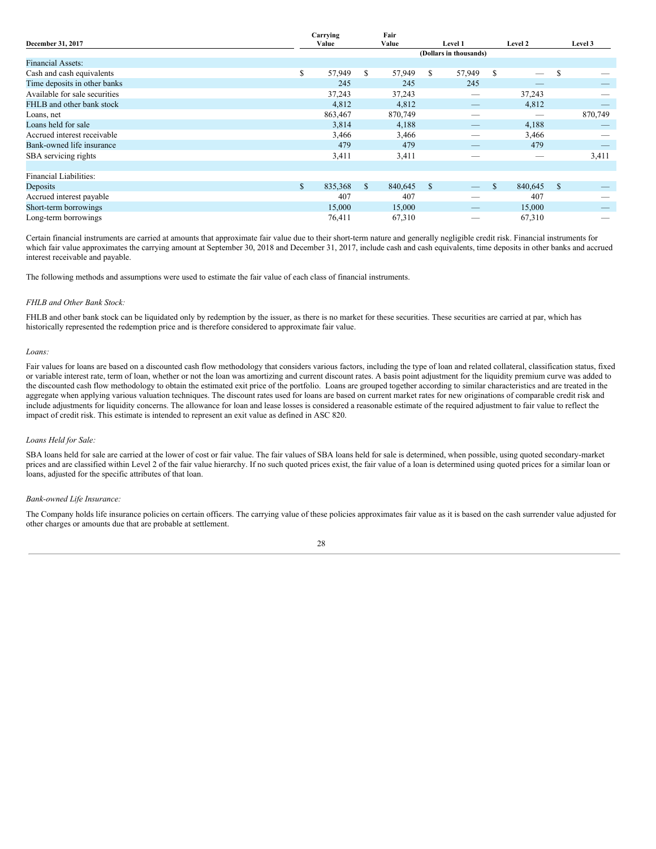|                               |              | Carrying |     | Fair    |                |                        |               |                               |     |         |
|-------------------------------|--------------|----------|-----|---------|----------------|------------------------|---------------|-------------------------------|-----|---------|
| December 31, 2017             |              | Value    |     | Value   | <b>Level 1</b> |                        |               | Level 2                       |     | Level 3 |
|                               |              |          |     |         |                | (Dollars in thousands) |               |                               |     |         |
| <b>Financial Assets:</b>      |              |          |     |         |                |                        |               |                               |     |         |
| Cash and cash equivalents     | \$           | 57,949   | \$  | 57,949  | S.             | 57,949                 | \$            | $\overbrace{\phantom{12333}}$ | S   |         |
| Time deposits in other banks  |              | 245      |     | 245     |                | 245                    |               |                               |     |         |
| Available for sale securities |              | 37,243   |     | 37,243  |                |                        |               | 37,243                        |     |         |
| FHLB and other bank stock     |              | 4,812    |     | 4,812   |                |                        |               | 4,812                         |     |         |
| Loans, net                    |              | 863,467  |     | 870,749 |                |                        |               | _                             |     | 870,749 |
| Loans held for sale           |              | 3,814    |     | 4,188   |                | _                      |               | 4,188                         |     |         |
| Accrued interest receivable   |              | 3,466    |     | 3,466   |                | –                      |               | 3,466                         |     |         |
| Bank-owned life insurance     |              | 479      |     | 479     |                | $-$                    |               | 479                           |     |         |
| SBA servicing rights          |              | 3,411    |     | 3,411   |                |                        |               |                               |     | 3,411   |
|                               |              |          |     |         |                |                        |               |                               |     |         |
| Financial Liabilities:        |              |          |     |         |                |                        |               |                               |     |         |
| Deposits                      | $\mathbb{S}$ | 835,368  | \$. | 840,645 | <sup>\$</sup>  |                        | <sup>\$</sup> | 840,645                       | -\$ |         |
| Accrued interest payable      |              | 407      |     | 407     |                |                        |               | 407                           |     |         |
| Short-term borrowings         |              | 15,000   |     | 15,000  |                |                        |               | 15,000                        |     |         |
| Long-term borrowings          |              | 76,411   |     | 67,310  |                |                        |               | 67,310                        |     |         |

Certain financial instruments are carried at amounts that approximate fair value due to their short-term nature and generally negligible credit risk. Financial instruments for which fair value approximates the carrying amount at September 30, 2018 and December 31, 2017, include cash and cash equivalents, time deposits in other banks and accrued interest receivable and payable.

The following methods and assumptions were used to estimate the fair value of each class of financial instruments.

#### *FHLB and Other Bank Stock:*

FHLB and other bank stock can be liquidated only by redemption by the issuer, as there is no market for these securities. These securities are carried at par, which has historically represented the redemption price and is therefore considered to approximate fair value.

#### *Loans:*

Fair values for loans are based on a discounted cash flow methodology that considers various factors, including the type of loan and related collateral, classification status, fixed or variable interest rate, term of loan, whether or not the loan was amortizing and current discount rates. A basis point adjustment for the liquidity premium curve was added to the discounted cash flow methodology to obtain the estimated exit price of the portfolio. Loans are grouped together according to similar characteristics and are treated in the aggregate when applying various valuation techniques. The discount rates used for loans are based on current market rates for new originations of comparable credit risk and include adjustments for liquidity concerns. The allowance for loan and lease losses is considered a reasonable estimate of the required adjustment to fair value to reflect the impact of credit risk. This estimate is intended to represent an exit value as defined in ASC 820.

# *Loans Held for Sale:*

SBA loans held for sale are carried at the lower of cost or fair value. The fair values of SBA loans held for sale is determined, when possible, using quoted secondary-market prices and are classified within Level 2 of the fair value hierarchy. If no such quoted prices exist, the fair value of a loan is determined using quoted prices for a similar loan or loans, adjusted for the specific attributes of that loan.

# *Bank-owned Life Insurance:*

The Company holds life insurance policies on certain officers. The carrying value of these policies approximates fair value as it is based on the cash surrender value adjusted for other charges or amounts due that are probable at settlement.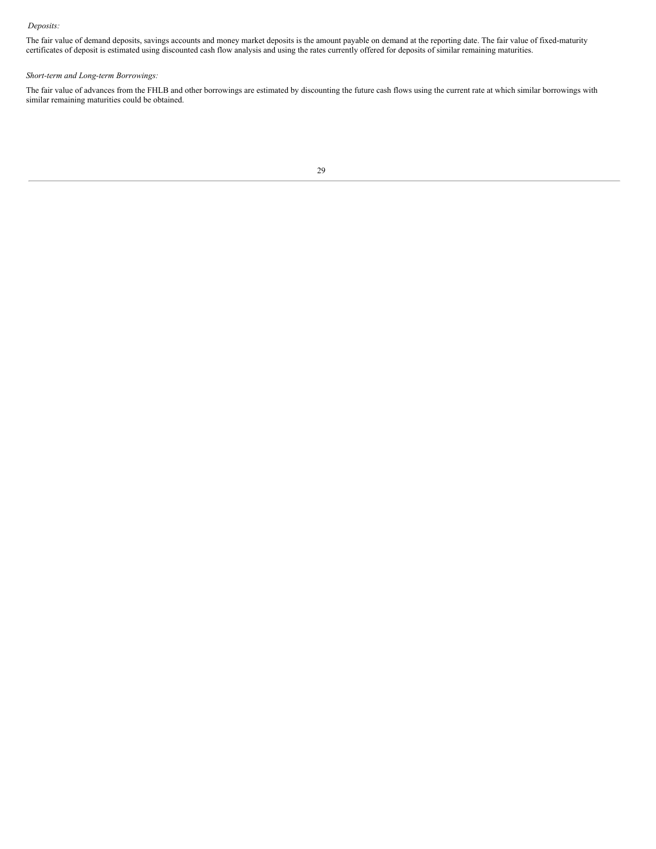# *Deposits:*

The fair value of demand deposits, savings accounts and money market deposits is the amount payable on demand at the reporting date. The fair value of fixed-maturity certificates of deposit is estimated using discounted cash flow analysis and using the rates currently offered for deposits of similar remaining maturities.

# *Short-term and Long-term Borrowings:*

The fair value of advances from the FHLB and other borrowings are estimated by discounting the future cash flows using the current rate at which similar borrowings with similar remaining maturities could be obtained.

```
29
```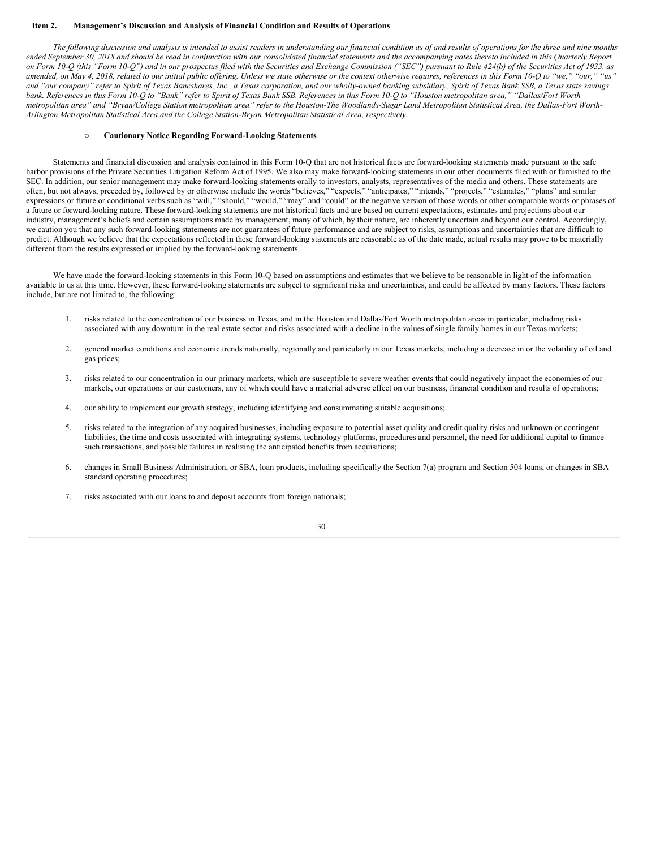#### <span id="page-29-0"></span>**Item 2. Management's Discussion and Analysis ofFinancial Condition and Results of Operations**

The following discussion and analysis is intended to assist readers in understanding our financial condition as of and results of operations for the three and nine months ended September 30, 2018 and should be read in conjunction with our consolidated financial statements and the accompanying notes thereto included in this Quarterly Report on Form 10-Q (this "Form 10-Q") and in our prospectus filed with the Securities and Exchange Commission ("SEC") pursuant to Rule 424(b) of the Securities Act of 1933, as amended, on May 4, 2018, related to our initial public offering. Unless we state otherwise or the context otherwise requires, references in this Form 10-Q to "we," "our," "us" and "our company" refer to Spirit of Texas Bancshares, Inc., a Texas corporation, and our wholly-owned banking subsidiary, Spirit of Texas Bank SSB, a Texas state savings bank. References in this Form 10-Q to "Bank" refer to Spirit of Texas Bank SSB. References in this Form 10-Q to "Houston metropolitan area," "Dallas/Fort Worth metropolitan area" and "Bryan/College Station metropolitan area" refer to the Houston-The Woodlands-Sugar Land Metropolitan Statistical Area, the Dallas-Fort Worth-*Arlington Metropolitan Statistical Area and the College Station-Bryan Metropolitan Statistical Area, respectively.*

#### o **Cautionary Notice Regarding Forward-Looking Statements**

Statements and financial discussion and analysis contained in this Form 10-Q that are not historical facts are forward-looking statements made pursuant to the safe harbor provisions of the Private Securities Litigation Reform Act of 1995. We also may make forward-looking statements in our other documents filed with or furnished to the SEC. In addition, our senior management may make forward-looking statements orally to investors, analysts, representatives of the media and others. These statements are often, but not always, preceded by, followed by or otherwise include the words "believes," "expects," "anticipates," "intends," "projects," "estimates," "plans" and similar expressions or future or conditional verbs such as "will," "should," "may" and "could" or the negative version of those words or other comparable words or phrases of a future or forward-looking nature. These forward-looking statements are not historical facts and are based on current expectations, estimates and projections about our industry, management's beliefs and certain assumptions made by management, many of which, by their nature, are inherently uncertain and beyond our control. Accordingly, we caution you that any such forward-looking statements are not guarantees of future performance and are subject to risks, assumptions and uncertainties that are difficult to predict. Although we believe that the expectations reflected in these forward-looking statements are reasonable as of the date made, actual results may prove to be materially different from the results expressed or implied by the forward-looking statements.

We have made the forward-looking statements in this Form 10-Q based on assumptions and estimates that we believe to be reasonable in light of the information available to us at this time. However, these forward-looking statements are subject to significant risks and uncertainties, and could be affected by many factors. These factors include, but are not limited to, the following:

- 1. risks related to the concentration of our business in Texas, and in the Houston and Dallas/Fort Worth metropolitan areas in particular, including risks associated with any downturn in the real estate sector and risks associated with a decline in the values of single family homes in our Texas markets;
- 2. general market conditions and economic trends nationally, regionally and particularly in our Texas markets, including a decrease in or the volatility of oil and gas prices;
- 3. risks related to our concentration in our primary markets, which are susceptible to severe weather events that could negatively impact the economies of our markets, our operations or our customers, any of which could have a material adverse effect on our business, financial condition and results of operations;
- 4. our ability to implement our growth strategy, including identifying and consummating suitable acquisitions;
- 5. risks related to the integration of any acquired businesses, including exposure to potential asset quality and credit quality risks and unknown or contingent liabilities, the time and costs associated with integrating systems, technology platforms, procedures and personnel, the need for additional capital to finance such transactions, and possible failures in realizing the anticipated benefits from acquisitions;
- 6. changes in Small Business Administration, or SBA, loan products, including specifically the Section 7(a) program and Section 504 loans, or changes in SBA standard operating procedures;
- 7. risks associated with our loans to and deposit accounts from foreign nationals;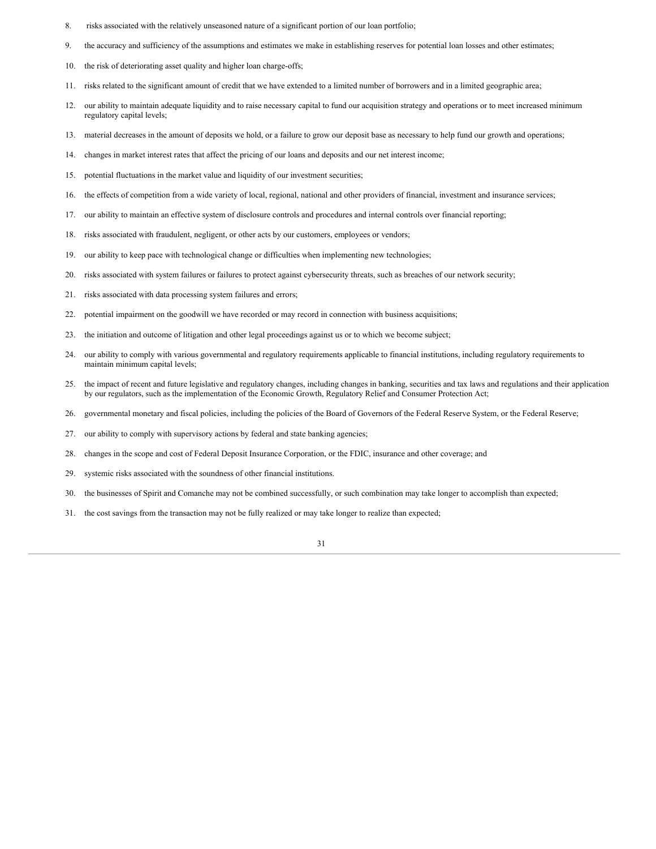- 8. risks associated with the relatively unseasoned nature of a significant portion of our loan portfolio;
- 9. the accuracy and sufficiency of the assumptions and estimates we make in establishing reserves for potential loan losses and other estimates;
- 10. the risk of deteriorating asset quality and higher loan charge-offs;
- 11. risks related to the significant amount of credit that we have extended to a limited number of borrowers and in a limited geographic area;
- 12. our ability to maintain adequate liquidity and to raise necessary capital to fund our acquisition strategy and operations or to meet increased minimum regulatory capital levels;
- 13. material decreases in the amount of deposits we hold, or a failure to grow our deposit base as necessary to help fund our growth and operations;
- 14. changes in market interest rates that affect the pricing of our loans and deposits and our net interest income;
- 15. potential fluctuations in the market value and liquidity of our investment securities;
- 16. the effects of competition from a wide variety of local, regional, national and other providers of financial, investment and insurance services;
- 17. our ability to maintain an effective system of disclosure controls and procedures and internal controls over financial reporting;
- 18. risks associated with fraudulent, negligent, or other acts by our customers, employees or vendors;
- 19. our ability to keep pace with technological change or difficulties when implementing new technologies;
- 20. risks associated with system failures or failures to protect against cybersecurity threats, such as breaches of our network security;
- 21. risks associated with data processing system failures and errors;
- 22. potential impairment on the goodwill we have recorded or may record in connection with business acquisitions;
- 23. the initiation and outcome of litigation and other legal proceedings against us or to which we become subject;
- 24. our ability to comply with various governmental and regulatory requirements applicable to financial institutions, including regulatory requirements to maintain minimum capital levels;
- 25. the impact of recent and future legislative and regulatory changes, including changes in banking, securities and tax laws and regulations and their application by our regulators, such as the implementation of the Economic Growth, Regulatory Relief and Consumer Protection Act;
- 26. governmental monetary and fiscal policies, including the policies of the Board of Governors of the Federal Reserve System, or the Federal Reserve;
- 27. our ability to comply with supervisory actions by federal and state banking agencies;
- 28. changes in the scope and cost of Federal Deposit Insurance Corporation, or the FDIC, insurance and other coverage; and
- 29. systemic risks associated with the soundness of other financial institutions.
- 30. the businesses of Spirit and Comanche may not be combined successfully, or such combination may take longer to accomplish than expected;
- 31. the cost savings from the transaction may not be fully realized or may take longer to realize than expected;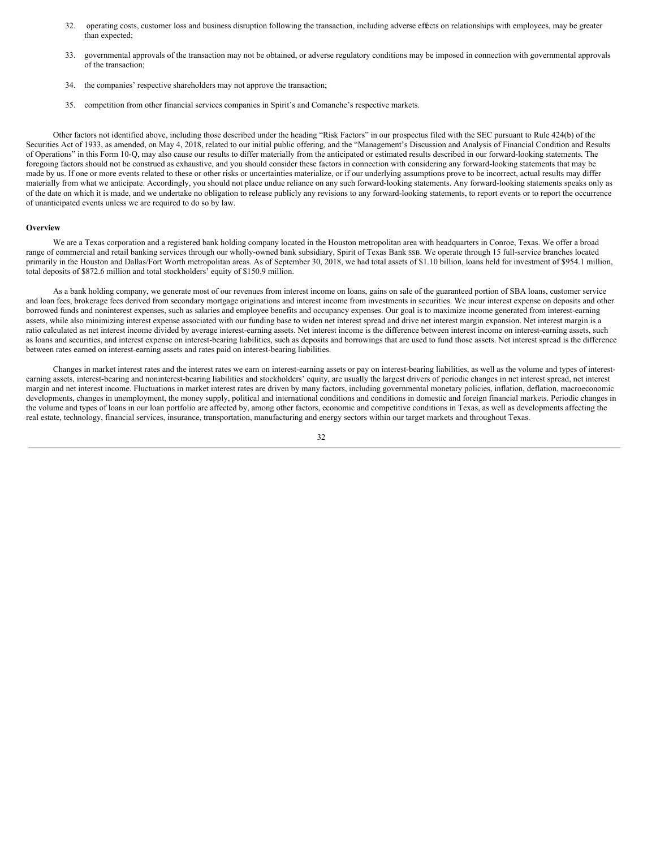- 32. operating costs, customer loss and business disruption following the transaction, including adverse effects on relationships with employees, may be greater than expected;
- 33. governmental approvals of the transaction may not be obtained, or adverse regulatory conditions may be imposed in connection with governmental approvals of the transaction;
- 34. the companies' respective shareholders may not approve the transaction;
- 35. competition from other financial services companies in Spirit's and Comanche's respective markets.

Other factors not identified above, including those described under the heading "Risk Factors" in our prospectus filed with the SEC pursuant to Rule 424(b) of the Securities Act of 1933, as amended, on May 4, 2018, related to our initial public offering, and the "Management's Discussion and Analysis of Financial Condition and Results of Operations" in this Form 10-Q, may also cause our results to differ materially from the anticipated or estimated results described in our forward-looking statements. The foregoing factors should not be construed as exhaustive, and you should consider these factors in connection with considering any forward-looking statements that may be made by us. If one or more events related to these or other risks or uncertainties materialize, or if our underlying assumptions prove to be incorrect, actual results may differ materially from what we anticipate. Accordingly, you should not place undue reliance on any such forward-looking statements. Any forward-looking statements speaks only as of the date on which it is made, and we undertake no obligation to release publicly any revisions to any forward-looking statements, to report events or to report the occurrence of unanticipated events unless we are required to do so by law.

#### **Overview**

We are a Texas corporation and a registered bank holding company located in the Houston metropolitan area with headquarters in Conroe, Texas. We offer a broad range of commercial and retail banking services through our wholly-owned bank subsidiary, Spirit of Texas Bank SSB. We operate through 15 full-service branches located primarily in the Houston and Dallas/Fort Worth metropolitan areas. As of September 30, 2018, we had total assets of \$1.10 billion, loans held for investment of \$954.1 million, total deposits of \$872.6 million and total stockholders' equity of \$150.9 million.

As a bank holding company, we generate most of our revenues from interest income on loans, gains on sale of the guaranteed portion of SBA loans, customer service and loan fees, brokerage fees derived from secondary mortgage originations and interest income from investments in securities. We incur interest expense on deposits and other borrowed funds and noninterest expenses, such as salaries and employee benefits and occupancy expenses. Our goal is to maximize income generated from interest-earning assets, while also minimizing interest expense associated with our funding base to widen net interest spread and drive net interest margin expansion. Net interest margin is a ratio calculated as net interest income divided by average interest-earning assets. Net interest income is the difference between interest income on interest-earning assets, such as loans and securities, and interest expense on interest-bearing liabilities, such as deposits and borrowings that are used to fund those assets. Net interest spread is the difference between rates earned on interest-earning assets and rates paid on interest-bearing liabilities.

Changes in market interest rates and the interest rates we earn on interest-earning assets or pay on interest-bearing liabilities, as well as the volume and types of interestearning assets, interest-bearing and noninterest-bearing liabilities and stockholders' equity, are usually the largest drivers of periodic changes in net interest spread, net interest margin and net interest income. Fluctuations in market interest rates are driven by many factors, including governmental monetary policies, inflation, deflation, macroeconomic developments, changes in unemployment, the money supply, political and international conditions and conditions in domestic and foreign financial markets. Periodic changes in the volume and types of loans in our loan portfolio are affected by, among other factors, economic and competitive conditions in Texas, as well as developments affecting the real estate, technology, financial services, insurance, transportation, manufacturing and energy sectors within our target markets and throughout Texas.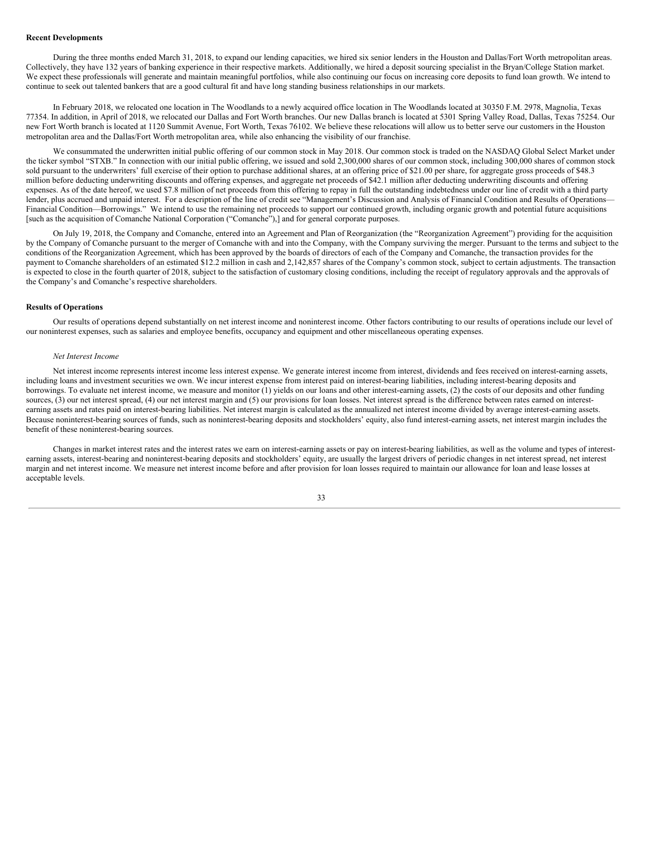# **Recent Developments**

During the three months ended March 31, 2018, to expand our lending capacities, we hired six senior lenders in the Houston and Dallas/Fort Worth metropolitan areas. Collectively, they have 132 years of banking experience in their respective markets. Additionally, we hired a deposit sourcing specialist in the Bryan/College Station market. We expect these professionals will generate and maintain meaningful portfolios, while also continuing our focus on increasing core deposits to fund loan growth. We intend to continue to seek out talented bankers that are a good cultural fit and have long standing business relationships in our markets.

In February 2018, we relocated one location in The Woodlands to a newly acquired office location in The Woodlands located at 30350 F.M. 2978, Magnolia, Texas 77354. In addition, in April of 2018, we relocated our Dallas and Fort Worth branches. Our new Dallas branch is located at 5301 Spring Valley Road, Dallas, Texas 75254. Our new Fort Worth branch is located at 1120 Summit Avenue, Fort Worth, Texas 76102. We believe these relocations will allow us to better serve our customers in the Houston metropolitan area and the Dallas/Fort Worth metropolitan area, while also enhancing the visibility of our franchise.

We consummated the underwritten initial public offering of our common stock in May 2018. Our common stock is traded on the NASDAQ Global Select Market under the ticker symbol "STXB." In connection with our initial public offering, we issued and sold 2,300,000 shares of our common stock, including 300,000 shares of common stock sold pursuant to the underwriters' full exercise of their option to purchase additional shares, at an offering price of \$21.00 per share, for aggregate gross proceeds of \$48.3 million before deducting underwriting discounts and offering expenses, and aggregate net proceeds of \$42.1 million after deducting underwriting discounts and offering expenses. As of the date hereof, we used \$7.8 million of net proceeds from this offering to repay in full the outstanding indebtedness under our line of credit with a third party lender, plus accrued and unpaid interest. For a description of the line of credit see "Management's Discussion and Analysis of Financial Condition and Results of Operations-Financial Condition—Borrowings." We intend to use the remaining net proceeds to support our continued growth, including organic growth and potential future acquisitions [such as the acquisition of Comanche National Corporation ("Comanche"),] and for general corporate purposes.

On July 19, 2018, the Company and Comanche, entered into an Agreement and Plan of Reorganization (the "Reorganization Agreement") providing for the acquisition by the Company of Comanche pursuant to the merger of Comanche with and into the Company, with the Company surviving the merger. Pursuant to the terms and subject to the conditions of the Reorganization Agreement, which has been approved by the boards of directors of each of the Company and Comanche, the transaction provides for the payment to Comanche shareholders of an estimated \$12.2 million in cash and 2,142,857 shares of the Company's common stock, subject to certain adjustments. The transaction is expected to close in the fourth quarter of 2018, subject to the satisfaction of customary closing conditions, including the receipt of regulatory approvals and the approvals of the Company's and Comanche's respective shareholders.

# **Results of Operations**

Our results of operations depend substantially on net interest income and noninterest income. Other factors contributing to our results of operations include our level of our noninterest expenses, such as salaries and employee benefits, occupancy and equipment and other miscellaneous operating expenses.

#### *Net Interest Income*

Net interest income represents interest income less interest expense. We generate interest income from interest, dividends and fees received on interest-earning assets, including loans and investment securities we own. We incur interest expense from interest paid on interest-bearing liabilities, including interest-bearing deposits and borrowings. To evaluate net interest income, we measure and monitor (1) yields on our loans and other interest-earning assets, (2) the costs of our deposits and other funding sources, (3) our net interest spread, (4) our net interest margin and (5) our provisions for loan losses. Net interest spread is the difference between rates earned on interestearning assets and rates paid on interest-bearing liabilities. Net interest margin is calculated as the annualized net interest income divided by average interest-earning assets. Because noninterest-bearing sources of funds, such as noninterest-bearing deposits and stockholders' equity, also fund interest-earning assets, net interest margin includes the benefit of these noninterest-bearing sources.

Changes in market interest rates and the interest rates we earn on interest-earning assets or pay on interest-bearing liabilities, as well as the volume and types of interestearning assets, interest-bearing and noninterest-bearing deposits and stockholders' equity, are usually the largest drivers of periodic changes in net interest spread, net interest margin and net interest income. We measure net interest income before and after provision for loan losses required to maintain our allowance for loan and lease losses at acceptable levels.

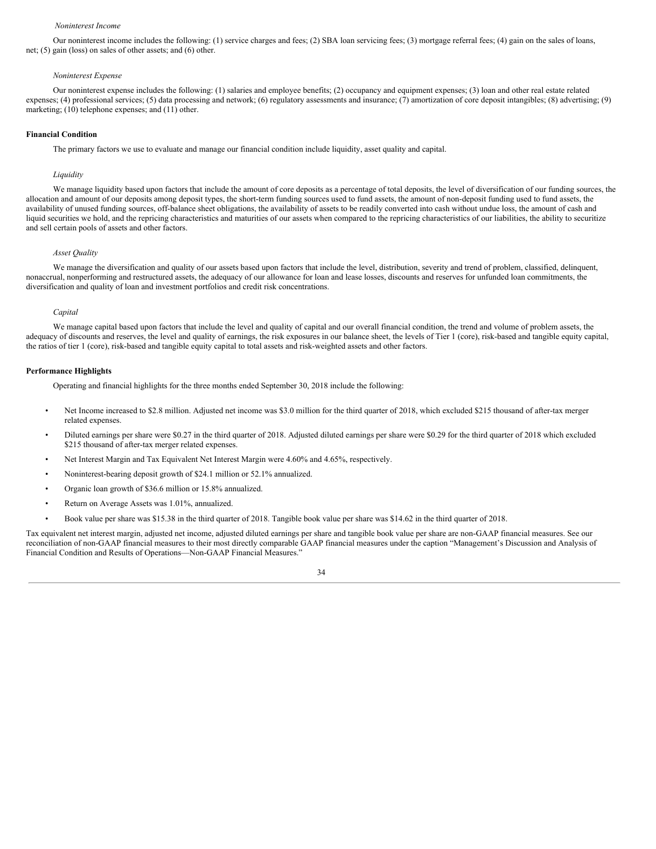#### *Noninterest Income*

Our noninterest income includes the following: (1) service charges and fees; (2) SBA loan servicing fees; (3) mortgage referral fees; (4) gain on the sales of loans, net; (5) gain (loss) on sales of other assets; and (6) other.

#### *Noninterest Expense*

Our noninterest expense includes the following: (1) salaries and employee benefits; (2) occupancy and equipment expenses; (3) loan and other real estate related expenses; (4) professional services; (5) data processing and network; (6) regulatory assessments and insurance; (7) amortization of core deposit intangibles; (8) advertising; (9) marketing; (10) telephone expenses; and (11) other.

#### **Financial Condition**

The primary factors we use to evaluate and manage our financial condition include liquidity, asset quality and capital.

#### *Liquidity*

We manage liquidity based upon factors that include the amount of core deposits as a percentage of total deposits, the level of diversification of our funding sources, the allocation and amount of our deposits among deposit types, the short-term funding sources used to fund assets, the amount of non-deposit funding used to fund assets, the availability of unused funding sources, off-balance sheet obligations, the availability of assets to be readily converted into cash without undue loss, the amount of cash and liquid securities we hold, and the repricing characteristics and maturities of our assets when compared to the repricing characteristics of our liabilities, the ability to securitize and sell certain pools of assets and other factors.

#### *Asset Quality*

We manage the diversification and quality of our assets based upon factors that include the level, distribution, severity and trend of problem, classified, delinquent, nonaccrual, nonperforming and restructured assets, the adequacy of our allowance for loan and lease losses, discounts and reserves for unfunded loan commitments, the diversification and quality of loan and investment portfolios and credit risk concentrations.

#### *Capital*

We manage capital based upon factors that include the level and quality of capital and our overall financial condition, the trend and volume of problem assets, the adequacy of discounts and reserves, the level and quality of earnings, the risk exposures in our balance sheet, the levels of Tier 1 (core), risk-based and tangible equity capital, the ratios of tier 1 (core), risk-based and tangible equity capital to total assets and risk-weighted assets and other factors.

# **Performance Highlights**

Operating and financial highlights for the three months ended September 30, 2018 include the following:

- Net Income increased to \$2.8 million. Adjusted net income was \$3.0 million for the third quarter of 2018, which excluded \$215 thousand of after-tax merger related expenses.
- Diluted earnings per share were \$0.27 in the third quarter of 2018. Adjusted diluted earnings per share were \$0.29 for the third quarter of 2018 which excluded \$215 thousand of after-tax merger related expenses.
- Net Interest Margin and Tax Equivalent Net Interest Margin were 4.60% and 4.65%, respectively.
- Noninterest-bearing deposit growth of \$24.1 million or 52.1% annualized.
- Organic loan growth of \$36.6 million or 15.8% annualized.
- Return on Average Assets was 1.01%, annualized.
- Book value per share was \$15.38 in the third quarter of 2018. Tangible book value per share was \$14.62 in the third quarter of 2018.

Tax equivalent net interest margin, adjusted net income, adjusted diluted earnings per share and tangible book value per share are non-GAAP financial measures. See our reconciliation of non-GAAP financial measures to their most directly comparable GAAP financial measures under the caption "Management's Discussion and Analysis of Financial Condition and Results of Operations—Non-GAAP Financial Measures."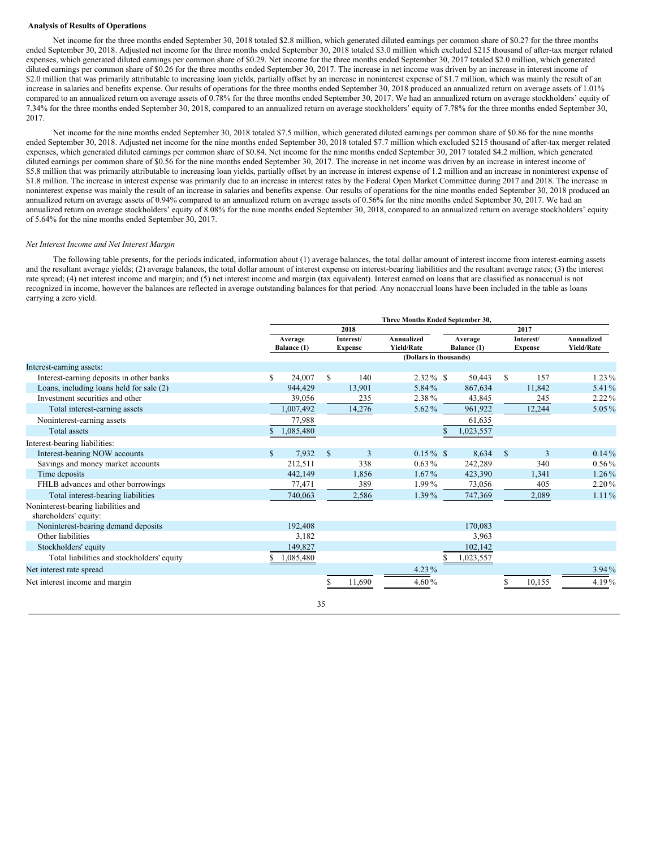#### **Analysis of Results of Operations**

Net income for the three months ended September 30, 2018 totaled \$2.8 million, which generated diluted earnings per common share of \$0.27 for the three months ended September 30, 2018. Adjusted net income for the three months ended September 30, 2018 totaled \$3.0 million which excluded \$215 thousand of after-tax merger related expenses, which generated diluted earnings per common share of \$0.29. Net income for the three months ended September 30, 2017 totaled \$2.0 million, which generated diluted earnings per common share of \$0.26 for the three months ended September 30, 2017. The increase in net income was driven by an increase in interest income of \$2.0 million that was primarily attributable to increasing loan yields, partially offset by an increase in noninterest expense of \$1.7 million, which was mainly the result of an increase in salaries and benefits expense. Our results of operations for the three months ended September 30, 2018 produced an annualized return on average assets of 1.01% compared to an annualized return on average assets of 0.78% for the three months ended September 30, 2017. We had an annualized return on average stockholders' equity of 7.34% for the three months ended September 30, 2018, compared to an annualized return on average stockholders' equity of 7.78% for the three months ended September 30, 2017.

Net income for the nine months ended September 30, 2018 totaled \$7.5 million, which generated diluted earnings per common share of \$0.86 for the nine months ended September 30, 2018. Adjusted net income for the nine months ended September 30, 2018 totaled \$7.7 million which excluded \$215 thousand of after-tax merger related expenses, which generated diluted earnings per common share of \$0.84. Net income for the nine months ended September 30, 2017 totaled \$4.2 million, which generated diluted earnings per common share of \$0.56 for the nine months ended September 30, 2017. The increase in net income was driven by an increase in interest income of \$5.8 million that was primarily attributable to increasing loan yields, partially offset by an increase in interest expense of 1.2 million and an increase in noninterest expense of \$1.8 million. The increase in interest expense was primarily due to an increase in interest rates by the Federal Open Market Committee during 2017 and 2018. The increase in noninterest expense was mainly the result of an increase in salaries and benefits expense. Our results of operations for the nine months ended September 30, 2018 produced an annualized return on average assets of 0.94% compared to an annualized return on average assets of 0.56% for the nine months ended September 30, 2017. We had an annualized return on average stockholders' equity of 8.08% for the nine months ended September 30, 2018, compared to an annualized return on average stockholders' equity of 5.64% for the nine months ended September 30, 2017.

#### *Net Interest Income and Net Interest Margin*

The following table presents, for the periods indicated, information about (1) average balances, the total dollar amount of interest income from interest-earning assets and the resultant average yields; (2) average balances, the total dollar amount of interest expense on interest-bearing liabilities and the resultant average rates; (3) the interest rate spread; (4) net interest income and margin; and (5) net interest income and margin (tax equivalent). Interest earned on loans that are classified as nonaccrual is not recognized in income, however the balances are reflected in average outstanding balances for that period. Any nonaccrual loans have been included in the table as loans carrying a zero yield.

|                                                              |              |                        |    |                             | Three Months Ended September 30, |                        |              |                             |                                 |
|--------------------------------------------------------------|--------------|------------------------|----|-----------------------------|----------------------------------|------------------------|--------------|-----------------------------|---------------------------------|
|                                                              |              |                        |    | 2018                        |                                  |                        |              | 2017                        |                                 |
|                                                              |              | Average<br>Balance (1) |    | Interest/<br><b>Expense</b> | Annualized<br><b>Yield/Rate</b>  | Average<br>Balance (1) |              | Interest/<br><b>Expense</b> | Annualized<br><b>Yield/Rate</b> |
|                                                              |              |                        |    |                             | (Dollars in thousands)           |                        |              |                             |                                 |
| Interest-earning assets:                                     |              |                        |    |                             |                                  |                        |              |                             |                                 |
| Interest-earning deposits in other banks                     | S            | 24,007                 | S. | 140                         | $2.32\%$ \$                      | 50,443                 | S            | 157                         | $1.23\%$                        |
| Loans, including loans held for sale (2)                     |              | 944.429                |    | 13,901                      | 5.84%                            | 867,634                |              | 11,842                      | 5.41%                           |
| Investment securities and other                              |              | 39,056                 |    | 235                         | 2.38%                            | 43,845                 |              | 245                         | $2.22\%$                        |
| Total interest-earning assets                                |              | 1,007,492              |    | 14,276                      | 5.62%                            | 961,922                |              | 12,244                      | 5.05%                           |
| Noninterest-earning assets                                   |              | 77,988                 |    |                             |                                  | 61,635                 |              |                             |                                 |
| <b>Total assets</b>                                          |              | 1,085,480              |    |                             |                                  | 1,023,557              |              |                             |                                 |
| Interest-bearing liabilities:                                |              |                        |    |                             |                                  |                        |              |                             |                                 |
| Interest-bearing NOW accounts                                | $\mathbb{S}$ | 7,932                  | \$ | 3                           | $0.15\%$ \$                      | 8,634                  | $\mathbb{S}$ | 3                           | $0.14\%$                        |
| Savings and money market accounts                            |              | 212,511                |    | 338                         | $0.63\%$                         | 242,289                |              | 340                         | $0.56\%$                        |
| Time deposits                                                |              | 442,149                |    | 1,856                       | $1.67\%$                         | 423,390                |              | 1,341                       | 1.26%                           |
| FHLB advances and other borrowings                           |              | 77,471                 |    | 389                         | 1.99%                            | 73,056                 |              | 405                         | 2.20%                           |
| Total interest-bearing liabilities                           |              | 740,063                |    | 2,586                       | 1.39%                            | 747,369                |              | 2,089                       | $1.11\%$                        |
| Noninterest-bearing liabilities and<br>shareholders' equity: |              |                        |    |                             |                                  |                        |              |                             |                                 |
| Noninterest-bearing demand deposits                          |              | 192,408                |    |                             |                                  | 170,083                |              |                             |                                 |
| Other liabilities                                            |              | 3,182                  |    |                             |                                  | 3,963                  |              |                             |                                 |
| Stockholders' equity                                         |              | 149,827                |    |                             |                                  | 102,142                |              |                             |                                 |
| Total liabilities and stockholders' equity                   |              | 1,085,480              |    |                             |                                  | 1,023,557              |              |                             |                                 |
| Net interest rate spread                                     |              |                        |    |                             | 4.23%                            |                        |              |                             | 3.94%                           |
| Net interest income and margin                               |              |                        |    | 11,690                      | 4.60 $%$                         |                        |              | 10,155                      | 4.19%                           |
|                                                              |              |                        | 35 |                             |                                  |                        |              |                             |                                 |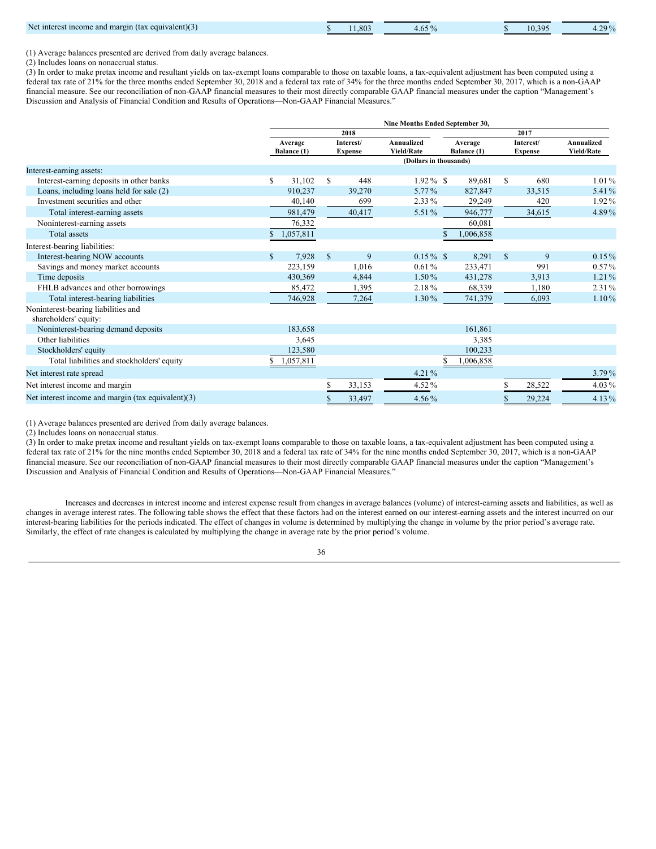| $\sim$ $\sim$<br>Net interes<br>, equivalent K<br>margin (tax<br>income and<br>. | .80 <sup>°</sup> | т. о | $\bigcap$<br>- 9 | 200 <sub>4</sub><br>т.∠ |
|----------------------------------------------------------------------------------|------------------|------|------------------|-------------------------|
|                                                                                  |                  |      |                  |                         |

(1) Average balances presented are derived from daily average balances.

(2) Includes loans on nonaccrual status.

(3) In order to make pretax income and resultant yields on tax-exempt loans comparable to those on taxable loans, a tax-equivalent adjustment has been computed using a federal tax rate of 21% for the three months ended September 30, 2018 and a federal tax rate of 34% for the three months ended September 30, 2017, which is a non-GAAP financial measure. See our reconciliation of non-GAAP financial measures to their most directly comparable GAAP financial measures under the caption "Management's Discussion and Analysis of Financial Condition and Results of Operations—Non-GAAP Financial Measures."

|                                                              |             |                        |    |                             | Nine Months Ended September 30, |                        |           |              |                             |                                 |  |
|--------------------------------------------------------------|-------------|------------------------|----|-----------------------------|---------------------------------|------------------------|-----------|--------------|-----------------------------|---------------------------------|--|
|                                                              |             |                        |    | 2018                        |                                 | 2017                   |           |              |                             |                                 |  |
|                                                              |             | Average<br>Balance (1) |    | Interest/<br><b>Expense</b> | Annualized<br><b>Yield/Rate</b> | Average<br>Balance (1) |           |              | Interest/<br><b>Expense</b> | Annualized<br><b>Yield/Rate</b> |  |
|                                                              |             |                        |    |                             | (Dollars in thousands)          |                        |           |              |                             |                                 |  |
| Interest-earning assets:                                     |             |                        |    |                             |                                 |                        |           |              |                             |                                 |  |
| Interest-earning deposits in other banks                     | S           | 31,102                 | \$ | 448                         | $1.92\%$ \$                     |                        | 89,681    | S            | 680                         | $1.01\%$                        |  |
| Loans, including loans held for sale (2)                     |             | 910.237                |    | 39,270                      | 5.77%                           |                        | 827,847   |              | 33,515                      | 5.41%                           |  |
| Investment securities and other                              |             | 40,140                 |    | 699                         | 2.33%                           |                        | 29,249    |              | 420                         | 1.92%                           |  |
| Total interest-earning assets                                |             | 981,479                |    | 40,417                      | 5.51%                           |                        | 946,777   |              | 34,615                      | 4.89%                           |  |
| Noninterest-earning assets                                   |             | 76,332                 |    |                             |                                 |                        | 60,081    |              |                             |                                 |  |
| <b>Total assets</b>                                          |             | 1,057,811              |    |                             |                                 |                        | 1,006,858 |              |                             |                                 |  |
| Interest-bearing liabilities:                                |             |                        |    |                             |                                 |                        |           |              |                             |                                 |  |
| Interest-bearing NOW accounts                                | $\mathbf S$ | 7,928                  | \$ | 9                           | $0.15\%$ \$                     |                        | 8,291     | $\mathbb{S}$ | 9                           | $0.15\%$                        |  |
| Savings and money market accounts                            |             | 223,159                |    | 1,016                       | 0.61%                           |                        | 233,471   |              | 991                         | $0.57\%$                        |  |
| Time deposits                                                |             | 430,369                |    | 4,844                       | $1.50\%$                        |                        | 431,278   |              | 3,913                       | $1.21\%$                        |  |
| FHLB advances and other borrowings                           |             | 85,472                 |    | 1,395                       | 2.18%                           |                        | 68,339    |              | 1,180                       | 2.31%                           |  |
| Total interest-bearing liabilities                           |             | 746,928                |    | 7,264                       | 1.30%                           |                        | 741,379   |              | 6,093                       | $1.10\%$                        |  |
| Noninterest-bearing liabilities and<br>shareholders' equity: |             |                        |    |                             |                                 |                        |           |              |                             |                                 |  |
| Noninterest-bearing demand deposits                          |             | 183,658                |    |                             |                                 |                        | 161,861   |              |                             |                                 |  |
| Other liabilities                                            |             | 3,645                  |    |                             |                                 |                        | 3,385     |              |                             |                                 |  |
| Stockholders' equity                                         |             | 123,580                |    |                             |                                 |                        | 100,233   |              |                             |                                 |  |
| Total liabilities and stockholders' equity                   |             | 1,057,811              |    |                             |                                 |                        | 1,006,858 |              |                             |                                 |  |
| Net interest rate spread                                     |             |                        |    |                             | $4.21\%$                        |                        |           |              |                             | $3.79\%$                        |  |
| Net interest income and margin                               |             |                        |    | 33,153                      | 4.52%                           |                        |           | S            | 28,522                      | 4.03%                           |  |
| Net interest income and margin (tax equivalent)(3)           |             |                        |    | 33,497                      | $4.56\%$                        |                        |           | S            | 29,224                      | 4.13%                           |  |

(1) Average balances presented are derived from daily average balances.

(2) Includes loans on nonaccrual status.

(3) In order to make pretax income and resultant yields on tax-exempt loans comparable to those on taxable loans, a tax-equivalent adjustment has been computed using a federal tax rate of 21% for the nine months ended September 30, 2018 and a federal tax rate of 34% for the nine months ended September 30, 2017, which is a non-GAAP financial measure. See our reconciliation of non-GAAP financial measures to their most directly comparable GAAP financial measures under the caption "Management's Discussion and Analysis of Financial Condition and Results of Operations—Non-GAAP Financial Measures."

Increases and decreases in interest income and interest expense result from changes in average balances (volume) of interest-earning assets and liabilities, as well as changes in average interest rates. The following table shows the effect that these factors had on the interest earned on our interest-earning assets and the interest incurred on our interest-bearing liabilities for the periods indicated. The effect of changes in volume is determined by multiplying the change in volume by the prior period's average rate. Similarly, the effect of rate changes is calculated by multiplying the change in average rate by the prior period's volume.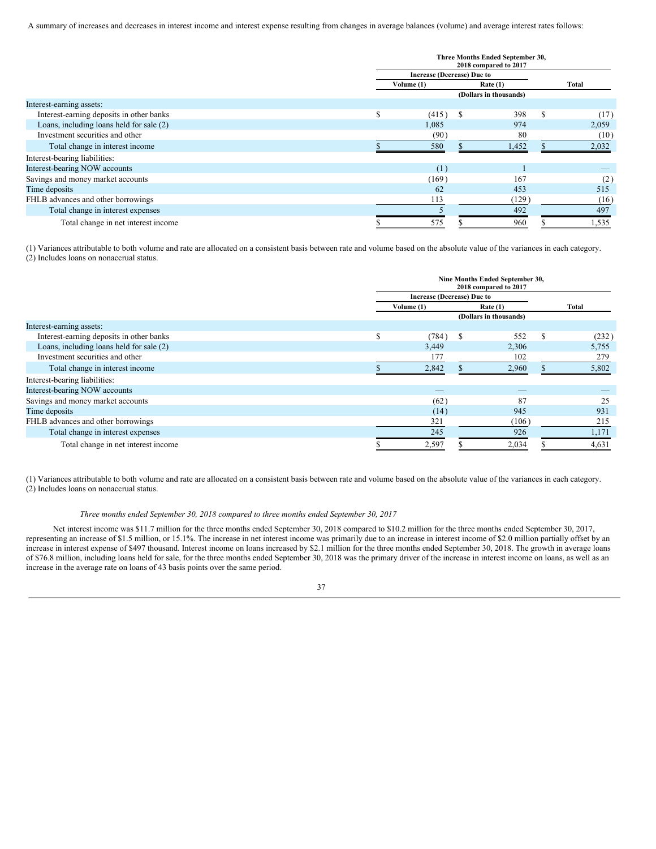A summary of increases and decreases in interest income and interest expense resulting from changes in average balances (volume) and average interest rates follows:

|                                          |          | Three Months Ended September 30,<br>2018 compared to 2017 |   |                        |   |       |  |  |  |  |
|------------------------------------------|----------|-----------------------------------------------------------|---|------------------------|---|-------|--|--|--|--|
|                                          |          | <b>Increase (Decrease) Due to</b>                         |   |                        |   |       |  |  |  |  |
|                                          |          | Volume (1)                                                |   | Rate $(1)$             |   | Total |  |  |  |  |
|                                          |          |                                                           |   | (Dollars in thousands) |   |       |  |  |  |  |
| Interest-earning assets:                 |          |                                                           |   |                        |   |       |  |  |  |  |
| Interest-earning deposits in other banks | <b>S</b> | (415)                                                     | S | 398                    | S | (17)  |  |  |  |  |
| Loans, including loans held for sale (2) |          | 1,085                                                     |   | 974                    |   | 2,059 |  |  |  |  |
| Investment securities and other          |          | (90)                                                      |   | 80                     |   | (10)  |  |  |  |  |
| Total change in interest income          |          | 580                                                       |   | 1,452                  |   | 2,032 |  |  |  |  |
| Interest-bearing liabilities:            |          |                                                           |   |                        |   |       |  |  |  |  |
| Interest-bearing NOW accounts            |          | (1)                                                       |   |                        |   |       |  |  |  |  |
| Savings and money market accounts        |          | (169)                                                     |   | 167                    |   | (2)   |  |  |  |  |
| Time deposits                            |          | 62                                                        |   | 453                    |   | 515   |  |  |  |  |
| FHLB advances and other borrowings       |          | 113                                                       |   | (129)                  |   | (16)  |  |  |  |  |
| Total change in interest expenses        |          |                                                           |   | 492                    |   | 497   |  |  |  |  |
| Total change in net interest income      |          | 575                                                       |   | 960                    |   | 1,535 |  |  |  |  |

(1) Variances attributable to both volume and rate are allocated on a consistent basis between rate and volume based on the absolute value of the variances in each category. (2) Includes loans on nonaccrual status.

|                                          |          | Nine Months Ended September 30,<br>2018 compared to 2017 |                        |            |          |       |  |  |  |
|------------------------------------------|----------|----------------------------------------------------------|------------------------|------------|----------|-------|--|--|--|
|                                          |          | <b>Increase (Decrease) Due to</b>                        |                        |            |          |       |  |  |  |
|                                          |          | Volume (1)                                               |                        | Rate $(1)$ |          | Total |  |  |  |
|                                          |          |                                                          | (Dollars in thousands) |            |          |       |  |  |  |
| Interest-earning assets:                 |          |                                                          |                        |            |          |       |  |  |  |
| Interest-earning deposits in other banks | <b>S</b> | (784)                                                    | <sup>\$</sup>          | 552        | <b>S</b> | (232) |  |  |  |
| Loans, including loans held for sale (2) |          | 3,449                                                    |                        | 2,306      |          | 5,755 |  |  |  |
| Investment securities and other          |          | 177                                                      |                        | 102        |          | 279   |  |  |  |
| Total change in interest income          |          | 2,842                                                    |                        | 2,960      |          | 5,802 |  |  |  |
| Interest-bearing liabilities:            |          |                                                          |                        |            |          |       |  |  |  |
| Interest-bearing NOW accounts            |          |                                                          |                        |            |          |       |  |  |  |
| Savings and money market accounts        |          | (62)                                                     |                        | 87         |          | 25    |  |  |  |
| Time deposits                            |          | (14)                                                     |                        | 945        |          | 931   |  |  |  |
| FHLB advances and other borrowings       |          | 321                                                      |                        | (106)      |          | 215   |  |  |  |
| Total change in interest expenses        |          | 245                                                      |                        | 926        |          | 1,171 |  |  |  |
| Total change in net interest income      |          | 2,597                                                    |                        | 2,034      |          | 4,631 |  |  |  |

(1) Variances attributable to both volume and rate are allocated on a consistent basis between rate and volume based on the absolute value of the variances in each category. (2) Includes loans on nonaccrual status.

#### *Three months ended September 30, 2018 compared to three months ended September 30, 2017*

Net interest income was \$11.7 million for the three months ended September 30, 2018 compared to \$10.2 million for the three months ended September 30, 2017, representing an increase of \$1.5 million, or 15.1%. The increase in net interest income was primarily due to an increase in interest income of \$2.0 million partially offset by an increase in interest expense of \$497 thousand. Interest income on loans increased by \$2.1 million for the three months ended September 30, 2018. The growth in average loans of \$76.8 million, including loans held for sale, for the three months ended September 30, 2018 was the primary driver of the increase in interest income on loans, as well as an increase in the average rate on loans of 43 basis points over the same period.

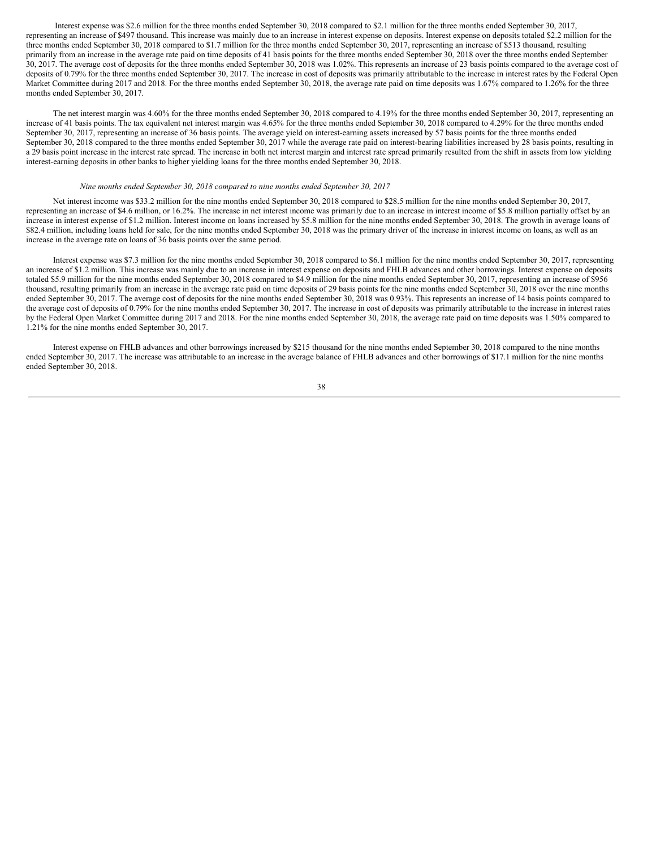Interest expense was \$2.6 million for the three months ended September 30, 2018 compared to \$2.1 million for the three months ended September 30, 2017, representing an increase of \$497 thousand. This increase was mainly due to an increase in interest expense on deposits. Interest expense on deposits totaled \$2.2 million for the three months ended September 30, 2018 compared to \$1.7 million for the three months ended September 30, 2017, representing an increase of \$513 thousand, resulting primarily from an increase in the average rate paid on time deposits of 41 basis points for the three months ended September 30, 2018 over the three months ended September 30, 2017. The average cost of deposits for the three months ended September 30, 2018 was 1.02%. This represents an increase of 23 basis points compared to the average cost of deposits of 0.79% for the three months ended September 30, 2017. The increase in cost of deposits was primarily attributable to the increase in interest rates by the Federal Open Market Committee during 2017 and 2018. For the three months ended September 30, 2018, the average rate paid on time deposits was 1.67% compared to 1.26% for the three months ended September 30, 2017.

The net interest margin was 4.60% for the three months ended September 30, 2018 compared to 4.19% for the three months ended September 30, 2017, representing an increase of 41 basis points. The tax equivalent net interest margin was 4.65% for the three months ended September 30, 2018 compared to 4.29% for the three months ended September 30, 2017, representing an increase of 36 basis points. The average yield on interest-earning assets increased by 57 basis points for the three months ended September 30, 2018 compared to the three months ended September 30, 2017 while the average rate paid on interest-bearing liabilities increased by 28 basis points, resulting in a 29 basis point increase in the interest rate spread. The increase in both net interest margin and interest rate spread primarily resulted from the shift in assets from low yielding interest-earning deposits in other banks to higher yielding loans for the three months ended September 30, 2018.

#### *Nine months ended September 30, 2018 compared to nine months ended September 30, 2017*

Net interest income was \$33.2 million for the nine months ended September 30, 2018 compared to \$28.5 million for the nine months ended September 30, 2017, representing an increase of \$4.6 million, or 16.2%. The increase in net interest income was primarily due to an increase in interest income of \$5.8 million partially offset by an increase in interest expense of \$1.2 million. Interest income on loans increased by \$5.8 million for the nine months ended September 30, 2018. The growth in average loans of \$82.4 million, including loans held for sale, for the nine months ended September 30, 2018 was the primary driver of the increase in interest income on loans, as well as an increase in the average rate on loans of 36 basis points over the same period.

Interest expense was \$7.3 million for the nine months ended September 30, 2018 compared to \$6.1 million for the nine months ended September 30, 2017, representing an increase of \$1.2 million. This increase was mainly due to an increase in interest expense on deposits and FHLB advances and other borrowings. Interest expense on deposits totaled \$5.9 million for the nine months ended September 30, 2018 compared to \$4.9 million for the nine months ended September 30, 2017, representing an increase of \$956 thousand, resulting primarily from an increase in the average rate paid on time deposits of 29 basis points for the nine months ended September 30, 2018 over the nine months ended September 30, 2017. The average cost of deposits for the nine months ended September 30, 2018 was 0.93%. This represents an increase of 14 basis points compared to the average cost of deposits of 0.79% for the nine months ended September 30, 2017. The increase in cost of deposits was primarily attributable to the increase in interest rates by the Federal Open Market Committee during 2017 and 2018. For the nine months ended September 30, 2018, the average rate paid on time deposits was 1.50% compared to 1.21% for the nine months ended September 30, 2017.

Interest expense on FHLB advances and other borrowings increased by \$215 thousand for the nine months ended September 30, 2018 compared to the nine months ended September 30, 2017. The increase was attributable to an increase in the average balance of FHLB advances and other borrowings of \$17.1 million for the nine months ended September 30, 2018.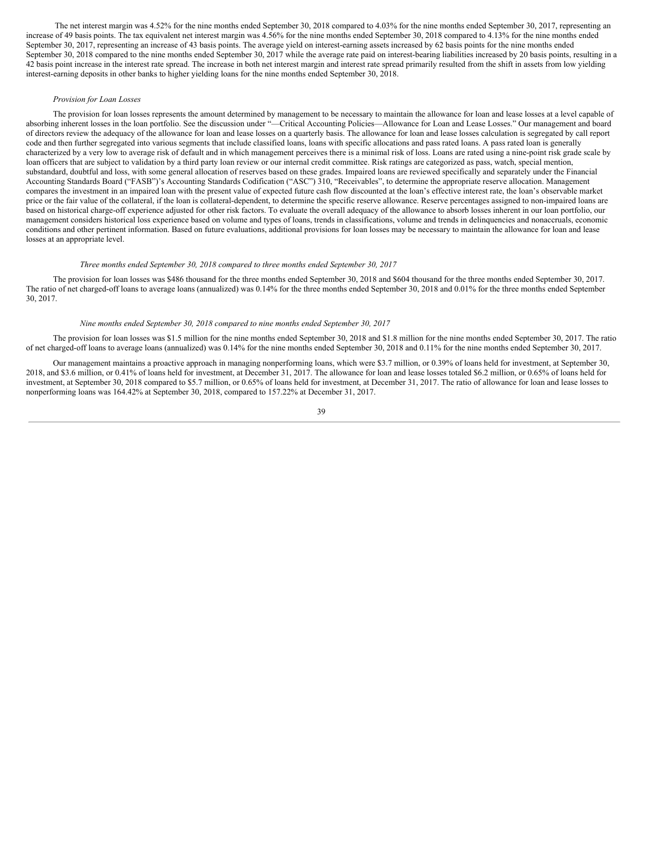The net interest margin was 4.52% for the nine months ended September 30, 2018 compared to 4.03% for the nine months ended September 30, 2017, representing an increase of 49 basis points. The tax equivalent net interest margin was 4.56% for the nine months ended September 30, 2018 compared to 4.13% for the nine months ended September 30, 2017, representing an increase of 43 basis points. The average yield on interest-earning assets increased by 62 basis points for the nine months ended September 30, 2018 compared to the nine months ended September 30, 2017 while the average rate paid on interest-bearing liabilities increased by 20 basis points, resulting in a 42 basis point increase in the interest rate spread. The increase in both net interest margin and interest rate spread primarily resulted from the shift in assets from low yielding interest-earning deposits in other banks to higher yielding loans for the nine months ended September 30, 2018.

# *Provision for Loan Losses*

The provision for loan losses represents the amount determined by management to be necessary to maintain the allowance for loan and lease losses at a level capable of absorbing inherent losses in the loan portfolio. See the discussion under "—Critical Accounting Policies—Allowance for Loan and Lease Losses." Our management and board of directors review the adequacy of the allowance for loan and lease losses on a quarterly basis. The allowance for loan and lease losses calculation is segregated by call report code and then further segregated into various segments that include classified loans, loans with specific allocations and pass rated loans. A pass rated loan is generally characterized by a very low to average risk of default and in which management perceives there is a minimal risk of loss. Loans are rated using a nine-point risk grade scale by loan officers that are subject to validation by a third party loan review or our internal credit committee. Risk ratings are categorized as pass, watch, special mention, substandard, doubtful and loss, with some general allocation of reserves based on these grades. Impaired loans are reviewed specifically and separately under the Financial Accounting Standards Board ("FASB")'s Accounting Standards Codification ("ASC") 310, "Receivables", to determine the appropriate reserve allocation. Management compares the investment in an impaired loan with the present value of expected future cash flow discounted at the loan's effective interest rate, the loan's observable market price or the fair value of the collateral, if the loan is collateral-dependent, to determine the specific reserve allowance. Reserve percentages assigned to non-impaired loans are based on historical charge-off experience adjusted for other risk factors. To evaluate the overall adequacy of the allowance to absorb losses inherent in our loan portfolio, our management considers historical loss experience based on volume and types of loans, trends in classifications, volume and trends in delinquencies and nonaccruals, economic conditions and other pertinent information. Based on future evaluations, additional provisions for loan losses may be necessary to maintain the allowance for loan and lease losses at an appropriate level.

# *Three months ended September 30, 2018 compared to three months ended September 30, 2017*

The provision for loan losses was \$486 thousand for the three months ended September 30, 2018 and \$604 thousand for the three months ended September 30, 2017. The ratio of net charged-off loans to average loans (annualized) was 0.14% for the three months ended September 30, 2018 and 0.01% for the three months ended September 30, 2017.

#### *Nine months ended September 30, 2018 compared to nine months ended September 30, 2017*

The provision for loan losses was \$1.5 million for the nine months ended September 30, 2018 and \$1.8 million for the nine months ended September 30, 2017. The ratio of net charged-off loans to average loans (annualized) was 0.14% for the nine months ended September 30, 2018 and 0.11% for the nine months ended September 30, 2017.

Our management maintains a proactive approach in managing nonperforming loans, which were \$3.7 million, or 0.39% of loans held for investment, at September 30, 2018, and \$3.6 million, or 0.41% of loans held for investment, at December 31, 2017. The allowance for loan and lease losses totaled \$6.2 million, or 0.65% of loans held for investment, at September 30, 2018 compared to \$5.7 million, or 0.65% of loans held for investment, at December 31, 2017. The ratio of allowance for loan and lease losses to nonperforming loans was 164.42% at September 30, 2018, compared to 157.22% at December 31, 2017.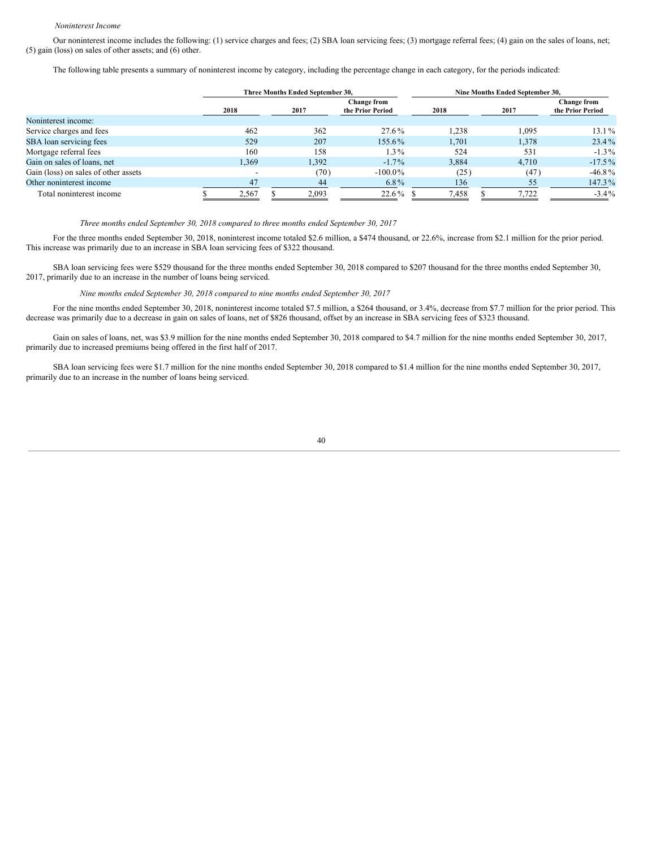#### *Noninterest Income*

Our noninterest income includes the following: (1) service charges and fees; (2) SBA loan servicing fees; (3) mortgage referral fees; (4) gain on the sales of loans, net; (5) gain (loss) on sales of other assets; and (6) other.

The following table presents a summary of noninterest income by category, including the percentage change in each category, for the periods indicated:

|                                      |  |       |  | Three Months Ended September 30, |            | Nine Months Ended September 30,  |  |       |                                        |  |  |
|--------------------------------------|--|-------|--|----------------------------------|------------|----------------------------------|--|-------|----------------------------------------|--|--|
|                                      |  | 2018  |  | <b>Change from</b><br>2017       |            | the Prior Period<br>2017<br>2018 |  |       | <b>Change from</b><br>the Prior Period |  |  |
| Noninterest income:                  |  |       |  |                                  |            |                                  |  |       |                                        |  |  |
| Service charges and fees             |  | 462   |  | 362                              | 27.6%      | .238                             |  | 1,095 | $13.1\%$                               |  |  |
| SBA loan servicing fees              |  | 529   |  | 207                              | 155.6%     | 1.701                            |  | 1,378 | $23.4\%$                               |  |  |
| Mortgage referral fees               |  | 160   |  | 158                              | $1.3\%$    | 524                              |  | 531   | $-1.3\%$                               |  |  |
| Gain on sales of loans, net          |  | 1.369 |  | 1,392                            | $-1.7\%$   | 3.884                            |  | 4.710 | $-17.5\%$                              |  |  |
| Gain (loss) on sales of other assets |  |       |  | (70)                             | $-100.0\%$ | (25)                             |  | (47)  | $-46.8\%$                              |  |  |
| Other noninterest income             |  | 47    |  | 44                               | $6.8\%$    | 136                              |  | 55    | 147.3%                                 |  |  |
| Total noninterest income             |  | 2.567 |  | 2.093                            | 22.6%      | 7,458                            |  | 7.722 | $-3.4\%$                               |  |  |

*Three months ended September 30, 2018 compared to three months ended September 30, 2017*

For the three months ended September 30, 2018, noninterest income totaled \$2.6 million, a \$474 thousand, or 22.6%, increase from \$2.1 million for the prior period. This increase was primarily due to an increase in SBA loan servicing fees of \$322 thousand.

SBA loan servicing fees were \$529 thousand for the three months ended September 30, 2018 compared to \$207 thousand for the three months ended September 30, 2017, primarily due to an increase in the number of loans being serviced.

*Nine months ended September 30, 2018 compared to nine months ended September 30, 2017*

For the nine months ended September 30, 2018, noninterest income totaled \$7.5 million, a \$264 thousand, or 3.4%, decrease from \$7.7 million for the prior period. This decrease was primarily due to a decrease in gain on sales of loans, net of \$826 thousand, offset by an increase in SBA servicing fees of \$323 thousand.

Gain on sales of loans, net, was \$3.9 million for the nine months ended September 30, 2018 compared to \$4.7 million for the nine months ended September 30, 2017, primarily due to increased premiums being offered in the first half of 2017.

SBA loan servicing fees were \$1.7 million for the nine months ended September 30, 2018 compared to \$1.4 million for the nine months ended September 30, 2017, primarily due to an increase in the number of loans being serviced.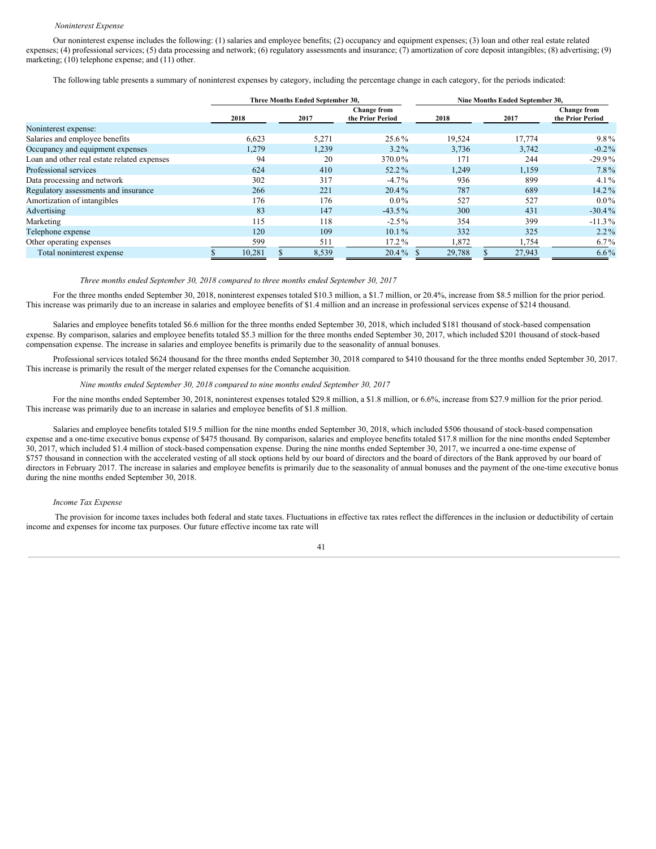#### *Noninterest Expense*

Our noninterest expense includes the following: (1) salaries and employee benefits; (2) occupancy and equipment expenses; (3) loan and other real estate related expenses; (4) professional services; (5) data processing and network; (6) regulatory assessments and insurance; (7) amortization of core deposit intangibles; (8) advertising; (9) marketing; (10) telephone expense; and (11) other.

The following table presents a summary of noninterest expenses by category, including the percentage change in each category, for the periods indicated:

|                                             |        |       | Three Months Ended September 30, |                                        | Nine Months Ended September 30, |  |        |                                        |  |  |
|---------------------------------------------|--------|-------|----------------------------------|----------------------------------------|---------------------------------|--|--------|----------------------------------------|--|--|
|                                             | 2018   |       | 2017                             | <b>Change from</b><br>the Prior Period | 2018                            |  | 2017   | <b>Change from</b><br>the Prior Period |  |  |
| Noninterest expense:                        |        |       |                                  |                                        |                                 |  |        |                                        |  |  |
| Salaries and employee benefits              | 6,623  |       | 5,271                            | 25.6%                                  | 19,524                          |  | 17,774 | $9.8\%$                                |  |  |
| Occupancy and equipment expenses            |        | 1,279 | 1,239                            | $3.2\%$                                | 3,736                           |  | 3,742  | $-0.2\%$                               |  |  |
| Loan and other real estate related expenses |        | 94    | 20                               | 370.0%                                 | 171                             |  | 244    | $-29.9%$                               |  |  |
| Professional services                       |        | 624   | 410                              | 52.2%                                  | 1,249                           |  | 1,159  | $7.8\%$                                |  |  |
| Data processing and network                 |        | 302   | 317                              | $-4.7\%$                               | 936                             |  | 899    | $4.1\%$                                |  |  |
| Regulatory assessments and insurance        |        | 266   | 221                              | $20.4\%$                               | 787                             |  | 689    | $14.2\%$                               |  |  |
| Amortization of intangibles                 |        | 176   | 176                              | $0.0\%$                                | 527                             |  | 527    | $0.0\%$                                |  |  |
| Advertising                                 |        | 83    | 147                              | $-43.5\%$                              | 300                             |  | 431    | $-30.4\%$                              |  |  |
| Marketing                                   |        | 115   | 118                              | $-2.5\%$                               | 354                             |  | 399    | $-11.3\%$                              |  |  |
| Telephone expense                           |        | 120   | 109                              | $10.1\%$                               | 332                             |  | 325    | $2.2\%$                                |  |  |
| Other operating expenses                    |        | 599   | 511                              | $17.2\%$                               | 1,872                           |  | 1,754  | $6.7\%$                                |  |  |
| Total noninterest expense                   | 10,281 |       | 8,539                            | $20.4\%$                               | 29,788                          |  | 27,943 | $6.6\%$                                |  |  |

#### *Three months ended September 30, 2018 compared to three months ended September 30, 2017*

For the three months ended September 30, 2018, noninterest expenses totaled \$10.3 million, a \$1.7 million, or 20.4%, increase from \$8.5 million for the prior period. This increase was primarily due to an increase in salaries and employee benefits of \$1.4 million and an increase in professional services expense of \$214 thousand.

Salaries and employee benefits totaled \$6.6 million for the three months ended September 30, 2018, which included \$181 thousand of stock-based compensation expense. By comparison, salaries and employee benefits totaled \$5.3 million for the three months ended September 30, 2017, which included \$201 thousand of stock-based compensation expense. The increase in salaries and employee benefits is primarily due to the seasonality of annual bonuses.

Professional services totaled \$624 thousand for the three months ended September 30, 2018 compared to \$410 thousand for the three months ended September 30, 2017. This increase is primarily the result of the merger related expenses for the Comanche acquisition.

# *Nine months ended September 30, 2018 compared to nine months ended September 30, 2017*

For the nine months ended September 30, 2018, noninterest expenses totaled \$29.8 million, a \$1.8 million, or 6.6%, increase from \$27.9 million for the prior period. This increase was primarily due to an increase in salaries and employee benefits of \$1.8 million.

Salaries and employee benefits totaled \$19.5 million for the nine months ended September 30, 2018, which included \$506 thousand of stock-based compensation expense and a one-time executive bonus expense of \$475 thousand. By comparison, salaries and employee benefits totaled \$17.8 million for the nine months ended September 30, 2017, which included \$1.4 million of stock-based compensation expense. During the nine months ended September 30, 2017, we incurred a one-time expense of \$757 thousand in connection with the accelerated vesting of all stock options held by our board of directors and the board of directors of the Bank approved by our board of directors in February 2017. The increase in salaries and employee benefits is primarily due to the seasonality of annual bonuses and the payment of the one-time executive bonus during the nine months ended September 30, 2018.

#### *Income Tax Expense*

The provision for income taxes includes both federal and state taxes. Fluctuations in effective tax rates reflect the differences in the inclusion or deductibility of certain income and expenses for income tax purposes. Our future effective income tax rate will

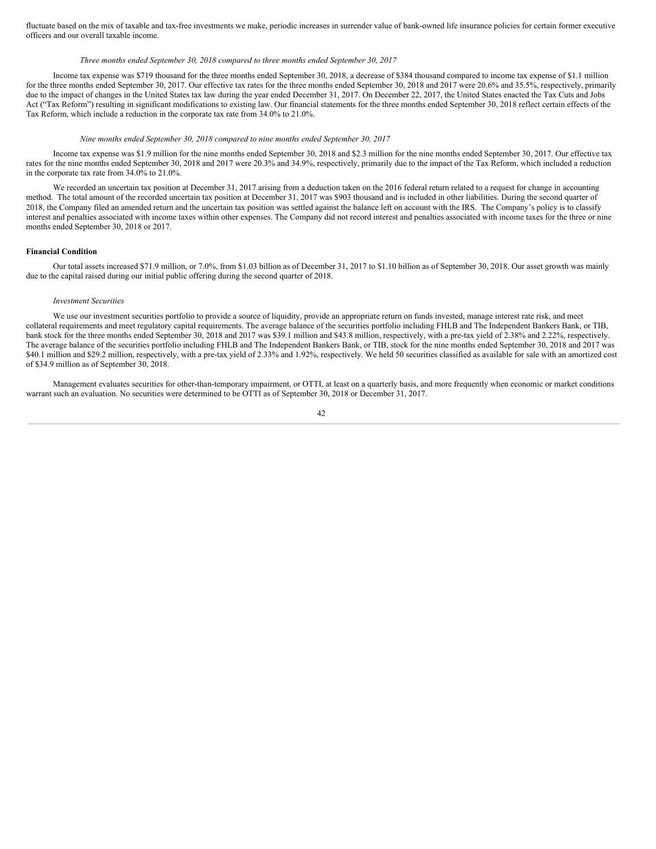fluctuate based on the mix of taxable and tax-free investments we make, periodic increases in surrender value of bank-owned life insurance policies for certain former executive officers and our overall taxable income.

# *Three months ended September 30, 2018 compared to three months ended September 30, 2017*

Income tax expense was \$719 thousand for the three months ended September 30, 2018, a decrease of \$384 thousand compared to income tax expense of \$1.1 million for the three months ended September 30, 2017. Our effective tax rates for the three months ended September 30, 2018 and 2017 were 20.6% and 35.5%, respectively, primarily due to the impact of changes in the United States tax law during the year ended December 31, 2017. On December 22, 2017, the United States enacted the Tax Cuts and Jobs Act ("Tax Reform") resulting in significant modifications to existing law. Our financial statements for the three months ended September 30, 2018 reflect certain effects of the Tax Reform, which include a reduction in the corporate tax rate from 34.0% to 21.0%.

#### *Nine months ended September 30, 2018 compared to nine months ended September 30, 2017*

Income tax expense was \$1.9 million for the nine months ended September 30, 2018 and \$2.3 million for the nine months ended September 30, 2017. Our effective tax rates for the nine months ended September 30, 2018 and 2017 were 20.3% and 34.9%, respectively, primarily due to the impact of the Tax Reform, which included a reduction in the corporate tax rate from 34.0% to 21.0%.

We recorded an uncertain tax position at December 31, 2017 arising from a deduction taken on the 2016 federal return related to a request for change in accounting method. The total amount of the recorded uncertain tax position at December 31, 2017 was \$903 thousand and is included in other liabilities. During the second quarter of 2018, the Company filed an amended return and the uncertain tax position was settled against the balance left on account with the IRS. The Company's policy is to classify interest and penalties associated with income taxes within other expenses. The Company did not record interest and penalties associated with income taxes for the three or nine months ended September 30, 2018 or 2017.

#### **Financial Condition**

Our total assets increased \$71.9 million, or 7.0%, from \$1.03 billion as of December 31, 2017 to \$1.10 billion as of September 30, 2018. Our asset growth was mainly due to the capital raised during our initial public offering during the second quarter of 2018.

#### *Investment Securities*

We use our investment securities portfolio to provide a source of liquidity, provide an appropriate return on funds invested, manage interest rate risk, and meet collateral requirements and meet regulatory capital requirements. The average balance of the securities portfolio including FHLB and The Independent Bankers Bank, or TIB, bank stock for the three months ended September 30, 2018 and 2017 was \$39.1 million and \$43.8 million, respectively, with a pre-tax yield of 2.38% and 2.22%, respectively. The average balance of the securities portfolio including FHLB and The Independent Bankers Bank, or TIB, stock for the nine months ended September 30, 2018 and 2017 was \$40.1 million and \$29.2 million, respectively, with a pre-tax yield of 2.33% and 1.92%, respectively. We held 50 securities classified as available for sale with an amortized cost of \$34.9 million as of September 30, 2018.

Management evaluates securities for other-than-temporary impairment, or OTTI, at least on a quarterly basis, and more frequently when economic or market conditions warrant such an evaluation. No securities were determined to be OTTI as of September 30, 2018 or December 31, 2017.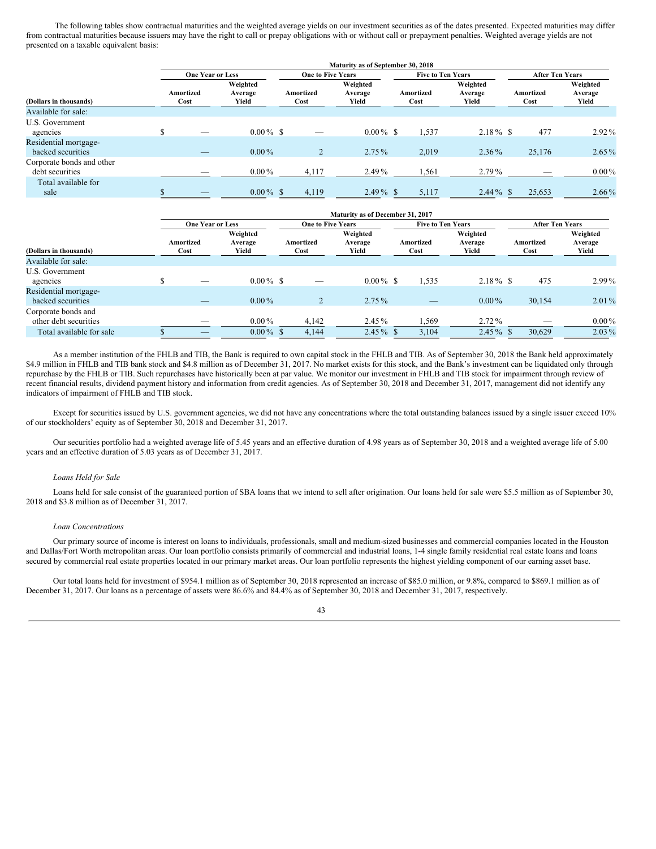The following tables show contractual maturities and the weighted average yields on our investment securities as of the dates presented. Expected maturities may differ from contractual maturities because issuers may have the right to call or prepay obligations with or without call or prepayment penalties. Weighted average yields are not presented on a taxable equivalent basis:

|                                              |                   | Maturity as of September 30, 2018 |                              |                   |                              |                          |                              |                        |                              |  |  |  |  |  |
|----------------------------------------------|-------------------|-----------------------------------|------------------------------|-------------------|------------------------------|--------------------------|------------------------------|------------------------|------------------------------|--|--|--|--|--|
|                                              |                   | <b>One Year or Less</b>           |                              |                   | <b>One to Five Years</b>     | <b>Five to Ten Years</b> |                              | <b>After Ten Years</b> |                              |  |  |  |  |  |
| (Dollars in thousands)                       | Amortized<br>Cost |                                   | Weighted<br>Average<br>Yield | Amortized<br>Cost | Weighted<br>Average<br>Yield | Amortized<br>Cost        | Weighted<br>Average<br>Yield | Amortized<br>Cost      | Weighted<br>Average<br>Yield |  |  |  |  |  |
| Available for sale:                          |                   |                                   |                              |                   |                              |                          |                              |                        |                              |  |  |  |  |  |
| U.S. Government<br>agencies                  |                   | _                                 | $0.00\%$ \$                  |                   | $0.00\%$ \$                  | 1,537                    | $2.18\%$ \$                  | 477                    | $2.92\%$                     |  |  |  |  |  |
| Residential mortgage-<br>backed securities   |                   |                                   | $0.00\%$                     |                   | $2.75\%$                     | 2,019                    | $2.36\%$                     | 25,176                 | $2.65\%$                     |  |  |  |  |  |
| Corporate bonds and other<br>debt securities |                   | _                                 | $0.00\,\%$                   | 4,117             | $2.49\%$                     | 1,561                    | $2.79\%$                     | _                      | $0.00\,\%$                   |  |  |  |  |  |
| Total available for<br>sale                  |                   |                                   | $0.00\%$ \$                  | 4,119             | $2.49\%$ \$                  | 5,117                    | $2.44\%$ \$                  | 25,653                 | $2.66\%$                     |  |  |  |  |  |

|                                              | <b>Maturity as of December 31, 2017</b> |                              |                          |                              |                          |                              |                        |                              |  |  |  |  |  |
|----------------------------------------------|-----------------------------------------|------------------------------|--------------------------|------------------------------|--------------------------|------------------------------|------------------------|------------------------------|--|--|--|--|--|
|                                              | <b>One Year or Less</b>                 |                              | <b>One to Five Years</b> |                              | <b>Five to Ten Years</b> |                              | <b>After Ten Years</b> |                              |  |  |  |  |  |
| (Dollars in thousands)                       | Amortized<br>Cost                       | Weighted<br>Average<br>Yield | Amortized<br>Cost        | Weighted<br>Average<br>Yield | Amortized<br>Cost        | Weighted<br>Average<br>Yield | Amortized<br>Cost      | Weighted<br>Average<br>Yield |  |  |  |  |  |
| Available for sale:                          |                                         |                              |                          |                              |                          |                              |                        |                              |  |  |  |  |  |
| U.S. Government                              |                                         |                              |                          |                              |                          |                              |                        |                              |  |  |  |  |  |
| agencies                                     | _                                       | $0.00\%$ \$                  | -                        | $0.00\%$ \$                  | 1,535                    | $2.18\%$ \$                  | 475                    | $2.99\%$                     |  |  |  |  |  |
| Residential mortgage-<br>backed securities   | _                                       | $0.00\%$                     |                          | $2.75\%$                     | _                        | $0.00\%$                     | 30.154                 | $2.01\%$                     |  |  |  |  |  |
| Corporate bonds and<br>other debt securities | _                                       | $0.00\%$                     | 4,142                    | $2.45\%$                     | 1,569                    | $2.72\%$                     |                        | $0.00\%$                     |  |  |  |  |  |
| Total available for sale                     | _                                       | $0.00\%$ \$                  | 4.144                    | $2.45\%$ \$                  | 3.104                    | $2.45\%$ \$                  | 30.629                 | $2.03\%$                     |  |  |  |  |  |

As a member institution of the FHLB and TIB, the Bank is required to own capital stock in the FHLB and TIB. As of September 30, 2018 the Bank held approximately \$4.9 million in FHLB and TIB bank stock and \$4.8 million as of December 31, 2017. No market exists for this stock, and the Bank's investment can be liquidated only through repurchase by the FHLB or TIB. Such repurchases have historically been at par value. We monitor our investment in FHLB and TIB stock for impairment through review of recent financial results, dividend payment history and information from credit agencies. As of September 30, 2018 and December 31, 2017, management did not identify any indicators of impairment of FHLB and TIB stock.

Except for securities issued by U.S. government agencies, we did not have any concentrations where the total outstanding balances issued by a single issuer exceed 10% of our stockholders' equity as of September 30, 2018 and December 31, 2017.

Our securities portfolio had a weighted average life of 5.45 years and an effective duration of 4.98 years as of September 30, 2018 and a weighted average life of 5.00 years and an effective duration of 5.03 years as of December 31, 2017.

#### *Loans Held for Sale*

Loans held for sale consist of the guaranteed portion of SBA loans that we intend to sell after origination. Our loans held for sale were \$5.5 million as of September 30, 2018 and \$3.8 million as of December 31, 2017.

#### *Loan Concentrations*

Our primary source of income is interest on loans to individuals, professionals, small and medium-sized businesses and commercial companies located in the Houston and Dallas/Fort Worth metropolitan areas. Our loan portfolio consists primarily of commercial and industrial loans, 1-4 single family residential real estate loans and loans secured by commercial real estate properties located in our primary market areas. Our loan portfolio represents the highest yielding component of our earning asset base.

Our total loans held for investment of \$954.1 million as of September 30, 2018 represented an increase of \$85.0 million, or 9.8%, compared to \$869.1 million as of December 31, 2017. Our loans as a percentage of assets were 86.6% and 84.4% as of September 30, 2018 and December 31, 2017, respectively.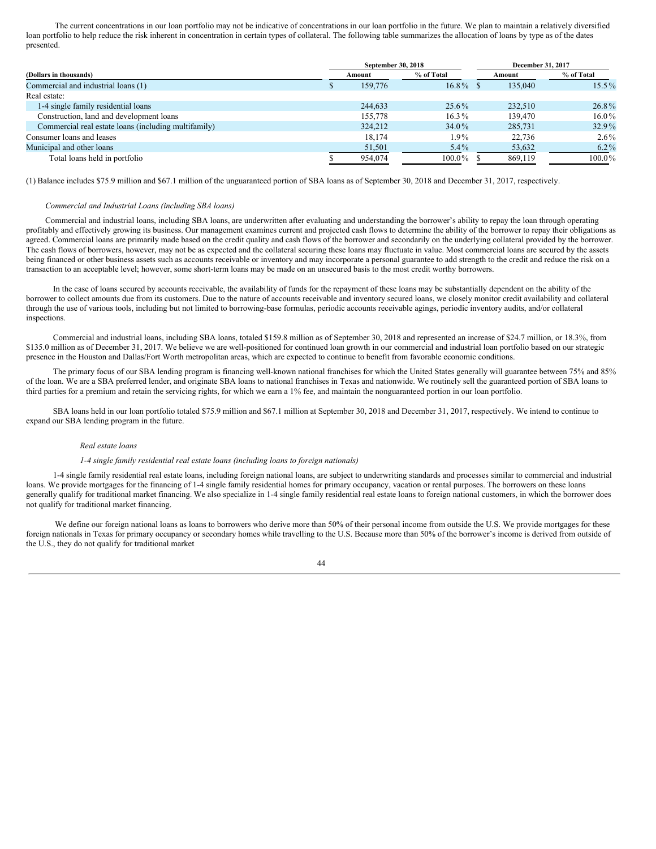The current concentrations in our loan portfolio may not be indicative of concentrations in our loan portfolio in the future. We plan to maintain a relatively diversified loan portfolio to help reduce the risk inherent in concentration in certain types of collateral. The following table summarizes the allocation of loans by type as of the dates presented.

|                                                      |   | September 30, 2018 |             |        | December 31, 2017 |            |
|------------------------------------------------------|---|--------------------|-------------|--------|-------------------|------------|
| (Dollars in thousands)                               |   | Amount             | % of Total  | Amount |                   | % of Total |
| Commercial and industrial loans (1)                  | Φ | 159,776            | $16.8\%$ \$ |        | 135,040           | $15.5\%$   |
| Real estate:                                         |   |                    |             |        |                   |            |
| 1-4 single family residential loans                  |   | 244,633            | 25.6%       |        | 232,510           | 26.8%      |
| Construction, land and development loans             |   | 155,778            | $16.3\%$    |        | 139,470           | $16.0\%$   |
| Commercial real estate loans (including multifamily) |   | 324,212            | 34.0%       |        | 285,731           | $32.9\%$   |
| Consumer loans and leases                            |   | 18,174             | 1.9%        |        | 22,736            | $2.6\%$    |
| Municipal and other loans                            |   | 51,501             | $5.4\%$     |        | 53,632            | $6.2\%$    |
| Total loans held in portfolio                        |   | 954,074            | 100.0%      |        | 869,119           | $100.0\%$  |

(1) Balance includes \$75.9 million and \$67.1 million of the unguaranteed portion of SBA loans as of September 30, 2018 and December 31, 2017, respectively.

# *Commercial and Industrial Loans (including SBA loans)*

Commercial and industrial loans, including SBA loans, are underwritten after evaluating and understanding the borrower's ability to repay the loan through operating profitably and effectively growing its business. Our management examines current and projected cash flows to determine the ability of the borrower to repay their obligations as agreed. Commercial loans are primarily made based on the credit quality and cash flows of the borrower and secondarily on the underlying collateral provided by the borrower. The cash flows of borrowers, however, may not be as expected and the collateral securing these loans may fluctuate in value. Most commercial loans are secured by the assets being financed or other business assets such as accounts receivable or inventory and may incorporate a personal guarantee to add strength to the credit and reduce the risk on a transaction to an acceptable level; however, some short-term loans may be made on an unsecured basis to the most credit worthy borrowers.

In the case of loans secured by accounts receivable, the availability of funds for the repayment of these loans may be substantially dependent on the ability of the borrower to collect amounts due from its customers. Due to the nature of accounts receivable and inventory secured loans, we closely monitor credit availability and collateral through the use of various tools, including but not limited to borrowing-base formulas, periodic accounts receivable agings, periodic inventory audits, and/or collateral inspections.

Commercial and industrial loans, including SBA loans, totaled \$159.8 million as of September 30, 2018 and represented an increase of \$24.7 million, or 18.3%, from \$135.0 million as of December 31, 2017. We believe we are well-positioned for continued loan growth in our commercial and industrial loan portfolio based on our strategic presence in the Houston and Dallas/Fort Worth metropolitan areas, which are expected to continue to benefit from favorable economic conditions.

The primary focus of our SBA lending program is financing well-known national franchises for which the United States generally will guarantee between 75% and 85% of the loan. We are a SBA preferred lender, and originate SBA loans to national franchises in Texas and nationwide. We routinely sell the guaranteed portion of SBA loans to third parties for a premium and retain the servicing rights, for which we earn a 1% fee, and maintain the nonguaranteed portion in our loan portfolio.

SBA loans held in our loan portfolio totaled \$75.9 million and \$67.1 million at September 30, 2018 and December 31, 2017, respectively. We intend to continue to expand our SBA lending program in the future.

#### *Real estate loans*

#### *1-4 single family residential real estate loans (including loans to foreign nationals)*

1-4 single family residential real estate loans, including foreign national loans, are subject to underwriting standards and processes similar to commercial and industrial loans. We provide mortgages for the financing of 1-4 single family residential homes for primary occupancy, vacation or rental purposes. The borrowers on these loans generally qualify for traditional market financing. We also specialize in 1-4 single family residential real estate loans to foreign national customers, in which the borrower does not qualify for traditional market financing.

We define our foreign national loans as loans to borrowers who derive more than 50% of their personal income from outside the U.S. We provide mortgages for these foreign nationals in Texas for primary occupancy or secondary homes while travelling to the U.S. Because more than 50% of the borrower's income is derived from outside of the U.S., they do not qualify for traditional market

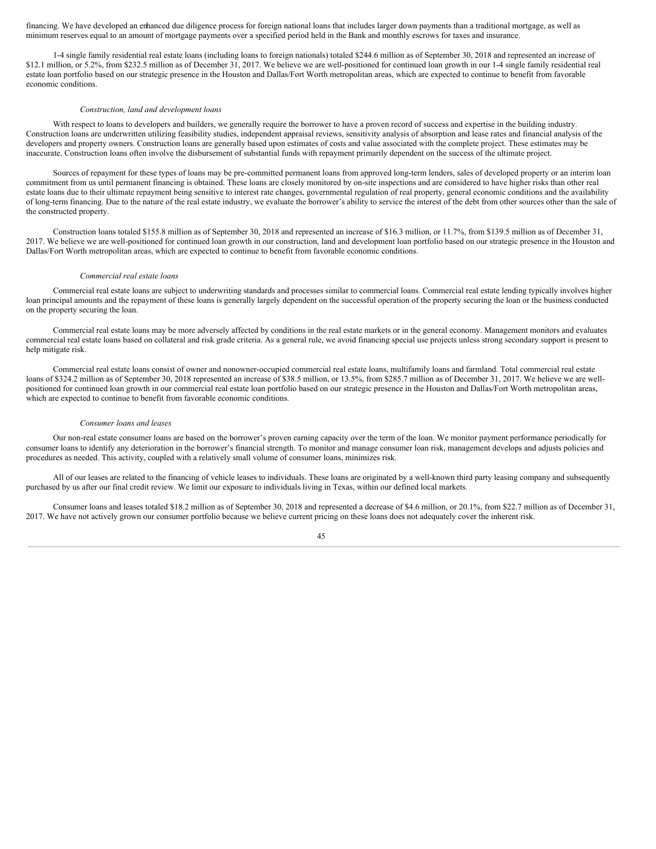financing. We have developed an enhanced due diligence process for foreign national loans that includes larger down payments than a traditional mortgage, as well as minimum reserves equal to an amount of mortgage payments over a specified period held in the Bank and monthly escrows for taxes and insurance.

1-4 single family residential real estate loans (including loans to foreign nationals) totaled \$244.6 million as of September 30, 2018 and represented an increase of \$12.1 million, or 5.2%, from \$232.5 million as of December 31, 2017. We believe we are well-positioned for continued loan growth in our 1-4 single family residential real estate loan portfolio based on our strategic presence in the Houston and Dallas/Fort Worth metropolitan areas, which are expected to continue to benefit from favorable economic conditions.

#### *Construction, land and development loans*

With respect to loans to developers and builders, we generally require the borrower to have a proven record of success and expertise in the building industry. Construction loans are underwritten utilizing feasibility studies, independent appraisal reviews, sensitivity analysis of absorption and lease rates and financial analysis of the developers and property owners. Construction loans are generally based upon estimates of costs and value associated with the complete project. These estimates may be inaccurate. Construction loans often involve the disbursement of substantial funds with repayment primarily dependent on the success of the ultimate project.

Sources of repayment for these types of loans may be pre-committed permanent loans from approved long-term lenders, sales of developed property or an interim loan commitment from us until permanent financing is obtained. These loans are closely monitored by on-site inspections and are considered to have higher risks than other real estate loans due to their ultimate repayment being sensitive to interest rate changes, governmental regulation of real property, general economic conditions and the availability of long-term financing. Due to the nature of the real estate industry, we evaluate the borrower's ability to service the interest of the debt from other sources other than the sale of the constructed property.

Construction loans totaled \$155.8 million as of September 30, 2018 and represented an increase of \$16.3 million, or 11.7%, from \$139.5 million as of December 31, 2017. We believe we are well-positioned for continued loan growth in our construction, land and development loan portfolio based on our strategic presence in the Houston and Dallas/Fort Worth metropolitan areas, which are expected to continue to benefit from favorable economic conditions.

#### *Commercial real estate loans*

Commercial real estate loans are subject to underwriting standards and processes similar to commercial loans. Commercial real estate lending typically involves higher loan principal amounts and the repayment of these loans is generally largely dependent on the successful operation of the property securing the loan or the business conducted on the property securing the loan.

Commercial real estate loans may be more adversely affected by conditions in the real estate markets or in the general economy. Management monitors and evaluates commercial real estate loans based on collateral and risk grade criteria. As a general rule, we avoid financing special use projects unless strong secondary support is present to help mitigate risk.

Commercial real estate loans consist of owner and nonowner-occupied commercial real estate loans, multifamily loans and farmland. Total commercial real estate loans of \$324.2 million as of September 30, 2018 represented an increase of \$38.5 million, or 13.5%, from \$285.7 million as of December 31, 2017. We believe we are wellpositioned for continued loan growth in our commercial real estate loan portfolio based on our strategic presence in the Houston and Dallas/Fort Worth metropolitan areas, which are expected to continue to benefit from favorable economic conditions.

#### *Consumer loans and leases*

Our non-real estate consumer loans are based on the borrower's proven earning capacity over the term of the loan. We monitor payment performance periodically for consumer loans to identify any deterioration in the borrower's financial strength. To monitor and manage consumer loan risk, management develops and adjusts policies and procedures as needed. This activity, coupled with a relatively small volume of consumer loans, minimizes risk.

All of our leases are related to the financing of vehicle leases to individuals. These loans are originated by a well-known third party leasing company and subsequently purchased by us after our final credit review. We limit our exposure to individuals living in Texas, within our defined local markets.

Consumer loans and leases totaled \$18.2 million as of September 30, 2018 and represented a decrease of \$4.6 million, or 20.1%, from \$22.7 million as of December 31, 2017. We have not actively grown our consumer portfolio because we believe current pricing on these loans does not adequately cover the inherent risk.

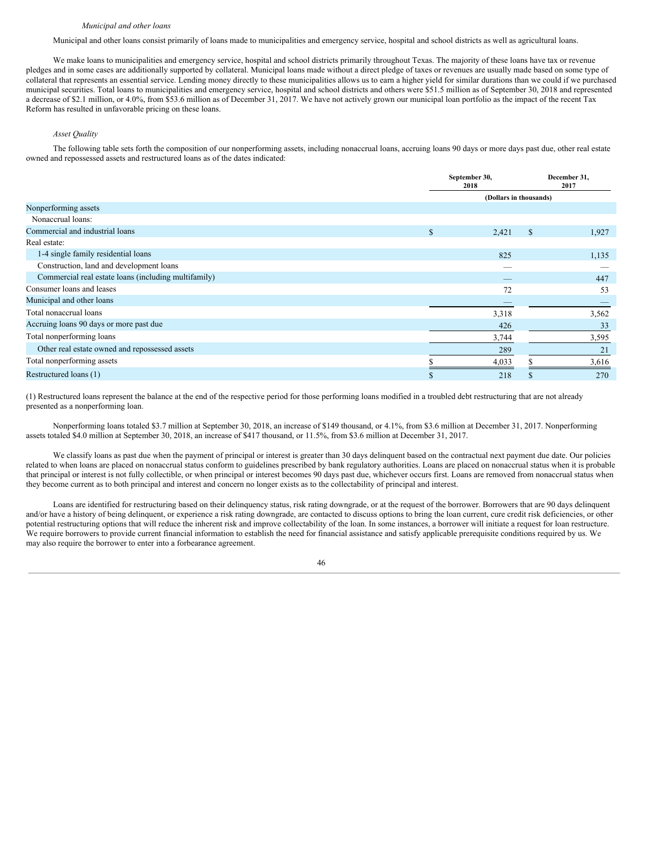#### *Municipal and other loans*

Municipal and other loans consist primarily of loans made to municipalities and emergency service, hospital and school districts as well as agricultural loans.

We make loans to municipalities and emergency service, hospital and school districts primarily throughout Texas. The majority of these loans have tax or revenue pledges and in some cases are additionally supported by collateral. Municipal loans made without a direct pledge of taxes or revenues are usually made based on some type of collateral that represents an essential service. Lending money directly to these municipalities allows us to earn a higher yield for similar durations than we could if we purchased municipal securities. Total loans to municipalities and emergency service, hospital and school districts and others were \$51.5 million as of September 30, 2018 and represented a decrease of \$2.1 million, or 4.0%, from \$53.6 million as of December 31, 2017. We have not actively grown our municipal loan portfolio as the impact of the recent Tax Reform has resulted in unfavorable pricing on these loans.

# *Asset Quality*

The following table sets forth the composition of our nonperforming assets, including nonaccrual loans, accruing loans 90 days or more days past due, other real estate owned and repossessed assets and restructured loans as of the dates indicated:

|                                                      |     | September 30,<br>2018  | December 31,<br>2017 |       |  |
|------------------------------------------------------|-----|------------------------|----------------------|-------|--|
|                                                      |     | (Dollars in thousands) |                      |       |  |
| Nonperforming assets                                 |     |                        |                      |       |  |
| Nonaccrual loans:                                    |     |                        |                      |       |  |
| Commercial and industrial loans                      | \$. | 2,421                  | \$                   | 1,927 |  |
| Real estate:                                         |     |                        |                      |       |  |
| 1-4 single family residential loans                  |     | 825                    |                      | 1,135 |  |
| Construction, land and development loans             |     |                        |                      |       |  |
| Commercial real estate loans (including multifamily) |     |                        |                      | 447   |  |
| Consumer loans and leases                            |     | 72                     |                      | 53    |  |
| Municipal and other loans                            |     |                        |                      |       |  |
| Total nonaccrual loans                               |     | 3,318                  |                      | 3,562 |  |
| Accruing loans 90 days or more past due              |     | 426                    |                      | 33    |  |
| Total nonperforming loans                            |     | 3,744                  |                      | 3,595 |  |
| Other real estate owned and repossessed assets       |     | 289                    |                      | 21    |  |
| Total nonperforming assets                           |     | 4,033                  |                      | 3,616 |  |
| Restructured loans (1)                               | ъ   | 218                    | S                    | 270   |  |

(1) Restructured loans represent the balance at the end of the respective period for those performing loans modified in a troubled debt restructuring that are not already presented as a nonperforming loan.

Nonperforming loans totaled \$3.7 million at September 30, 2018, an increase of \$149 thousand, or 4.1%, from \$3.6 million at December 31, 2017. Nonperforming assets totaled \$4.0 million at September 30, 2018, an increase of \$417 thousand, or 11.5%, from \$3.6 million at December 31, 2017.

We classify loans as past due when the payment of principal or interest is greater than 30 days delinquent based on the contractual next payment due date. Our policies related to when loans are placed on nonaccrual status conform to guidelines prescribed by bank regulatory authorities. Loans are placed on nonaccrual status when it is probable that principal or interest is not fully collectible, or when principal or interest becomes 90 days past due, whichever occurs first. Loans are removed from nonaccrual status when they become current as to both principal and interest and concern no longer exists as to the collectability of principal and interest.

Loans are identified for restructuring based on their delinquency status, risk rating downgrade, or at the request of the borrower. Borrowers that are 90 days delinquent and/or have a history of being delinquent, or experience a risk rating downgrade, are contacted to discuss options to bring the loan current, cure credit risk deficiencies, or other potential restructuring options that will reduce the inherent risk and improve collectability of the loan. In some instances, a borrower will initiate a request for loan restructure. We require borrowers to provide current financial information to establish the need for financial assistance and satisfy applicable prerequisite conditions required by us. We may also require the borrower to enter into a forbearance agreement.

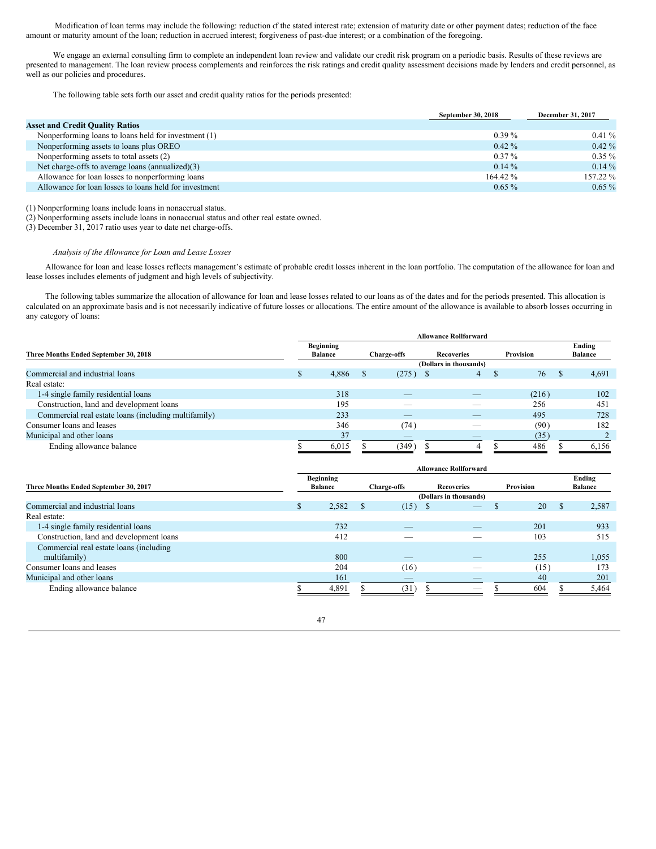Modification of loan terms may include the following: reduction of the stated interest rate; extension of maturity date or other payment dates; reduction of the face amount or maturity amount of the loan; reduction in accrued interest; forgiveness of past-due interest; or a combination of the foregoing.

We engage an external consulting firm to complete an independent loan review and validate our credit risk program on a periodic basis. Results of these reviews are presented to management. The loan review process complements and reinforces the risk ratings and credit quality assessment decisions made by lenders and credit personnel, as well as our policies and procedures.

The following table sets forth our asset and credit quality ratios for the periods presented:

|                                                        | September 30, 2018 | <b>December 31, 2017</b> |
|--------------------------------------------------------|--------------------|--------------------------|
| <b>Asset and Credit Quality Ratios</b>                 |                    |                          |
| Nonperforming loans to loans held for investment (1)   | $0.39\%$           | $0.41\%$                 |
| Nonperforming assets to loans plus OREO                | $0.42\%$           | $0.42\%$                 |
| Nonperforming assets to total assets (2)               | $0.37\%$           | $0.35\%$                 |
| Net charge-offs to average loans (annualized)(3)       | $0.14\%$           | $0.14\%$                 |
| Allowance for loan losses to nonperforming loans       | 164.42 %           | 157.22 %                 |
| Allowance for loan losses to loans held for investment | $0.65\%$           | $0.65\%$                 |

(1) Nonperforming loans include loans in nonaccrual status.

(2) Nonperforming assets include loans in nonaccrual status and other real estate owned.

(3) December 31, 2017 ratio uses year to date net charge-offs.

# *Analysis of the Allowance for Loan and Lease Losses*

Allowance for loan and lease losses reflects management's estimate of probable credit losses inherent in the loan portfolio. The computation of the allowance for loan and lease losses includes elements of judgment and high levels of subjectivity.

The following tables summarize the allocation of allowance for loan and lease losses related to our loans as of the dates and for the periods presented. This allocation is calculated on an approximate basis and is not necessarily indicative of future losses or allocations. The entire amount of the allowance is available to absorb losses occurring in any category of loans:

|                                                      | <b>Allowance Rollforward</b>       |                        |                   |           |                          |  |  |  |  |  |
|------------------------------------------------------|------------------------------------|------------------------|-------------------|-----------|--------------------------|--|--|--|--|--|
| Three Months Ended September 30, 2018                | <b>Beginning</b><br><b>Balance</b> | <b>Charge-offs</b>     | <b>Recoveries</b> | Provision | Ending<br><b>Balance</b> |  |  |  |  |  |
|                                                      |                                    | (Dollars in thousands) |                   |           |                          |  |  |  |  |  |
| Commercial and industrial loans                      | 4,886                              | (275)                  | 4<br>- 56         | 76        | 4,691<br><b>S</b>        |  |  |  |  |  |
| Real estate:                                         |                                    |                        |                   |           |                          |  |  |  |  |  |
| 1-4 single family residential loans                  | 318                                | _                      |                   | (216)     | 102                      |  |  |  |  |  |
| Construction, land and development loans             | 195                                | -                      |                   | 256       | 451                      |  |  |  |  |  |
| Commercial real estate loans (including multifamily) | 233                                | _                      |                   | 495       | 728                      |  |  |  |  |  |
| Consumer loans and leases                            | 346                                | (74)                   |                   | (90)      | 182                      |  |  |  |  |  |
| Municipal and other loans                            | 37                                 |                        |                   | (35       |                          |  |  |  |  |  |
| Ending allowance balance                             | 6,015                              | (349)                  |                   | 486       | 6,156                    |  |  |  |  |  |

|                                          | <b>Allowance Rollforward</b> |                  |              |                          |                        |           |     |                |  |
|------------------------------------------|------------------------------|------------------|--------------|--------------------------|------------------------|-----------|-----|----------------|--|
|                                          |                              | <b>Beginning</b> |              |                          |                        |           |     | Ending         |  |
| Three Months Ended September 30, 2017    |                              | <b>Balance</b>   |              | <b>Charge-offs</b>       | <b>Recoveries</b>      | Provision |     | <b>Balance</b> |  |
|                                          |                              |                  |              |                          | (Dollars in thousands) |           |     |                |  |
| Commercial and industrial loans          | ъ                            | 2,582            | <sup>S</sup> | (15)<br>S                |                        | 20<br>ъ   | \$. | 2,587          |  |
| Real estate:                             |                              |                  |              |                          |                        |           |     |                |  |
| 1-4 single family residential loans      |                              | 732              |              | $\overline{\phantom{a}}$ | _                      | 201       |     | 933            |  |
| Construction, land and development loans |                              | 412              |              |                          |                        | 103       |     | 515            |  |
| Commercial real estate loans (including  |                              |                  |              |                          |                        |           |     |                |  |
| multifamily)                             |                              | 800              |              | $-$                      | _                      | 255       |     | 1,055          |  |
| Consumer loans and leases                |                              | 204              |              | (16)                     |                        | (15)      |     | 173            |  |
| Municipal and other loans                |                              | 161              |              | $\overline{\phantom{a}}$ |                        | 40        |     | 201            |  |
| Ending allowance balance                 |                              | 4.891            |              | (31)                     | _                      | 604       |     | 5,464          |  |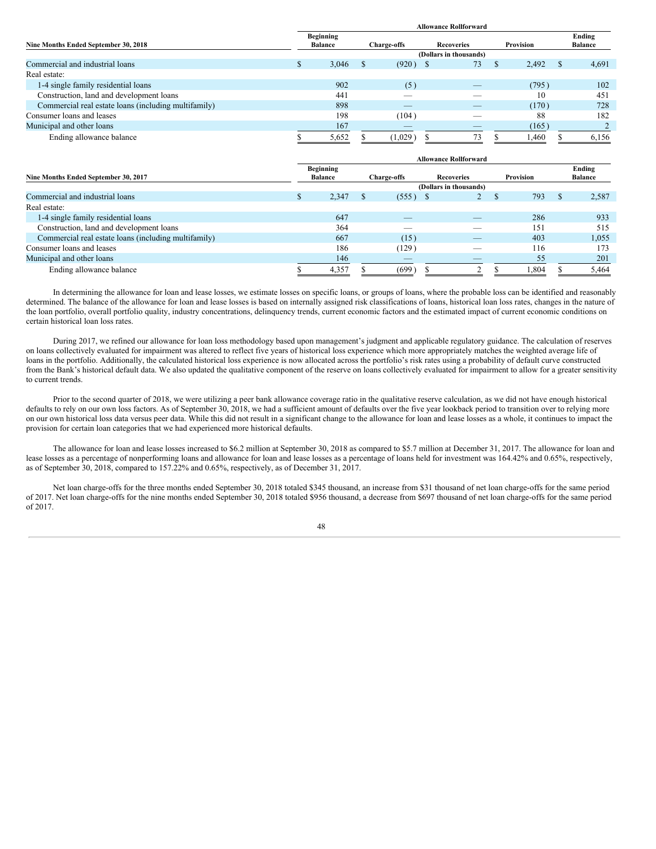|                                                      | <b>Allowance Rollforward</b>       |       |                    |         |                   |                        |           |       |  |                          |
|------------------------------------------------------|------------------------------------|-------|--------------------|---------|-------------------|------------------------|-----------|-------|--|--------------------------|
| Nine Months Ended September 30, 2018                 | <b>Beginning</b><br><b>Balance</b> |       | <b>Charge-offs</b> |         | <b>Recoveries</b> |                        | Provision |       |  | Ending<br><b>Balance</b> |
|                                                      |                                    |       |                    |         |                   | (Dollars in thousands) |           |       |  |                          |
| Commercial and industrial loans                      |                                    | 3,046 |                    | (920)   |                   | 73                     | -S        | 2.492 |  | 4,691                    |
| Real estate:                                         |                                    |       |                    |         |                   |                        |           |       |  |                          |
| 1-4 single family residential loans                  |                                    | 902   |                    | (5)     |                   |                        |           | (795) |  | 102                      |
| Construction, land and development loans             |                                    | 441   |                    |         |                   |                        |           | 10    |  | 451                      |
| Commercial real estate loans (including multifamily) |                                    | 898   |                    | _       |                   | _                      |           | (170) |  | 728                      |
| Consumer loans and leases                            |                                    | 198   |                    | (104)   |                   |                        |           | 88    |  | 182                      |
| Municipal and other loans                            |                                    | 167   |                    | _       |                   | _                      |           | (165) |  |                          |
| Ending allowance balance                             |                                    | 5,652 |                    | (1,029) |                   | 73                     |           | 1,460 |  | 6,156                    |

| <b>Allowance Rollforward</b>                         |  |                                    |                        |                          |                   |  |                  |  |                          |
|------------------------------------------------------|--|------------------------------------|------------------------|--------------------------|-------------------|--|------------------|--|--------------------------|
| Nine Months Ended September 30, 2017                 |  | <b>Beginning</b><br><b>Balance</b> |                        | <b>Charge-offs</b>       | <b>Recoveries</b> |  | <b>Provision</b> |  | Ending<br><b>Balance</b> |
|                                                      |  |                                    | (Dollars in thousands) |                          |                   |  |                  |  |                          |
| Commercial and industrial loans                      |  | 2,347                              |                        | (555)                    | ∠                 |  | 793              |  | 2,587                    |
| Real estate:                                         |  |                                    |                        |                          |                   |  |                  |  |                          |
| 1-4 single family residential loans                  |  | 647                                |                        |                          | _                 |  | 286              |  | 933                      |
| Construction, land and development loans             |  | 364                                |                        |                          |                   |  | 151              |  | 515                      |
| Commercial real estate loans (including multifamily) |  | 667                                |                        | (15)                     | _                 |  | 403              |  | 1,055                    |
| Consumer loans and leases                            |  | 186                                |                        | (129)                    | __                |  | 116              |  | 173                      |
| Municipal and other loans                            |  | 146                                |                        | $\overline{\phantom{a}}$ |                   |  | 55               |  | 201                      |
| Ending allowance balance                             |  | 4,357                              |                        | (699)                    |                   |  | .304             |  | 5.464                    |

In determining the allowance for loan and lease losses, we estimate losses on specific loans, or groups of loans, where the probable loss can be identified and reasonably determined. The balance of the allowance for loan and lease losses is based on internally assigned risk classifications of loans, historical loan loss rates, changes in the nature of the loan portfolio, overall portfolio quality, industry concentrations, delinquency trends, current economic factors and the estimated impact of current economic conditions on certain historical loan loss rates.

During 2017, we refined our allowance for loan loss methodology based upon management's judgment and applicable regulatory guidance. The calculation of reserves on loans collectively evaluated for impairment was altered to reflect five years of historical loss experience which more appropriately matches the weighted average life of loans in the portfolio. Additionally, the calculated historical loss experience is now allocated across the portfolio's risk rates using a probability of default curve constructed from the Bank's historical default data. We also updated the qualitative component of the reserve on loans collectively evaluated for impairment to allow for a greater sensitivity to current trends.

Prior to the second quarter of 2018, we were utilizing a peer bank allowance coverage ratio in the qualitative reserve calculation, as we did not have enough historical defaults to rely on our own loss factors. As of September 30, 2018, we had a sufficient amount of defaults over the five year lookback period to transition over to relying more on our own historical loss data versus peer data. While this did not result in a significant change to the allowance for loan and lease losses as a whole, it continues to impact the provision for certain loan categories that we had experienced more historical defaults.

The allowance for loan and lease losses increased to \$6.2 million at September 30, 2018 as compared to \$5.7 million at December 31, 2017. The allowance for loan and lease losses as a percentage of nonperforming loans and allowance for loan and lease losses as a percentage of loans held for investment was 164.42% and 0.65%, respectively, as of September 30, 2018, compared to 157.22% and 0.65%, respectively, as of December 31, 2017.

Net loan charge-offs for the three months ended September 30, 2018 totaled \$345 thousand, an increase from \$31 thousand of net loan charge-offs for the same period of 2017. Net loan charge-offs for the nine months ended September 30, 2018 totaled \$956 thousand, a decrease from \$697 thousand of net loan charge-offs for the same period of 2017.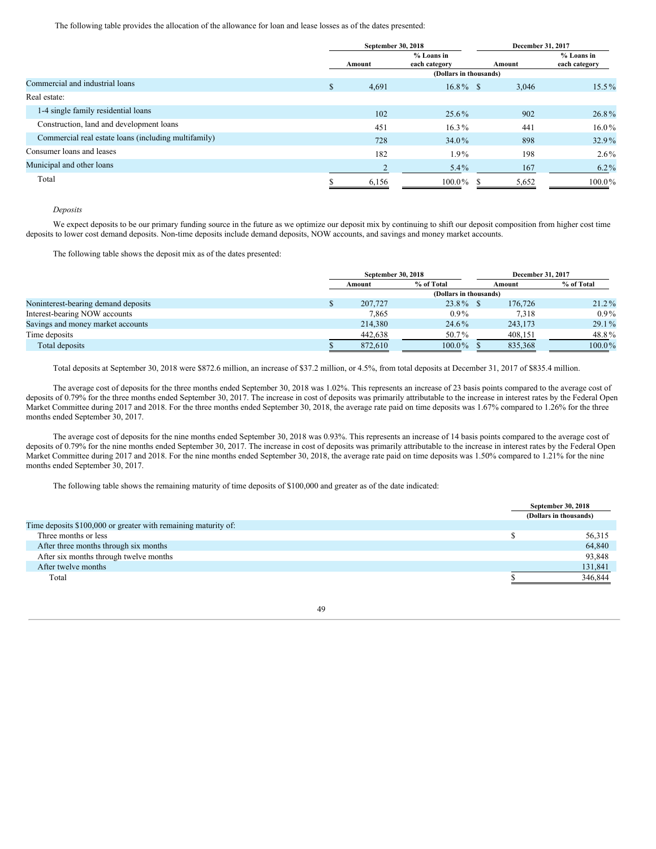The following table provides the allocation of the allowance for loan and lease losses as of the dates presented:

|                                                      | September 30, 2018 |                               | December 31, 2017 |                               |  |  |
|------------------------------------------------------|--------------------|-------------------------------|-------------------|-------------------------------|--|--|
|                                                      | Amount             | $%$ Loans in<br>each category | Amount            | $%$ Loans in<br>each category |  |  |
|                                                      |                    | (Dollars in thousands)        |                   |                               |  |  |
| Commercial and industrial loans                      | \$<br>4,691        | $16.8\%$ \$                   | 3,046             | $15.5\%$                      |  |  |
| Real estate:                                         |                    |                               |                   |                               |  |  |
| 1-4 single family residential loans                  | 102                | 25.6%                         | 902               | 26.8%                         |  |  |
| Construction, land and development loans             | 451                | $16.3\%$                      | 441               | $16.0\%$                      |  |  |
| Commercial real estate loans (including multifamily) | 728                | 34.0%                         | 898               | $32.9\%$                      |  |  |
| Consumer loans and leases                            | 182                | $1.9\%$                       | 198               | $2.6\%$                       |  |  |
| Municipal and other loans                            |                    | $5.4\%$                       | 167               | $6.2\%$                       |  |  |
| Total                                                | 6,156              | $100.0\%$                     | 5,652<br>-S       | $100.0\%$                     |  |  |

# *Deposits*

We expect deposits to be our primary funding source in the future as we optimize our deposit mix by continuing to shift our deposit composition from higher cost time deposits to lower cost demand deposits. Non-time deposits include demand deposits, NOW accounts, and savings and money market accounts.

The following table shows the deposit mix as of the dates presented:

|                                     | September 30, 2018 |         |                        |  | December 31, 2017 |            |
|-------------------------------------|--------------------|---------|------------------------|--|-------------------|------------|
|                                     |                    | Amount  | % of Total             |  | Amount            | % of Total |
|                                     |                    |         | (Dollars in thousands) |  |                   |            |
| Noninterest-bearing demand deposits | لا                 | 207,727 | $23.8\%$ \$            |  | 176,726           | $21.2\%$   |
| Interest-bearing NOW accounts       |                    | 7.865   | $0.9\%$                |  | 7.318             | $0.9\%$    |
| Savings and money market accounts   |                    | 214,380 | 24.6%                  |  | 243,173           | $29.1\%$   |
| Time deposits                       |                    | 442,638 | 50.7%                  |  | 408.151           | 48.8%      |
| Total deposits                      |                    | 872.610 | $100.0\%$              |  | 835,368           | $100.0\%$  |

Total deposits at September 30, 2018 were \$872.6 million, an increase of \$37.2 million, or 4.5%, from total deposits at December 31, 2017 of \$835.4 million.

The average cost of deposits for the three months ended September 30, 2018 was 1.02%. This represents an increase of 23 basis points compared to the average cost of deposits of 0.79% for the three months ended September 30, 2017. The increase in cost of deposits was primarily attributable to the increase in interest rates by the Federal Open Market Committee during 2017 and 2018. For the three months ended September 30, 2018, the average rate paid on time deposits was 1.67% compared to 1.26% for the three months ended September 30, 2017.

The average cost of deposits for the nine months ended September 30, 2018 was 0.93%. This represents an increase of 14 basis points compared to the average cost of deposits of 0.79% for the nine months ended September 30, 2017. The increase in cost of deposits was primarily attributable to the increase in interest rates by the Federal Open Market Committee during 2017 and 2018. For the nine months ended September 30, 2018, the average rate paid on time deposits was 1.50% compared to 1.21% for the nine months ended September 30, 2017.

The following table shows the remaining maturity of time deposits of \$100,000 and greater as of the date indicated:

|                                                                | September 30, 2018     |
|----------------------------------------------------------------|------------------------|
|                                                                | (Dollars in thousands) |
| Time deposits \$100,000 or greater with remaining maturity of: |                        |
| Three months or less                                           | 56,315                 |
| After three months through six months                          | 64,840                 |
| After six months through twelve months                         | 93,848                 |
| After twelve months                                            | 131,841                |
| Total                                                          | 346,844                |

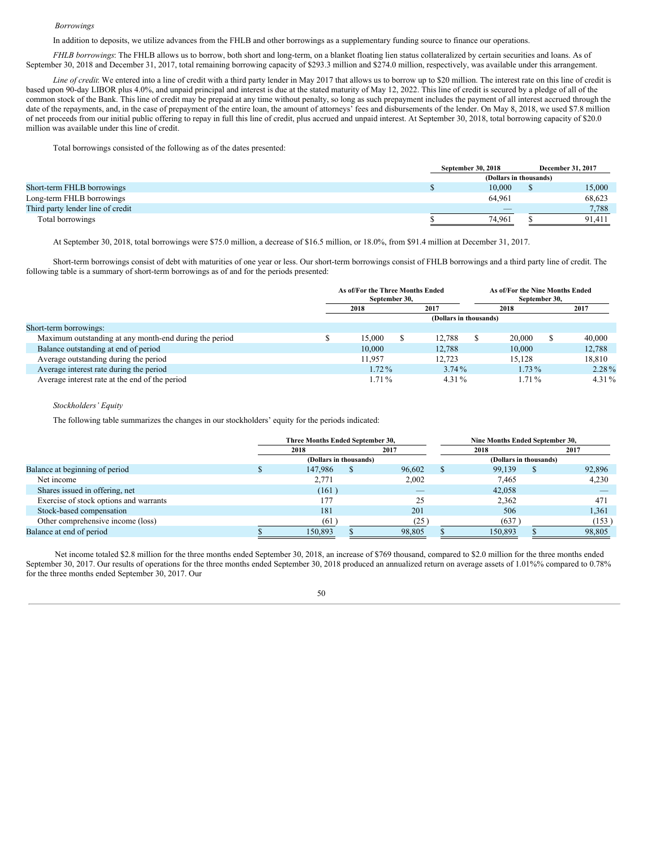#### *Borrowings*

In addition to deposits, we utilize advances from the FHLB and other borrowings as a supplementary funding source to finance our operations.

*FHLB borrowings*: The FHLB allows us to borrow, both short and long-term, on a blanket floating lien status collateralized by certain securities and loans. As of September 30, 2018 and December 31, 2017, total remaining borrowing capacity of \$293.3 million and \$274.0 million, respectively, was available under this arrangement.

*Line of credit*: We entered into a line of credit with a third party lender in May 2017 that allows us to borrow up to \$20 million. The interest rate on this line of credit is based upon 90-day LIBOR plus 4.0%, and unpaid principal and interest is due at the stated maturity of May 12, 2022. This line of credit is secured by a pledge of all of the common stock of the Bank. This line of credit may be prepaid at any time without penalty, so long as such prepayment includes the payment of all interest accrued through the date of the repayments, and, in the case of prepayment of the entire loan, the amount of attorneys' fees and disbursements of the lender. On May 8, 2018, we used \$7.8 million of net proceeds from our initial public offering to repay in full this line of credit, plus accrued and unpaid interest. At September 30, 2018, total borrowing capacity of \$20.0 million was available under this line of credit.

Total borrowings consisted of the following as of the dates presented:

|                                   | September 30, 2018     |  | <b>December 31, 2017</b> |  |  |  |
|-----------------------------------|------------------------|--|--------------------------|--|--|--|
|                                   | (Dollars in thousands) |  |                          |  |  |  |
| Short-term FHLB borrowings        | 10.000                 |  | 15,000                   |  |  |  |
| Long-term FHLB borrowings         | 64.961                 |  | 68.623                   |  |  |  |
| Third party lender line of credit |                        |  | 7.788                    |  |  |  |
| Total borrowings                  | 74.961                 |  | 91.411                   |  |  |  |

At September 30, 2018, total borrowings were \$75.0 million, a decrease of \$16.5 million, or 18.0%, from \$91.4 million at December 31, 2017.

Short-term borrowings consist of debt with maturities of one year or less. Our short-term borrowings consist of FHLB borrowings and a third party line of credit. The following table is a summary of short-term borrowings as of and for the periods presented:

|                                                        |      | As of/For the Three Months Ended<br>September 30, |  |                        |  | As of/For the Nine Months Ended<br>September 30, |  |          |  |
|--------------------------------------------------------|------|---------------------------------------------------|--|------------------------|--|--------------------------------------------------|--|----------|--|
|                                                        | 2018 |                                                   |  | 2017                   |  | 2018                                             |  | 2017     |  |
|                                                        |      |                                                   |  | (Dollars in thousands) |  |                                                  |  |          |  |
| Short-term borrowings:                                 |      |                                                   |  |                        |  |                                                  |  |          |  |
| Maximum outstanding at any month-end during the period |      | 15,000                                            |  | 12.788                 |  | 20,000                                           |  | 40,000   |  |
| Balance outstanding at end of period                   |      | 10,000                                            |  | 12,788                 |  | 10,000                                           |  | 12,788   |  |
| Average outstanding during the period                  |      | 11.957                                            |  | 12.723                 |  | 15.128                                           |  | 18,810   |  |
| Average interest rate during the period                |      | $1.72\%$                                          |  | $3.74\%$               |  | $1.73\%$                                         |  | $2.28\%$ |  |
| Average interest rate at the end of the period         |      | 1.71 %                                            |  | $4.31\%$               |  | 1.71%                                            |  | 4.31%    |  |

# *Stockholders' Equity*

The following table summarizes the changes in our stockholders' equity for the periods indicated:

|                                        | Three Months Ended September 30, | Nine Months Ended September 30, |  |                        |          |        |  |
|----------------------------------------|----------------------------------|---------------------------------|--|------------------------|----------|--------|--|
|                                        | 2018<br>2017                     |                                 |  | 2018                   |          | 2017   |  |
|                                        | (Dollars in thousands)           |                                 |  | (Dollars in thousands) |          |        |  |
| Balance at beginning of period         | 147.986                          | 96.602                          |  | 99,139                 | <b>S</b> | 92,896 |  |
| Net income                             | 2,771                            | 2,002                           |  | 7.465                  |          | 4,230  |  |
| Shares issued in offering, net         | (161)                            | $\overline{\phantom{a}}$        |  | 42,058                 |          |        |  |
| Exercise of stock options and warrants | 177                              | 25                              |  | 2.362                  |          | 471    |  |
| Stock-based compensation               | 181                              | 201                             |  | 506                    |          | 1,361  |  |
| Other comprehensive income (loss)      | (61)                             | (25)                            |  | (637)                  |          | (153)  |  |
| Balance at end of period               | 150.893                          | 98.805                          |  | 150.893                |          | 98.805 |  |

Net income totaled \$2.8 million for the three months ended September 30, 2018, an increase of \$769 thousand, compared to \$2.0 million for the three months ended September 30, 2017. Our results of operations for the three months ended September 30, 2018 produced an annualized return on average assets of 1.01%% compared to 0.78% for the three months ended September 30, 2017. Our

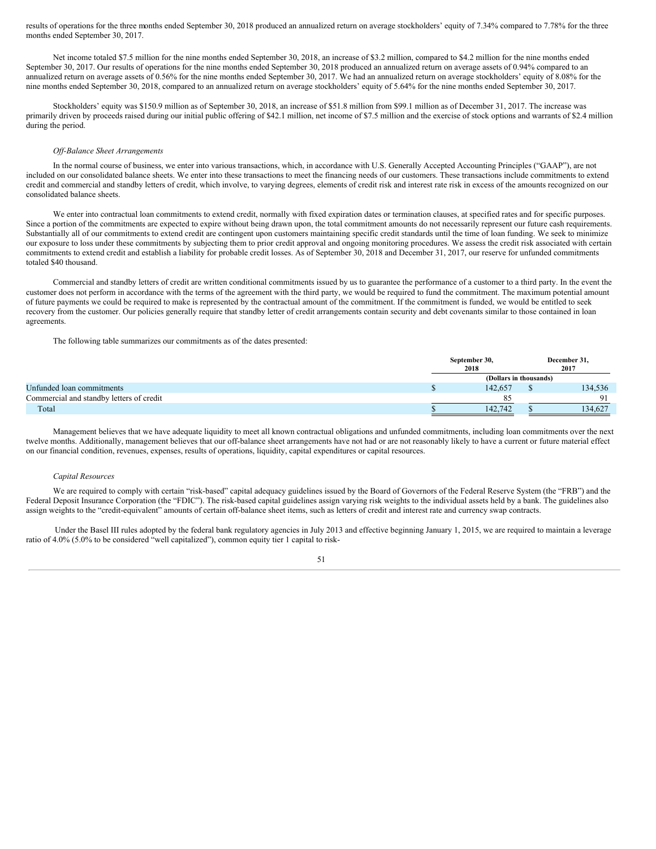results of operations for the three months ended September 30, 2018 produced an annualized return on average stockholders' equity of 7.34% compared to 7.78% for the three months ended September 30, 2017.

Net income totaled \$7.5 million for the nine months ended September 30, 2018, an increase of \$3.2 million, compared to \$4.2 million for the nine months ended September 30, 2017. Our results of operations for the nine months ended September 30, 2018 produced an annualized return on average assets of 0.94% compared to an annualized return on average assets of 0.56% for the nine months ended September 30, 2017. We had an annualized return on average stockholders' equity of 8.08% for the nine months ended September 30, 2018, compared to an annualized return on average stockholders' equity of 5.64% for the nine months ended September 30, 2017.

Stockholders' equity was \$150.9 million as of September 30, 2018, an increase of \$51.8 million from \$99.1 million as of December 31, 2017. The increase was primarily driven by proceeds raised during our initial public offering of \$42.1 million, net income of \$7.5 million and the exercise of stock options and warrants of \$2.4 million during the period.

#### *Of -Balance Sheet Arrangements*

In the normal course of business, we enter into various transactions, which, in accordance with U.S. Generally Accepted Accounting Principles ("GAAP"), are not included on our consolidated balance sheets. We enter into these transactions to meet the financing needs of our customers. These transactions include commitments to extend credit and commercial and standby letters of credit, which involve, to varying degrees, elements of credit risk and interest rate risk in excess of the amounts recognized on our consolidated balance sheets.

We enter into contractual loan commitments to extend credit, normally with fixed expiration dates or termination clauses, at specified rates and for specific purposes. Since a portion of the commitments are expected to expire without being drawn upon, the total commitment amounts do not necessarily represent our future cash requirements. Substantially all of our commitments to extend credit are contingent upon customers maintaining specific credit standards until the time of loan funding. We seek to minimize our exposure to loss under these commitments by subjecting them to prior credit approval and ongoing monitoring procedures. We assess the credit risk associated with certain commitments to extend credit and establish a liability for probable credit losses. As of September 30, 2018 and December 31, 2017, our reserve for unfunded commitments totaled \$40 thousand.

Commercial and standby letters of credit are written conditional commitments issued by us to guarantee the performance of a customer to a third party. In the event the customer does not perform in accordance with the terms of the agreement with the third party, we would be required to fund the commitment. The maximum potential amount of future payments we could be required to make is represented by the contractual amount of the commitment. If the commitment is funded, we would be entitled to seek recovery from the customer. Our policies generally require that standby letter of credit arrangements contain security and debt covenants similar to those contained in loan agreements.

The following table summarizes our commitments as of the dates presented:

|                                          | September 30,<br>2018  | December 31.<br>2017 |
|------------------------------------------|------------------------|----------------------|
|                                          | (Dollars in thousands) |                      |
| Unfunded loan commitments                | 142.657                | 134.536              |
| Commercial and standby letters of credit |                        | $\mathbf{O}$         |
| Total                                    | 142.742                | 134,627              |

Management believes that we have adequate liquidity to meet all known contractual obligations and unfunded commitments, including loan commitments over the next twelve months. Additionally, management believes that our off-balance sheet arrangements have not had or are not reasonably likely to have a current or future material effect on our financial condition, revenues, expenses, results of operations, liquidity, capital expenditures or capital resources.

#### *Capital Resources*

We are required to comply with certain "risk-based" capital adequacy guidelines issued by the Board of Governors of the Federal Reserve System (the "FRB") and the Federal Deposit Insurance Corporation (the "FDIC"). The risk-based capital guidelines assign varying risk weights to the individual assets held by a bank. The guidelines also assign weights to the "credit-equivalent" amounts of certain off-balance sheet items, such as letters of credit and interest rate and currency swap contracts.

Under the Basel III rules adopted by the federal bank regulatory agencies in July 2013 and effective beginning January 1, 2015, we are required to maintain a leverage ratio of 4.0% (5.0% to be considered "well capitalized"), common equity tier 1 capital to risk-

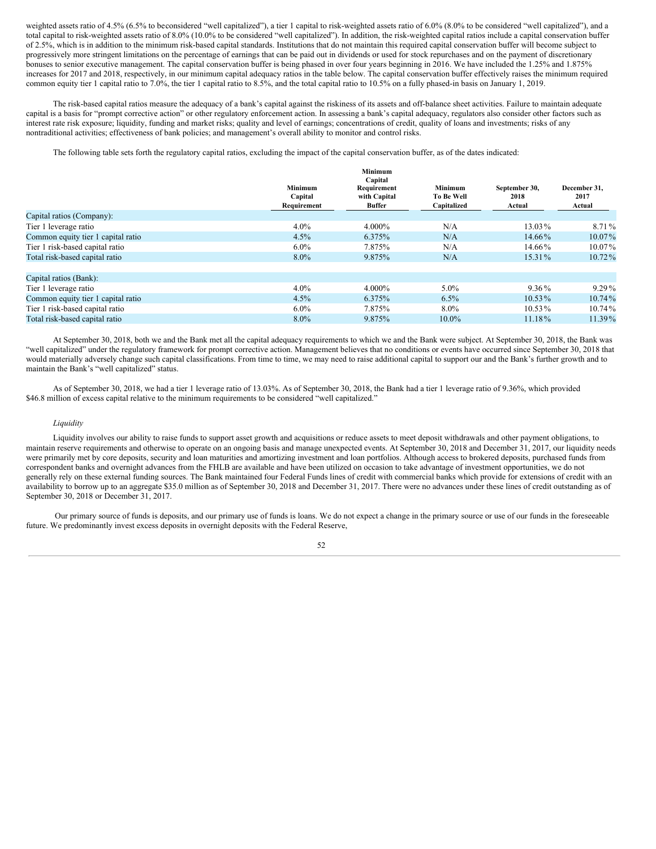weighted assets ratio of 4.5% (6.5% to beconsidered "well capitalized"), a tier 1 capital to risk-weighted assets ratio of 6.0% (8.0% to be considered "well capitalized"), and a total capital to risk-weighted assets ratio of 8.0% (10.0% to be considered "well capitalized"). In addition, the risk-weighted capital ratios include a capital conservation buffer of 2.5%, which is in addition to the minimum risk-based capital standards. Institutions that do not maintain this required capital conservation buffer will become subject to progressively more stringent limitations on the percentage of earnings that can be paid out in dividends or used for stock repurchases and on the payment of discretionary bonuses to senior executive management. The capital conservation buffer is being phased in over four years beginning in 2016. We have included the 1.25% and 1.875% increases for 2017 and 2018, respectively, in our minimum capital adequacy ratios in the table below. The capital conservation buffer effectively raises the minimum required common equity tier 1 capital ratio to 7.0%, the tier 1 capital ratio to 8.5%, and the total capital ratio to 10.5% on a fully phased-in basis on January 1, 2019.

The risk-based capital ratios measure the adequacy of a bank's capital against the riskiness of its assets and off-balance sheet activities. Failure to maintain adequate capital is a basis for "prompt corrective action" or other regulatory enforcement action. In assessing a bank's capital adequacy, regulators also consider other factors such as interest rate risk exposure; liquidity, funding and market risks; quality and level of earnings; concentrations of credit, quality of loans and investments; risks of any nontraditional activities; effectiveness of bank policies; and management's overall ability to monitor and control risks.

The following table sets forth the regulatory capital ratios, excluding the impact of the capital conservation buffer, as of the dates indicated:

|                | Minimum       |                              |                       |                      |
|----------------|---------------|------------------------------|-----------------------|----------------------|
| <b>Minimum</b> | Requirement   | Minimum<br><b>To Be Well</b> | September 30,<br>2018 | December 31,<br>2017 |
| Requirement    | <b>Buffer</b> | Capitalized                  | Actual                | Actual               |
|                |               |                              |                       |                      |
| $4.0\%$        | 4.000%        | N/A                          | 13.03%                | 8.71 %               |
| 4.5%           | 6.375%        | N/A                          | 14.66%                | $10.07\%$            |
| $6.0\%$        | 7.875%        | N/A                          | 14.66%                | $10.07\%$            |
| 8.0%           | 9.875%        | N/A                          | 15.31%                | $10.72\%$            |
|                |               |                              |                       |                      |
|                |               |                              |                       |                      |
| 4.0%           | 4.000%        | $5.0\%$                      | $9.36\%$              | $9.29\%$             |
| 4.5%           | 6.375%        | $6.5\%$                      | $10.53\%$             | $10.74\%$            |
| $6.0\%$        | 7.875%        | $8.0\%$                      | $10.53\%$             | $10.74\%$            |
| 8.0%           | 9.875%        | $10.0\%$                     | $11.18\%$             | 11.39%               |
|                | Capital       | Capital<br>with Capital      |                       |                      |

At September 30, 2018, both we and the Bank met all the capital adequacy requirements to which we and the Bank were subject. At September 30, 2018, the Bank was "well capitalized" under the regulatory framework for prompt corrective action. Management believes that no conditions or events have occurred since September 30, 2018 that would materially adversely change such capital classifications. From time to time, we may need to raise additional capital to support our and the Bank's further growth and to maintain the Bank's "well capitalized" status.

As of September 30, 2018, we had a tier 1 leverage ratio of 13.03%. As of September 30, 2018, the Bank had a tier 1 leverage ratio of 9.36%, which provided \$46.8 million of excess capital relative to the minimum requirements to be considered "well capitalized."

#### *Liquidity*

Liquidity involves our ability to raise funds to support asset growth and acquisitions or reduce assets to meet deposit withdrawals and other payment obligations, to maintain reserve requirements and otherwise to operate on an ongoing basis and manage unexpected events. At September 30, 2018 and December 31, 2017, our liquidity needs were primarily met by core deposits, security and loan maturities and amortizing investment and loan portfolios. Although access to brokered deposits, purchased funds from correspondent banks and overnight advances from the FHLB are available and have been utilized on occasion to take advantage of investment opportunities, we do not generally rely on these external funding sources. The Bank maintained four Federal Funds lines of credit with commercial banks which provide for extensions of credit with an availability to borrow up to an aggregate \$35.0 million as of September 30, 2018 and December 31, 2017. There were no advances under these lines of credit outstanding as of September 30, 2018 or December 31, 2017.

Our primary source of funds is deposits, and our primary use of funds is loans. We do not expect a change in the primary source or use of our funds in the foreseeable future. We predominantly invest excess deposits in overnight deposits with the Federal Reserve,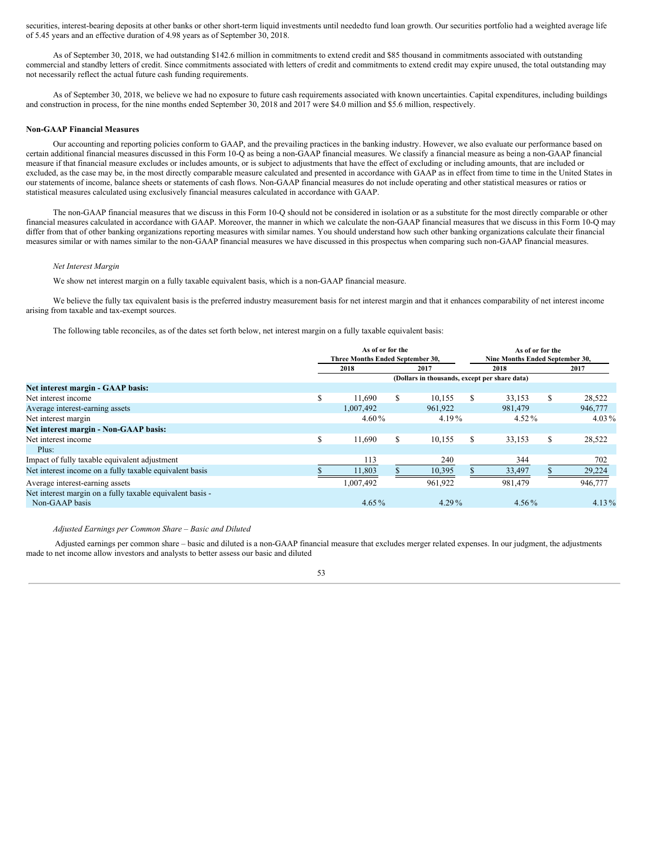securities, interest-bearing deposits at other banks or other short-term liquid investments until neededto fund loan growth. Our securities portfolio had a weighted average life of 5.45 years and an effective duration of 4.98 years as of September 30, 2018.

As of September 30, 2018, we had outstanding \$142.6 million in commitments to extend credit and \$85 thousand in commitments associated with outstanding commercial and standby letters of credit. Since commitments associated with letters of credit and commitments to extend credit may expire unused, the total outstanding may not necessarily reflect the actual future cash funding requirements.

As of September 30, 2018, we believe we had no exposure to future cash requirements associated with known uncertainties. Capital expenditures, including buildings and construction in process, for the nine months ended September 30, 2018 and 2017 were \$4.0 million and \$5.6 million, respectively.

#### **Non-GAAP Financial Measures**

Our accounting and reporting policies conform to GAAP, and the prevailing practices in the banking industry. However, we also evaluate our performance based on certain additional financial measures discussed in this Form 10-Q as being a non-GAAP financial measures. We classify a financial measure as being a non-GAAP financial measure if that financial measure excludes or includes amounts, or is subject to adjustments that have the effect of excluding or including amounts, that are included or excluded, as the case may be, in the most directly comparable measure calculated and presented in accordance with GAAP as in effect from time to time in the United States in our statements of income, balance sheets or statements of cash flows. Non-GAAP financial measures do not include operating and other statistical measures or ratios or statistical measures calculated using exclusively financial measures calculated in accordance with GAAP.

The non-GAAP financial measures that we discuss in this Form 10-Q should not be considered in isolation or as a substitute for the most directly comparable or other financial measures calculated in accordance with GAAP. Moreover, the manner in which we calculate the non-GAAP financial measures that we discuss in this Form 10-Q may differ from that of other banking organizations reporting measures with similar names. You should understand how such other banking organizations calculate their financial measures similar or with names similar to the non-GAAP financial measures we have discussed in this prospectus when comparing such non-GAAP financial measures.

# *Net Interest Margin*

We show net interest margin on a fully taxable equivalent basis, which is a non-GAAP financial measure.

We believe the fully tax equivalent basis is the preferred industry measurement basis for net interest margin and that it enhances comparability of net interest income arising from taxable and tax-exempt sources.

The following table reconciles, as of the dates set forth below, net interest margin on a fully taxable equivalent basis:

|                                                                             | As of or for the<br>Three Months Ended September 30, |                      |   |          |    | As of or for the<br>Nine Months Ended September 30, |          |          |
|-----------------------------------------------------------------------------|------------------------------------------------------|----------------------|---|----------|----|-----------------------------------------------------|----------|----------|
|                                                                             |                                                      | 2018                 |   | 2017     |    | 2018                                                |          | 2017     |
|                                                                             | (Dollars in thousands, except per share data)        |                      |   |          |    |                                                     |          |          |
| Net interest margin - GAAP basis:                                           |                                                      |                      |   |          |    |                                                     |          |          |
| Net interest income                                                         | S                                                    | 11.690               | S | 10.155   | \$ | 33,153                                              | \$       | 28,522   |
| Average interest-earning assets                                             |                                                      | 1,007,492            |   | 961.922  |    | 981,479                                             |          | 946,777  |
| Net interest margin                                                         |                                                      | $4.60\%$<br>$4.19\%$ |   |          |    | $4.52\%$                                            | $4.03\%$ |          |
| Net interest margin - Non-GAAP basis:                                       |                                                      |                      |   |          |    |                                                     |          |          |
| Net interest income                                                         | S                                                    | 11.690               | S | 10,155   | S. | 33,153                                              | \$       | 28,522   |
| Plus:                                                                       |                                                      |                      |   |          |    |                                                     |          |          |
| Impact of fully taxable equivalent adjustment                               |                                                      | 113                  |   | 240      |    | 344                                                 |          | 702      |
| Net interest income on a fully taxable equivalent basis                     |                                                      | 11,803               |   | 10,395   |    | 33,497                                              |          | 29,224   |
| Average interest-earning assets                                             |                                                      | 1,007,492            |   | 961,922  |    | 981.479                                             |          | 946,777  |
| Net interest margin on a fully taxable equivalent basis -<br>Non-GAAP basis |                                                      | $4.65\%$             |   | $4.29\%$ |    | $4.56\%$                                            |          | $4.13\%$ |

#### *Adjusted Earnings per Common Share – Basic and Diluted*

Adjusted earnings per common share – basic and diluted is a non-GAAP financial measure that excludes merger related expenses. In our judgment, the adjustments made to net income allow investors and analysts to better assess our basic and diluted

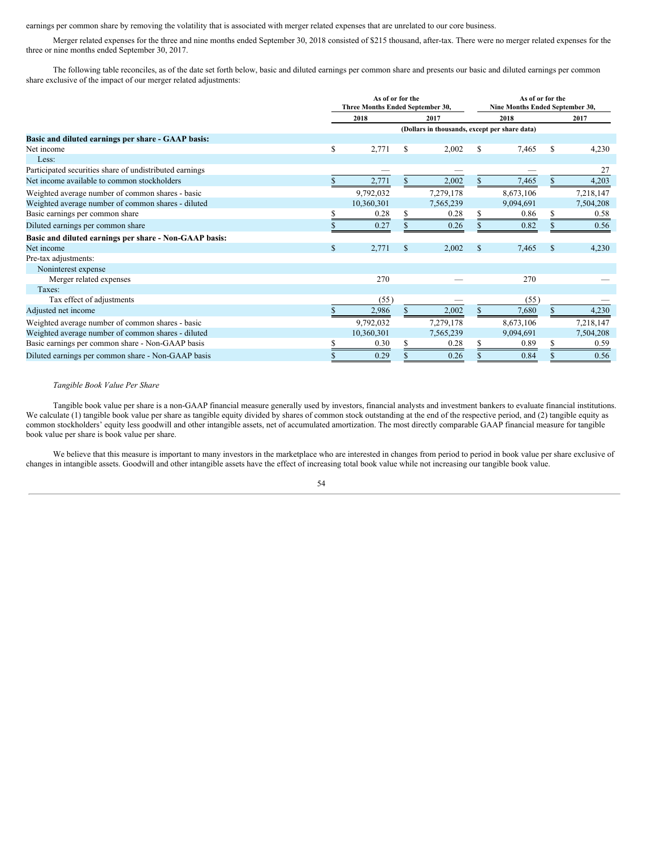earnings per common share by removing the volatility that is associated with merger related expenses that are unrelated to our core business.

Merger related expenses for the three and nine months ended September 30, 2018 consisted of \$215 thousand, after-tax. There were no merger related expenses for the three or nine months ended September 30, 2017.

The following table reconciles, as of the date set forth below, basic and diluted earnings per common share and presents our basic and diluted earnings per common share exclusive of the impact of our merger related adjustments:

|                                                         | As of or for the<br>Three Months Ended September 30, |    |           |                                               | As of or for the<br>Nine Months Ended September 30, |               |           |  |
|---------------------------------------------------------|------------------------------------------------------|----|-----------|-----------------------------------------------|-----------------------------------------------------|---------------|-----------|--|
|                                                         | 2018                                                 |    | 2017      |                                               | 2018                                                |               | 2017      |  |
|                                                         |                                                      |    |           | (Dollars in thousands, except per share data) |                                                     |               |           |  |
| Basic and diluted earnings per share - GAAP basis:      |                                                      |    |           |                                               |                                                     |               |           |  |
| Net income                                              | \$<br>2,771                                          | \$ | 2,002     | \$                                            | 7,465                                               |               | 4,230     |  |
| Less:                                                   |                                                      |    |           |                                               |                                                     |               |           |  |
| Participated securities share of undistributed earnings |                                                      |    |           |                                               |                                                     |               | 27        |  |
| Net income available to common stockholders             | 2,771                                                | S  | 2,002     | S.                                            | 7,465                                               |               | 4,203     |  |
| Weighted average number of common shares - basic        | 9,792,032                                            |    | 7,279,178 |                                               | 8,673,106                                           |               | 7,218,147 |  |
| Weighted average number of common shares - diluted      | 10,360,301                                           |    | 7,565,239 |                                               | 9,094,691                                           |               | 7,504,208 |  |
| Basic earnings per common share                         | 0.28                                                 | S  | 0.28      |                                               | 0.86                                                |               | 0.58      |  |
| Diluted earnings per common share                       | 0.27                                                 |    | 0.26      |                                               | 0.82                                                |               | 0.56      |  |
| Basic and diluted earnings per share - Non-GAAP basis:  |                                                      |    |           |                                               |                                                     |               |           |  |
| Net income                                              | \$<br>2,771                                          | \$ | 2,002     | $\mathbb{S}$                                  | 7,465                                               | <sup>\$</sup> | 4,230     |  |
| Pre-tax adjustments:                                    |                                                      |    |           |                                               |                                                     |               |           |  |
| Noninterest expense                                     |                                                      |    |           |                                               |                                                     |               |           |  |
| Merger related expenses                                 | 270                                                  |    |           |                                               | 270                                                 |               |           |  |
| Taxes:                                                  |                                                      |    |           |                                               |                                                     |               |           |  |
| Tax effect of adjustments                               | (55)                                                 |    |           |                                               | (55)                                                |               |           |  |
| Adjusted net income                                     | 2,986                                                |    | 2,002     |                                               | 7,680                                               |               | 4,230     |  |
| Weighted average number of common shares - basic        | 9,792,032                                            |    | 7,279,178 |                                               | 8,673,106                                           |               | 7,218,147 |  |
| Weighted average number of common shares - diluted      | 10,360,301                                           |    | 7,565,239 |                                               | 9,094,691                                           |               | 7,504,208 |  |
| Basic earnings per common share - Non-GAAP basis        | 0.30                                                 |    | 0.28      | S                                             | 0.89                                                |               | 0.59      |  |
| Diluted earnings per common share - Non-GAAP basis      | 0.29                                                 |    | 0.26      | S                                             | 0.84                                                |               | 0.56      |  |

# *Tangible Book Value Per Share*

Tangible book value per share is a non-GAAP financial measure generally used by investors, financial analysts and investment bankers to evaluate financial institutions. We calculate (1) tangible book value per share as tangible equity divided by shares of common stock outstanding at the end of the respective period, and (2) tangible equity as common stockholders' equity less goodwill and other intangible assets, net of accumulated amortization. The most directly comparable GAAP financial measure for tangible book value per share is book value per share.

We believe that this measure is important to many investors in the marketplace who are interested in changes from period to period in book value per share exclusive of changes in intangible assets. Goodwill and other intangible assets have the effect of increasing total book value while not increasing our tangible book value.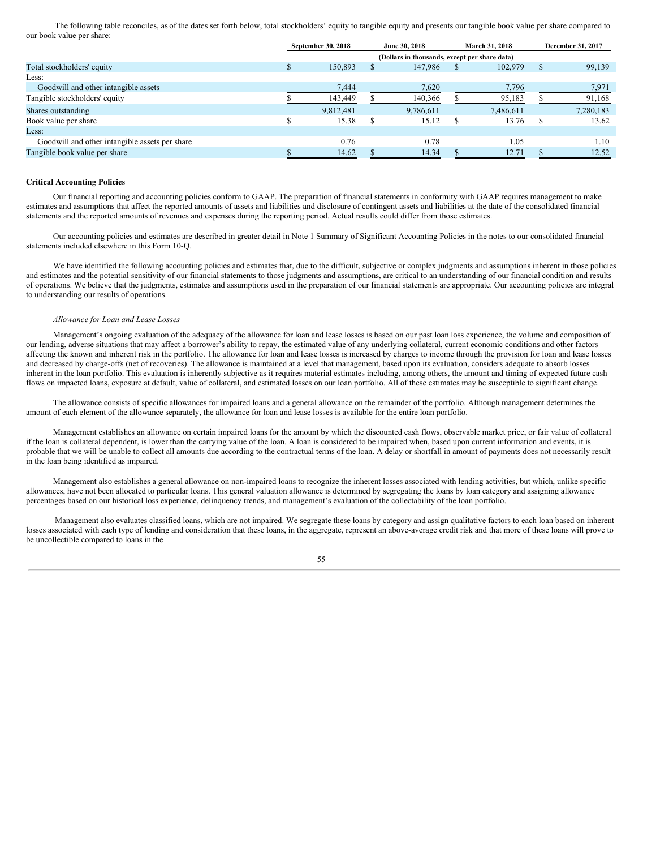The following table reconciles, as of the dates set forth below, total stockholders' equity to tangible equity and presents our tangible book value per share compared to our book value per share:

|                                                | September 30, 2018 | June 30, 2018                                 | March 31, 2018 |   | December 31, 2017 |  |  |
|------------------------------------------------|--------------------|-----------------------------------------------|----------------|---|-------------------|--|--|
|                                                |                    | (Dollars in thousands, except per share data) |                |   |                   |  |  |
| Total stockholders' equity                     | 150.893            | 147.986                                       | 102,979        |   | 99,139            |  |  |
| Less:                                          |                    |                                               |                |   |                   |  |  |
| Goodwill and other intangible assets           | 7.444              | 7,620                                         | 7,796          |   | 7,971             |  |  |
| Tangible stockholders' equity                  | 143,449            | 140,366                                       | 95,183         |   | 91,168            |  |  |
| Shares outstanding                             | 9,812,481          | 9,786,611                                     | 7,486,611      |   | 7,280,183         |  |  |
| Book value per share                           | 15.38              | 15.12                                         | 13.76          | S | 13.62             |  |  |
| Less:                                          |                    |                                               |                |   |                   |  |  |
| Goodwill and other intangible assets per share | 0.76               | 0.78                                          | 1.05           |   | 1.10              |  |  |
| Tangible book value per share                  | 14.62              | 14.34                                         | 12.71          |   | 12.52             |  |  |

#### **Critical Accounting Policies**

Our financial reporting and accounting policies conform to GAAP. The preparation of financial statements in conformity with GAAP requires management to make estimates and assumptions that affect the reported amounts of assets and liabilities and disclosure of contingent assets and liabilities at the date of the consolidated financial statements and the reported amounts of revenues and expenses during the reporting period. Actual results could differ from those estimates.

Our accounting policies and estimates are described in greater detail in Note 1 Summary of Significant Accounting Policies in the notes to our consolidated financial statements included elsewhere in this Form 10-Q.

We have identified the following accounting policies and estimates that, due to the difficult, subjective or complex judgments and assumptions inherent in those policies and estimates and the potential sensitivity of our financial statements to those judgments and assumptions, are critical to an understanding of our financial condition and results of operations. We believe that the judgments, estimates and assumptions used in the preparation of our financial statements are appropriate. Our accounting policies are integral to understanding our results of operations.

#### *Allowance for Loan and Lease Losses*

Management's ongoing evaluation of the adequacy of the allowance for loan and lease losses is based on our past loan loss experience, the volume and composition of our lending, adverse situations that may affect a borrower's ability to repay, the estimated value of any underlying collateral, current economic conditions and other factors affecting the known and inherent risk in the portfolio. The allowance for loan and lease losses is increased by charges to income through the provision for loan and lease losses and decreased by charge-offs (net of recoveries). The allowance is maintained at a level that management, based upon its evaluation, considers adequate to absorb losses inherent in the loan portfolio. This evaluation is inherently subjective as it requires material estimates including, among others, the amount and timing of expected future cash flows on impacted loans, exposure at default, value of collateral, and estimated losses on our loan portfolio. All of these estimates may be susceptible to significant change.

The allowance consists of specific allowances for impaired loans and a general allowance on the remainder of the portfolio. Although management determines the amount of each element of the allowance separately, the allowance for loan and lease losses is available for the entire loan portfolio.

Management establishes an allowance on certain impaired loans for the amount by which the discounted cash flows, observable market price, or fair value of collateral if the loan is collateral dependent, is lower than the carrying value of the loan. A loan is considered to be impaired when, based upon current information and events, it is probable that we will be unable to collect all amounts due according to the contractual terms of the loan. A delay or shortfall in amount of payments does not necessarily result in the loan being identified as impaired.

Management also establishes a general allowance on non-impaired loans to recognize the inherent losses associated with lending activities, but which, unlike specific allowances, have not been allocated to particular loans. This general valuation allowance is determined by segregating the loans by loan category and assigning allowance percentages based on our historical loss experience, delinquency trends, and management's evaluation of the collectability of the loan portfolio.

Management also evaluates classified loans, which are not impaired. We segregate these loans by category and assign qualitative factors to each loan based on inherent losses associated with each type of lending and consideration that these loans, in the aggregate, represent an above-average credit risk and that more of these loans will prove to be uncollectible compared to loans in the

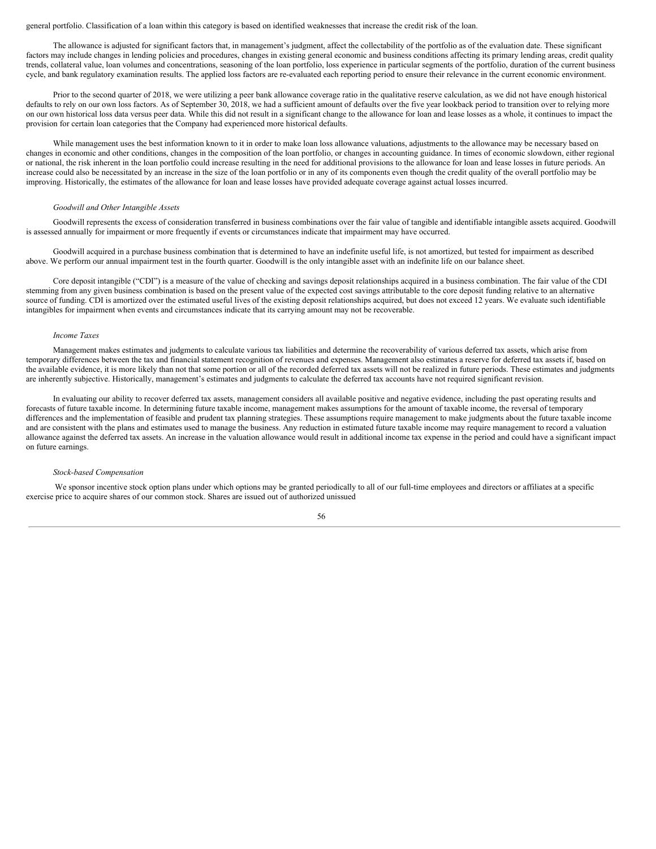#### general portfolio. Classification of a loan within this category is based on identified weaknesses that increase the credit risk of the loan.

The allowance is adjusted for significant factors that, in management's judgment, affect the collectability of the portfolio as of the evaluation date. These significant factors may include changes in lending policies and procedures, changes in existing general economic and business conditions affecting its primary lending areas, credit quality trends, collateral value, loan volumes and concentrations, seasoning of the loan portfolio, loss experience in particular segments of the portfolio, duration of the current business cycle, and bank regulatory examination results. The applied loss factors are re-evaluated each reporting period to ensure their relevance in the current economic environment.

Prior to the second quarter of 2018, we were utilizing a peer bank allowance coverage ratio in the qualitative reserve calculation, as we did not have enough historical defaults to rely on our own loss factors. As of September 30, 2018, we had a sufficient amount of defaults over the five year lookback period to transition over to relying more on our own historical loss data versus peer data. While this did not result in a significant change to the allowance for loan and lease losses as a whole, it continues to impact the provision for certain loan categories that the Company had experienced more historical defaults.

While management uses the best information known to it in order to make loan loss allowance valuations, adjustments to the allowance may be necessary based on changes in economic and other conditions, changes in the composition of the loan portfolio, or changes in accounting guidance. In times of economic slowdown, either regional or national, the risk inherent in the loan portfolio could increase resulting in the need for additional provisions to the allowance for loan and lease losses in future periods. An increase could also be necessitated by an increase in the size of the loan portfolio or in any of its components even though the credit quality of the overall portfolio may be improving. Historically, the estimates of the allowance for loan and lease losses have provided adequate coverage against actual losses incurred.

#### *Goodwill and Other Intangible Assets*

Goodwill represents the excess of consideration transferred in business combinations over the fair value of tangible and identifiable intangible assets acquired. Goodwill is assessed annually for impairment or more frequently if events or circumstances indicate that impairment may have occurred.

Goodwill acquired in a purchase business combination that is determined to have an indefinite useful life, is not amortized, but tested for impairment as described above. We perform our annual impairment test in the fourth quarter. Goodwill is the only intangible asset with an indefinite life on our balance sheet.

Core deposit intangible ("CDI") is a measure of the value of checking and savings deposit relationships acquired in a business combination. The fair value of the CDI stemming from any given business combination is based on the present value of the expected cost savings attributable to the core deposit funding relative to an alternative source of funding. CDI is amortized over the estimated useful lives of the existing deposit relationships acquired, but does not exceed 12 years. We evaluate such identifiable intangibles for impairment when events and circumstances indicate that its carrying amount may not be recoverable.

# *Income Taxes*

Management makes estimates and judgments to calculate various tax liabilities and determine the recoverability of various deferred tax assets, which arise from temporary differences between the tax and financial statement recognition of revenues and expenses. Management also estimates a reserve for deferred tax assets if, based on the available evidence, it is more likely than not that some portion or all of the recorded deferred tax assets will not be realized in future periods. These estimates and judgments are inherently subjective. Historically, management's estimates and judgments to calculate the deferred tax accounts have not required significant revision.

In evaluating our ability to recover deferred tax assets, management considers all available positive and negative evidence, including the past operating results and forecasts of future taxable income. In determining future taxable income, management makes assumptions for the amount of taxable income, the reversal of temporary differences and the implementation of feasible and prudent tax planning strategies. These assumptions require management to make judgments about the future taxable income and are consistent with the plans and estimates used to manage the business. Any reduction in estimated future taxable income may require management to record a valuation allowance against the deferred tax assets. An increase in the valuation allowance would result in additional income tax expense in the period and could have a significant impact on future earnings.

# *Stock-based Compensation*

We sponsor incentive stock option plans under which options may be granted periodically to all of our full-time employees and directors or affiliates at a specific exercise price to acquire shares of our common stock. Shares are issued out of authorized unissued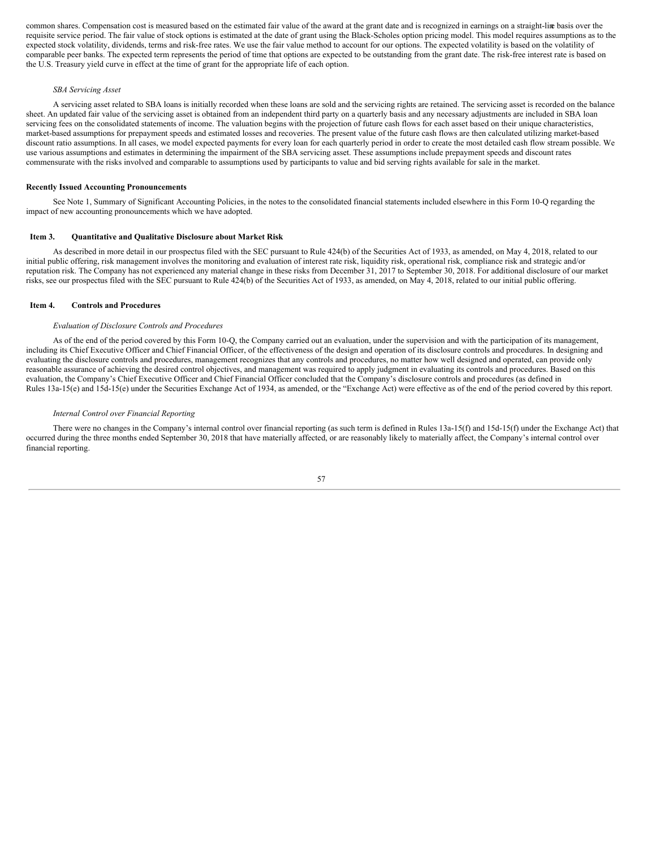common shares. Compensation cost is measured based on the estimated fair value of the award at the grant date and is recognized in earnings on a straight-line basis over the requisite service period. The fair value of stock options is estimated at the date of grant using the Black-Scholes option pricing model. This model requires assumptions as to the expected stock volatility, dividends, terms and risk-free rates. We use the fair value method to account for our options. The expected volatility is based on the volatility of comparable peer banks. The expected term represents the period of time that options are expected to be outstanding from the grant date. The risk-free interest rate is based on the U.S. Treasury yield curve in effect at the time of grant for the appropriate life of each option.

#### *SBA Servicing Asset*

A servicing asset related to SBA loans is initially recorded when these loans are sold and the servicing rights are retained. The servicing asset is recorded on the balance sheet. An updated fair value of the servicing asset is obtained from an independent third party on a quarterly basis and any necessary adjustments are included in SBA loan servicing fees on the consolidated statements of income. The valuation begins with the projection of future cash flows for each asset based on their unique characteristics, market-based assumptions for prepayment speeds and estimated losses and recoveries. The present value of the future cash flows are then calculated utilizing market-based discount ratio assumptions. In all cases, we model expected payments for every loan for each quarterly period in order to create the most detailed cash flow stream possible. We use various assumptions and estimates in determining the impairment of the SBA servicing asset. These assumptions include prepayment speeds and discount rates commensurate with the risks involved and comparable to assumptions used by participants to value and bid serving rights available for sale in the market.

#### **Recently Issued Accounting Pronouncements**

See Note 1, Summary of Significant Accounting Policies, in the notes to the consolidated financial statements included elsewhere in this Form 10-Q regarding the impact of new accounting pronouncements which we have adopted.

#### <span id="page-56-0"></span>**Item 3. Quantitative and Qualitative Disclosure about Market Risk**

As described in more detail in our prospectus filed with the SEC pursuant to Rule 424(b) of the Securities Act of 1933, as amended, on May 4, 2018, related to our initial public offering, risk management involves the monitoring and evaluation of interest rate risk, liquidity risk, operational risk, compliance risk and strategic and/or reputation risk. The Company has not experienced any material change in these risks from December 31, 2017 to September 30, 2018. For additional disclosure of our market risks, see our prospectus filed with the SEC pursuant to Rule 424(b) of the Securities Act of 1933, as amended, on May 4, 2018, related to our initial public offering.

#### <span id="page-56-1"></span>**Item 4. Controls and Procedures**

#### *Evaluation of Disclosure Controls and Procedures*

As of the end of the period covered by this Form 10-Q, the Company carried out an evaluation, under the supervision and with the participation of its management, including its Chief Executive Officer and Chief Financial Officer, of the effectiveness of the design and operation of its disclosure controls and procedures. In designing and evaluating the disclosure controls and procedures, management recognizes that any controls and procedures, no matter how well designed and operated, can provide only reasonable assurance of achieving the desired control objectives, and management was required to apply judgment in evaluating its controls and procedures. Based on this evaluation, the Company's Chief Executive Officer and Chief Financial Officer concluded that the Company's disclosure controls and procedures (as defined in Rules 13a-15(e) and 15d-15(e) under the Securities Exchange Act of 1934, as amended, or the "Exchange Act) were effective as of the end of the period covered by this report.

#### *Internal Control over Financial Reporting*

There were no changes in the Company's internal control over financial reporting (as such term is defined in Rules 13a-15(f) and 15d-15(f) under the Exchange Act) that occurred during the three months ended September 30, 2018 that have materially affected, or are reasonably likely to materially affect, the Company's internal control over financial reporting.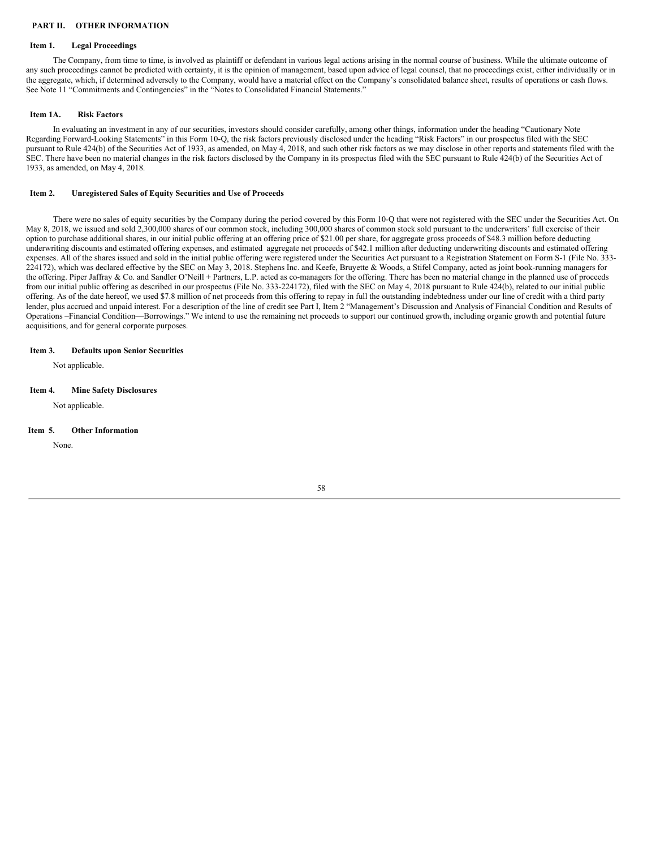# <span id="page-57-0"></span>**PART II. OTHER INFORMATION**

# <span id="page-57-1"></span>**Item 1. Legal Proceedings**

The Company, from time to time, is involved as plaintiff or defendant in various legal actions arising in the normal course of business. While the ultimate outcome of any such proceedings cannot be predicted with certainty, it is the opinion of management, based upon advice of legal counsel, that no proceedings exist, either individually or in the aggregate, which, if determined adversely to the Company, would have a material effect on the Company's consolidated balance sheet, results of operations or cash flows. See Note 11 "Commitments and Contingencies" in the "Notes to Consolidated Financial Statements."

#### <span id="page-57-2"></span>**Item 1A. Risk Factors**

In evaluating an investment in any of our securities, investors should consider carefully, among other things, information under the heading "Cautionary Note Regarding Forward-Looking Statements" in this Form 10-Q, the risk factors previously disclosed under the heading "Risk Factors" in our prospectus filed with the SEC pursuant to Rule 424(b) of the Securities Act of 1933, as amended, on May 4, 2018, and such other risk factors as we may disclose in other reports and statements filed with the SEC. There have been no material changes in the risk factors disclosed by the Company in its prospectus filed with the SEC pursuant to Rule 424(b) of the Securities Act of 1933, as amended, on May 4, 2018.

# <span id="page-57-3"></span>**Item 2. Unregistered Sales of Equity Securities and Use of Proceeds**

There were no sales of equity securities by the Company during the period covered by this Form 10-Q that were not registered with the SEC under the Securities Act. On May 8, 2018, we issued and sold 2,300,000 shares of our common stock, including 300,000 shares of common stock sold pursuant to the underwriters' full exercise of their option to purchase additional shares, in our initial public offering at an offering price of \$21.00 per share, for aggregate gross proceeds of \$48.3 million before deducting underwriting discounts and estimated offering expenses, and estimated aggregate net proceeds of \$42.1 million after deducting underwriting discounts and estimated offering expenses. All of the shares issued and sold in the initial public offering were registered under the Securities Act pursuant to a Registration Statement on Form S-1 (File No. 333- 224172), which was declared effective by the SEC on May 3, 2018. Stephens Inc. and Keefe, Bruyette & Woods, a Stifel Company, acted as joint book-running managers for the offering. Piper Jaffray & Co. and Sandler O'Neill + Partners, L.P. acted as co-managers for the offering. There has been no material change in the planned use of proceeds from our initial public offering as described in our prospectus (File No. 333-224172), filed with the SEC on May 4, 2018 pursuant to Rule 424(b), related to our initial public offering. As of the date hereof, we used \$7.8 million of net proceeds from this offering to repay in full the outstanding indebtedness under our line of credit with a third party lender, plus accrued and unpaid interest. For a description of the line of credit see Part I, Item 2 "Management's Discussion and Analysis of Financial Condition and Results of Operations –Financial Condition—Borrowings." We intend to use the remaining net proceeds to support our continued growth, including organic growth and potential future acquisitions, and for general corporate purposes.

# <span id="page-57-4"></span>**Item 3. Defaults upon Senior Securities**

Not applicable.

# <span id="page-57-5"></span>**Item 4. Mine Safety Disclosures**

Not applicable.

#### <span id="page-57-6"></span>**Item 5. Other Information**

None.

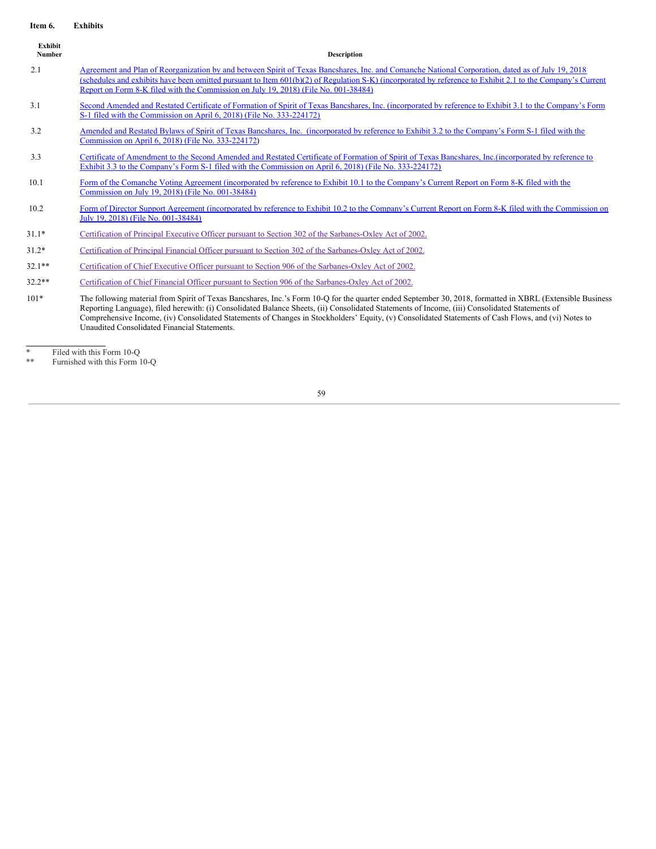#### <span id="page-58-0"></span>**Item 6. Exhibits**

| Exhibit<br>Number | <b>Description</b>                                                                                                                                                                                                                                                                                                                                                                                                                                                                                                  |
|-------------------|---------------------------------------------------------------------------------------------------------------------------------------------------------------------------------------------------------------------------------------------------------------------------------------------------------------------------------------------------------------------------------------------------------------------------------------------------------------------------------------------------------------------|
| 2.1               | Agreement and Plan of Reorganization by and between Spirit of Texas Bancshares, Inc. and Comanche National Corporation, dated as of July 19, 2018<br>(schedules and exhibits have been omitted pursuant to Item 601(b)(2) of Regulation S-K) (incorporated by reference to Exhibit 2.1 to the Company's Current<br>Report on Form 8-K filed with the Commission on July 19, 2018) (File No. 001-38484)                                                                                                              |
| 3.1               | Second Amended and Restated Certificate of Formation of Spirit of Texas Bancshares, Inc. (incorporated by reference to Exhibit 3.1 to the Company's Form<br>S-1 filed with the Commission on April 6, 2018) (File No. 333-224172)                                                                                                                                                                                                                                                                                   |
| 3.2               | Amended and Restated Bylaws of Spirit of Texas Bancshares, Inc. (incorporated by reference to Exhibit 3.2 to the Company's Form S-1 filed with the<br>Commission on April 6, 2018) (File No. 333-224172)                                                                                                                                                                                                                                                                                                            |
| 3.3               | Certificate of Amendment to the Second Amended and Restated Certificate of Formation of Spirit of Texas Bancshares, Inc.(incorporated by reference to<br>Exhibit 3.3 to the Company's Form S-1 filed with the Commission on April 6, 2018) (File No. 333-224172)                                                                                                                                                                                                                                                    |
| 10.1              | Form of the Comanche Voting Agreement (incorporated by reference to Exhibit 10.1 to the Company's Current Report on Form 8-K filed with the<br>Commission on July 19, 2018) (File No. 001-38484)                                                                                                                                                                                                                                                                                                                    |
| 10.2              | Form of Director Support Agreement (incorporated by reference to Exhibit 10.2 to the Company's Current Report on Form 8-K filed with the Commission on<br>July 19, 2018) (File No. 001-38484)                                                                                                                                                                                                                                                                                                                       |
| $31.1*$           | Certification of Principal Executive Officer pursuant to Section 302 of the Sarbanes-Oxley Act of 2002.                                                                                                                                                                                                                                                                                                                                                                                                             |
| $31.2*$           | Certification of Principal Financial Officer pursuant to Section 302 of the Sarbanes-Oxley Act of 2002.                                                                                                                                                                                                                                                                                                                                                                                                             |
| $32.1**$          | Certification of Chief Executive Officer pursuant to Section 906 of the Sarbanes-Oxley Act of 2002.                                                                                                                                                                                                                                                                                                                                                                                                                 |
| $32.2**$          | Certification of Chief Financial Officer pursuant to Section 906 of the Sarbanes-Oxley Act of 2002.                                                                                                                                                                                                                                                                                                                                                                                                                 |
| $101*$            | The following material from Spirit of Texas Bancshares, Inc.'s Form 10-Q for the quarter ended September 30, 2018, formatted in XBRL (Extensible Business)<br>Reporting Language), filed herewith: (i) Consolidated Balance Sheets, (ii) Consolidated Statements of Income, (iii) Consolidated Statements of<br>Comprehensive Income, (iv) Consolidated Statements of Changes in Stockholders' Equity, (v) Consolidated Statements of Cash Flows, and (vi) Notes to<br>Unaudited Consolidated Financial Statements. |

<sup>\*</sup> Filed with this Form 10-Q

<sup>\*\*</sup> Furnished with this Form 10-Q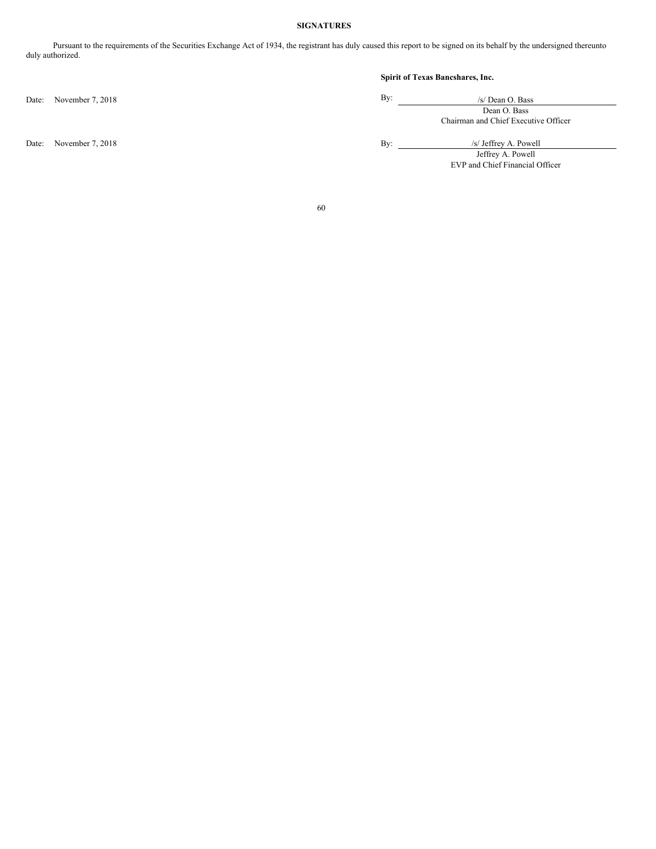# <span id="page-59-0"></span>**SIGNATURES**

Pursuant to the requirements of the Securities Exchange Act of 1934, the registrant has duly caused this report to be signed on its behalf by the undersigned thereunto duly authorized.

# **Spirit of Texas Bancshares, Inc.**

| /s/ Dean O. Bass                     |  |  |  |  |
|--------------------------------------|--|--|--|--|
| Dean O. Bass                         |  |  |  |  |
| Chairman and Chief Executive Officer |  |  |  |  |

Date: November 7, 2018 By: /s/ Jeffrey A. Powell

Jeffrey A. Powell EVP and Chief Financial Officer

60

Date: November 7, 2018 By: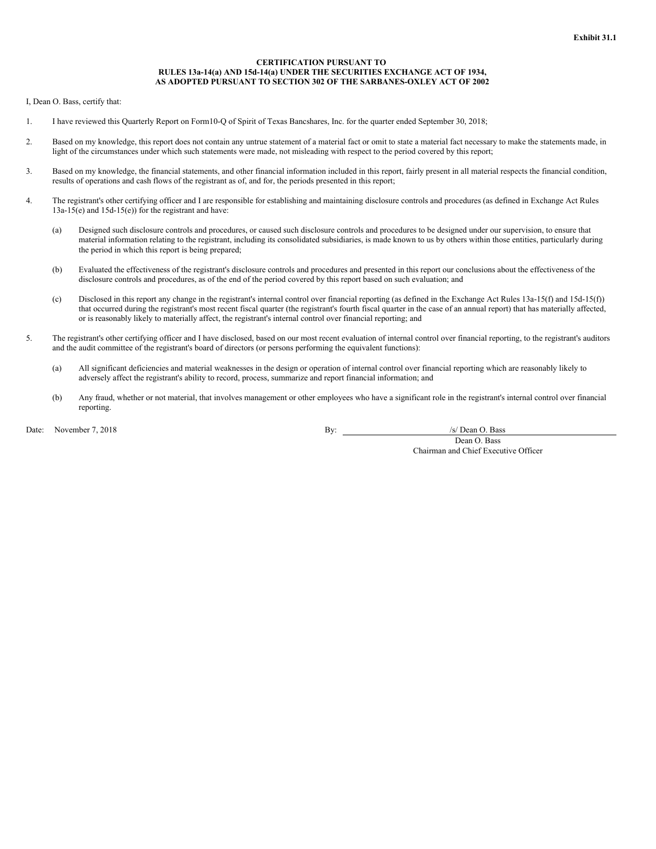#### **CERTIFICATION PURSUANT TO RULES 13a-14(a) AND 15d-14(a) UNDER THE SECURITIES EXCHANGE ACT OF 1934, AS ADOPTED PURSUANT TO SECTION 302 OF THE SARBANES-OXLEY ACT OF 2002**

<span id="page-60-0"></span>I, Dean O. Bass, certify that:

- 1. I have reviewed this Quarterly Report on Form10-Q of Spirit of Texas Bancshares, Inc. for the quarter ended September 30, 2018;
- 2. Based on my knowledge, this report does not contain any untrue statement of a material fact or omit to state a material fact necessary to make the statements made, in light of the circumstances under which such statements were made, not misleading with respect to the period covered by this report;
- 3. Based on my knowledge, the financial statements, and other financial information included in this report, fairly present in all material respects the financial condition, results of operations and cash flows of the registrant as of, and for, the periods presented in this report;
- 4. The registrant's other certifying officer and I are responsible for establishing and maintaining disclosure controls and procedures (as defined in Exchange Act Rules 13a-15(e) and 15d-15(e)) for the registrant and have:
	- (a) Designed such disclosure controls and procedures, or caused such disclosure controls and procedures to be designed under our supervision, to ensure that material information relating to the registrant, including its consolidated subsidiaries, is made known to us by others within those entities, particularly during the period in which this report is being prepared;
	- (b) Evaluated the effectiveness of the registrant's disclosure controls and procedures and presented in this report our conclusions about the effectiveness of the disclosure controls and procedures, as of the end of the period covered by this report based on such evaluation; and
	- (c) Disclosed in this report any change in the registrant's internal control over financial reporting (as defined in the Exchange Act Rules 13a-15(f) and 15d-15(f)) that occurred during the registrant's most recent fiscal quarter (the registrant's fourth fiscal quarter in the case of an annual report) that has materially affected, or is reasonably likely to materially affect, the registrant's internal control over financial reporting; and
- 5. The registrant's other certifying officer and I have disclosed, based on our most recent evaluation of internal control over financial reporting, to the registrant's auditors and the audit committee of the registrant's board of directors (or persons performing the equivalent functions):
	- (a) All significant deficiencies and material weaknesses in the design or operation of internal control over financial reporting which are reasonably likely to adversely affect the registrant's ability to record, process, summarize and report financial information; and
	- (b) Any fraud, whether or not material, that involves management or other employees who have a significant role in the registrant's internal control over financial reporting.

Date: November 7, 2018 **By:** /s/ Dean O. Bass **By:** /s/ Dean O. Bass **By:** /s/ Dean O. Bass **By:** /s/ Dean O. Bass **By:** /s/ Dean O. Bass **By:** /s/ Dean O. Bass **By:** /s/ Dean O. Bass **By:** /s/ Dean O. Bass **By:** /s/ Dean

Dean O. Bass Chairman and Chief Executive Officer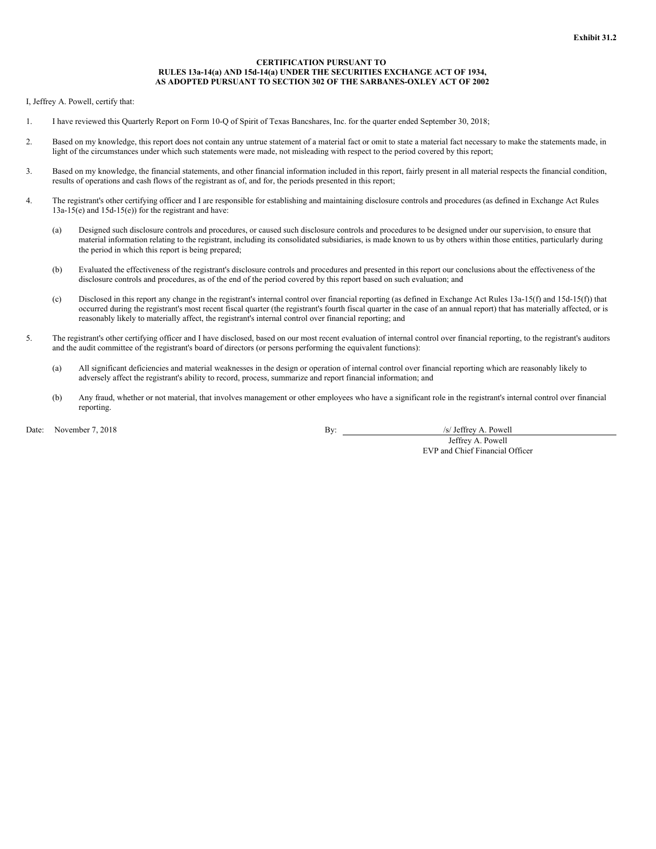#### **CERTIFICATION PURSUANT TO RULES 13a-14(a) AND 15d-14(a) UNDER THE SECURITIES EXCHANGE ACT OF 1934, AS ADOPTED PURSUANT TO SECTION 302 OF THE SARBANES-OXLEY ACT OF 2002**

<span id="page-61-0"></span>I, Jeffrey A. Powell, certify that:

- 1. I have reviewed this Quarterly Report on Form 10-Q of Spirit of Texas Bancshares, Inc. for the quarter ended September 30, 2018;
- 2. Based on my knowledge, this report does not contain any untrue statement of a material fact or omit to state a material fact necessary to make the statements made, in light of the circumstances under which such statements were made, not misleading with respect to the period covered by this report;
- 3. Based on my knowledge, the financial statements, and other financial information included in this report, fairly present in all material respects the financial condition, results of operations and cash flows of the registrant as of, and for, the periods presented in this report;
- 4. The registrant's other certifying officer and I are responsible for establishing and maintaining disclosure controls and procedures (as defined in Exchange Act Rules 13a-15(e) and 15d-15(e)) for the registrant and have:
	- (a) Designed such disclosure controls and procedures, or caused such disclosure controls and procedures to be designed under our supervision, to ensure that material information relating to the registrant, including its consolidated subsidiaries, is made known to us by others within those entities, particularly during the period in which this report is being prepared;
	- (b) Evaluated the effectiveness of the registrant's disclosure controls and procedures and presented in this report our conclusions about the effectiveness of the disclosure controls and procedures, as of the end of the period covered by this report based on such evaluation; and
	- (c) Disclosed in this report any change in the registrant's internal control over financial reporting (as defined in Exchange Act Rules 13a-15(f) and 15d-15(f)) that occurred during the registrant's most recent fiscal quarter (the registrant's fourth fiscal quarter in the case of an annual report) that has materially affected, or is reasonably likely to materially affect, the registrant's internal control over financial reporting; and
- 5. The registrant's other certifying officer and I have disclosed, based on our most recent evaluation of internal control over financial reporting, to the registrant's auditors and the audit committee of the registrant's board of directors (or persons performing the equivalent functions):
	- (a) All significant deficiencies and material weaknesses in the design or operation of internal control over financial reporting which are reasonably likely to adversely affect the registrant's ability to record, process, summarize and report financial information; and
	- (b) Any fraud, whether or not material, that involves management or other employees who have a significant role in the registrant's internal control over financial reporting.

Date: November 7, 2018 **By:** /s/ Jeffrey A. Powell

Jeffrey A. Powell EVP and Chief Financial Officer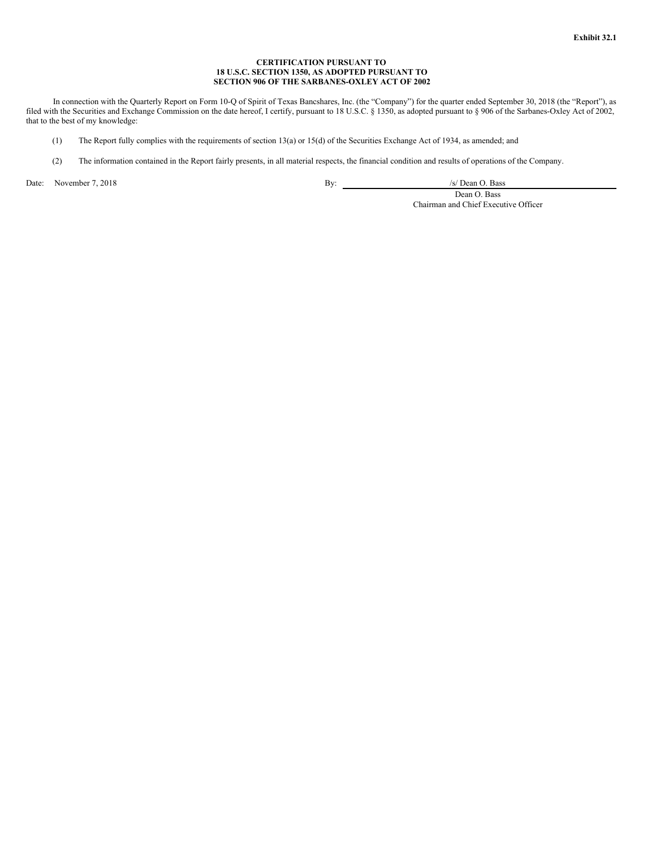# **CERTIFICATION PURSUANT TO 18 U.S.C. SECTION 1350, AS ADOPTED PURSUANT TO SECTION 906 OF THE SARBANES-OXLEY ACT OF 2002**

<span id="page-62-0"></span>In connection with the Quarterly Report on Form 10-Q of Spirit of Texas Bancshares, Inc. (the "Company") for the quarter ended September 30, 2018 (the "Report"), as filed with the Securities and Exchange Commission on the date hereof, I certify, pursuant to 18 U.S.C. § 1350, as adopted pursuant to § 906 of the Sarbanes-Oxley Act of 2002, that to the best of my knowledge:

- (1) The Report fully complies with the requirements of section 13(a) or 15(d) of the Securities Exchange Act of 1934, as amended; and
- (2) The information contained in the Report fairly presents, in all material respects, the financial condition and results of operations of the Company.

Date: November 7, 2018 **By:** /s/ Dean O. Bass **By:** /s/ Dean O. Bass **By:** /s/ Dean O. Bass **By:** /s/ Dean O. Bass **By:** /s/ Dean O. Bass **By:** /s/ Dean O. Bass **By:** /s/ Dean O. Bass **By:** /s/ Dean O. Bass **By:** /s/ Dean

Dean O. Bass Chairman and Chief Executive Officer